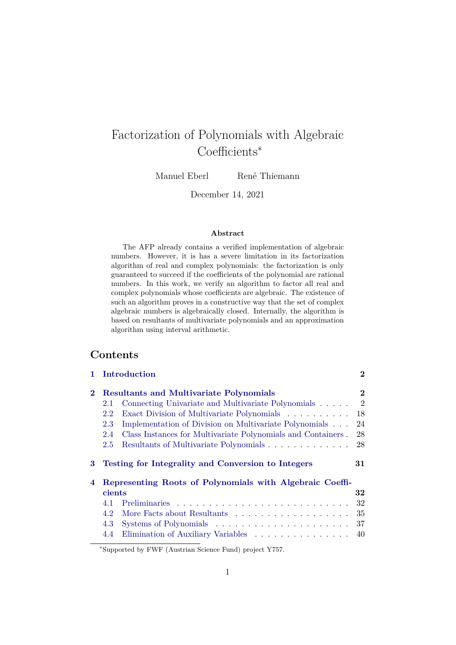# Factorization of Polynomials with Algebraic Coefficients<sup>∗</sup>

Manuel Eberl René Thiemann

December 14, 2021

#### **Abstract**

The AFP already contains a verified implementation of algebraic numbers. However, it is has a severe limitation in its factorization algorithm of real and complex polynomials: the factorization is only guaranteed to succeed if the coefficients of the polynomial are rational numbers. In this work, we verify an algorithm to factor all real and complex polynomials whose coefficients are algebraic. The existence of such an algorithm proves in a constructive way that the set of complex algebraic numbers is algebraically closed. Internally, the algorithm is based on resultants of multivariate polynomials and an approximation algorithm using interval arithmetic.

## **Contents**

|          | Introduction                                                        | $\bf{2}$       |
|----------|---------------------------------------------------------------------|----------------|
| $\bf{2}$ | <b>Resultants and Multivariate Polynomials</b>                      | $\bf{2}$       |
|          | Connecting Univariate and Multivariate Polynomials<br>2.1           | $\overline{2}$ |
|          | Exact Division of Multivariate Polynomials<br>2.2                   | 18             |
|          | Implementation of Division on Multivariate Polynomials<br>2.3       | 24             |
|          | Class Instances for Multivariate Polynomials and Containers.<br>2.4 | 28             |
|          | Resultants of Multivariate Polynomials<br>2.5                       | 28             |
|          |                                                                     |                |
| 3        | Testing for Integrality and Conversion to Integers                  | 31             |
| 4        | Representing Roots of Polynomials with Algebraic Coeffi-            |                |
|          | cients                                                              | 32             |
|          | 4.1                                                                 | 32             |
|          | 4.2                                                                 | 35             |
|          | 4.3                                                                 | 37             |

<sup>∗</sup>Supported by FWF (Austrian Science Fund) project Y757.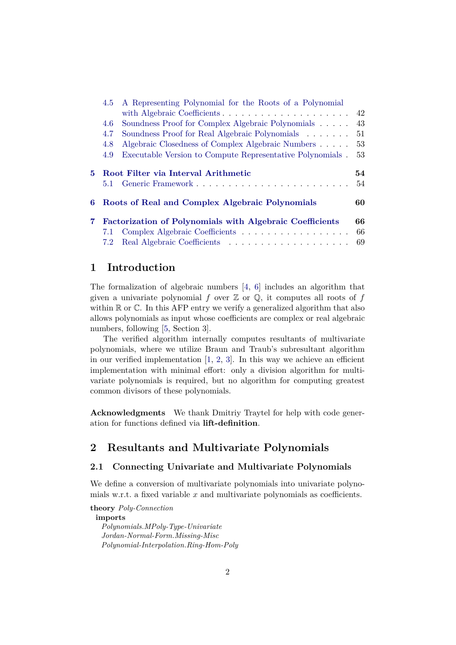|    | 4.5                  | A Representing Polynomial for the Roots of a Polynomial         |          |
|----|----------------------|-----------------------------------------------------------------|----------|
|    |                      |                                                                 | 42       |
|    | 4.6                  | Soundness Proof for Complex Algebraic Polynomials               | 43       |
|    | 4.7                  | Soundness Proof for Real Algebraic Polynomials                  | 51       |
|    | 4.8                  | Algebraic Closedness of Complex Algebraic Numbers               | 53       |
|    | 4.9                  | Executable Version to Compute Representative Polynomials.       | 53       |
|    |                      |                                                                 |          |
|    |                      |                                                                 |          |
| 5. |                      | Root Filter via Interval Arithmetic                             | 54       |
|    | 5.1                  |                                                                 | 54       |
| 6. |                      | Roots of Real and Complex Algebraic Polynomials                 | 60       |
| 7. |                      |                                                                 | 66       |
|    |                      | <b>Factorization of Polynomials with Algebraic Coefficients</b> |          |
|    | 7.1<br>$7.2^{\circ}$ | Complex Algebraic Coefficients                                  | 66<br>69 |

## <span id="page-1-0"></span>**1 Introduction**

The formalization of algebraic numbers  $\begin{bmatrix} 4, 6 \end{bmatrix}$  includes an algorithm that given a univariate polynomial f over  $\mathbb Z$  or  $\mathbb Q$ , it computes all roots of f within  $\mathbb R$  or  $\mathbb C$ . In this AFP entry we verify a generalized algorithm that also allows polynomials as input whose coefficients are complex or real algebraic numbers, following [\[5,](#page-74-2) Section 3].

The verified algorithm internally computes resultants of multivariate polynomials, where we utilize Braun and Traub's subresultant algorithm in our verified implementation  $[1, 2, 3]$  $[1, 2, 3]$  $[1, 2, 3]$  $[1, 2, 3]$ . In this way we achieve an efficient implementation with minimal effort: only a division algorithm for multivariate polynomials is required, but no algorithm for computing greatest common divisors of these polynomials.

**Acknowledgments** We thank Dmitriy Traytel for help with code generation for functions defined via **lift-definition**.

## <span id="page-1-1"></span>**2 Resultants and Multivariate Polynomials**

### <span id="page-1-2"></span>**2.1 Connecting Univariate and Multivariate Polynomials**

We define a conversion of multivariate polynomials into univariate polynomials w.r.t. a fixed variable x and multivariate polynomials as coefficients.

**theory** *Poly-Connection* **imports** *Polynomials*.*MPoly-Type-Univariate Jordan-Normal-Form*.*Missing-Misc Polynomial-Interpolation*.*Ring-Hom-Poly*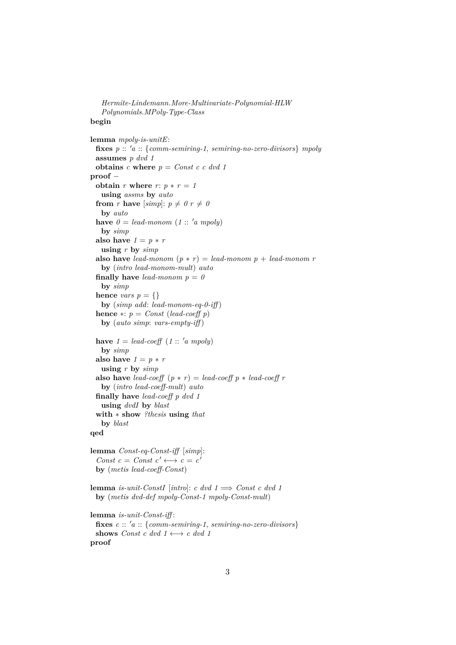*Hermite-Lindemann*.*More-Multivariate-Polynomial-HLW Polynomials*.*MPoly-Type-Class*

## **begin**

```
lemma mpoly-is-unitE:
 fixes p :: 0a :: {comm-semiring-1, semiring-no-zero-divisors} mpoly
 assumes p dvd 1
 obtains c where p = Const c c dvd 1proof −
 obtain r where r: p * r = 1using assms by auto
 from r have [simp]: p \neq 0 r \neq 0by auto
 have 0 = lead-monom (1:: 'a mpoly)by simp
 also have 1 = p * rusing r by simp
 also have lead-monom (p * r) = lead-monom p + lead-monom rby (intro lead-monom-mult) auto
 finally have lead-monom p = 0by simp
 hence vars p = \{\}by (simp add: lead-monom-eq-0-iff )
 hence *: p = Const (lead-coeff p)
   by (auto simp: vars-empty-iff )
 have 1 = lead-coeff (1::'a mpoly)by simp
 also have 1 = p * rusing r by simp
 also have lead-coeff (p * r) = lead-coeff p * lead-coeff rby (intro lead-coeff-mult) auto
 finally have lead-coeff p dvd 1
   using dvdI by blast
 with ∗ show ?thesis using that
   by blast
qed
lemma Const-eq-Const-iff [simp]:
 Const c = Const c' \longleftrightarrow c = c'
 by (metis lead-coeff-Const)
lemma is-unit-ConstI [intro]: c dvd 1 \implies Const c dvd 1by (metis dvd-def mpoly-Const-1 mpoly-Const-mult)
lemma is-unit-Const-iff :
 fixes c :: 'a :: {comm-semiring-1, semiring-no-zero-divisors}shows Const c dvd 1 \longleftrightarrow c dvd 1
proof
```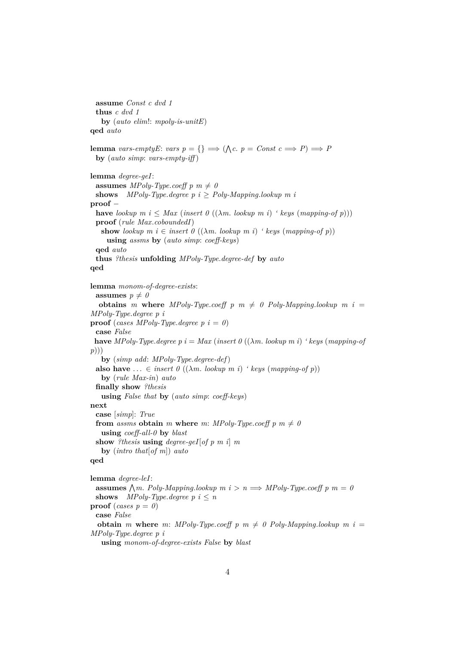**assume** *Const c dvd 1* **thus** *c dvd 1* **by** (*auto elim*!: *mpoly-is-unitE*) **qed** *auto* **lemma** *vars-emptyE*: *vars*  $p = \{\} \implies (\Lambda c. \ p = Const \ c \implies P) \implies P$ **by** (*auto simp*: *vars-empty-iff* ) **lemma** *degree-geI*: **assumes** *MPoly-Type.coeff*  $p$   $m \neq 0$ **shows** *MPoly-Type.degree p i*  $\geq$  *Poly-Mapping.lookup m i* **proof** − **have** *lookup*  $m$  *i*  $\leq$  *Max* (*insert 0* (( $\lambda m$ *. lookup*  $m$ *i*) *' keys* (*mapping-of p*))) **proof** (*rule Max*.*coboundedI*) **show** lookup  $m \, i \in \text{insert } \theta \ ((\lambda m \, \text{lookup } m \, i) \land \text{keys } (mapping \text{-} of \, p))$ **using** *assms* **by** (*auto simp*: *coeff-keys*) **qed** *auto* **thus** *?thesis* **unfolding** *MPoly-Type*.*degree-def* **by** *auto* **qed lemma** *monom-of-degree-exists*: **assumes**  $p \neq 0$ **obtains** *m* where *MPoly-Type.coeff p*  $m \neq 0$  *Poly-Mapping.lookup*  $m i =$ *MPoly-Type*.*degree p i* **proof** (*cases MPoly-Type.degree p i* = 0) **case** *False* **have** *MPoly-Type.degree p i* = *Max* (*insert 0* (( $\lambda$ *m. lookup m i*) *' keys* (*mapping-of p*))) **by** (*simp add*: *MPoly-Type*.*degree-def*) **also have**  $\ldots \in$  *insert 0* (( $\lambda$ *m. lookup m i*) *' keys* (*mapping-of p*)) **by** (*rule Max-in*) *auto* **finally show** *?thesis* **using** *False that* **by** (*auto simp*: *coeff-keys*) **next case** [*simp*]: *True* **from** *assms* **obtain** *m* **where** *m*: *MPoly-Type.coeff p*  $m \neq 0$ **using** *coeff-all-0* **by** *blast* **show** *?thesis* **using** *degree-geI*[*of p m i*] *m* **by** (*intro that*[*of m*]) *auto* **qed lemma** *degree-leI*: **assumes**  $\bigwedge m$ . Poly-Mapping.lookup  $m$  i >  $n \implies MPoly$ -Type.coeff  $p$   $m = 0$ **shows** *MPoly-Type.degree p i*  $\leq n$ **proof** (*cases*  $p = 0$ ) **case** *False* **obtain** *m* where *m*: *MPoly-Type.coeff p*  $m \neq 0$  *Poly-Mapping.lookup*  $m i =$ *MPoly-Type*.*degree p i*

**using** *monom-of-degree-exists False* **by** *blast*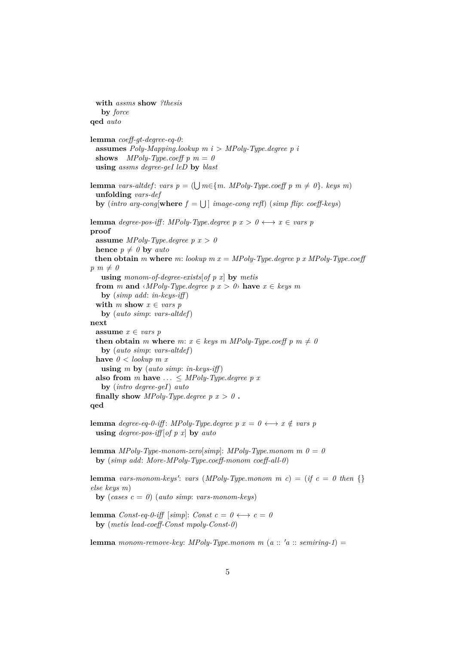```
with assms show ?thesis
   by force
qed auto
lemma coeff-gt-degree-eq-0:
 assumes Poly-Mapping.lookup m i > MPoly-Type.degree p i
 shows MPoly-Type.coeff p m = 0
 using assms degree-geI leD by blast
lemma vars-altdef: vars p = (\bigcup m \in \{m. \; MPoly-Type.coeff \; p \; m \neq 0\}. keys m)
 unfolding vars-def
 by (intro arg-cong[where f = \bigcup] image-cong refl) (simp flip: coeff-keys)
lemma degree-pos-iff: MPoly-Type.degree p x > 0 \longleftrightarrow x \in vars p
proof
 assume MPoly-Type.degree p x > 0hence p \neq 0 by auto
 then obtain m where m: lookup m x = MPoly-Type. degree p x MPoly-Type.coeff
p \, m \neq 0using monom-of-degree-exists[of p x] by metis
 from m and \langle MPoly-Type.degree\ p\ x > 0 \rangle have x \in keys\ mby (simp add: in-keys-iff )
 with m show x \in vars p
   by (auto simp: vars-altdef)
next
 assume x \in vars p
 then obtain m where m: x \in keys \ m \ MPoly-Type.coeff \ p \ m \neq 0by (auto simp: vars-altdef)
 have 0 < lookup m xusing m by (auto simp: in-keys-iff )
 also from m have ... \leq MPoly-Type.degree p x
   by (intro degree-geI) auto
 finally show MPoly-Type.degree p x > 0.
qed
lemma degree-eq-0-iff: MPoly-Type.degree p x = 0 \longleftrightarrow x \notin vars p
 using degree-pos-iff [of p x] by auto
lemma MPoly-Type-monom-zero[simp: MPoly-Type-monom m 0=0by (simp add: More-MPoly-Type.coeff-monom coeff-all-0)
lemma vars-monom-keys': vars (MPoly-Type.monom m c) = (if c = 0 then {}
else keys m)
 by (cases c = 0) (auto simp: vars-monom-keys)
lemma Const-eq-0-iff [simp]: Const c = 0 \leftrightarrow c = 0by (metis lead-coeff-Const mpoly-Const-0)
lemma monom-remove-key: MPoly-Type.monom m (a :: 'a :: semiring-1) =
```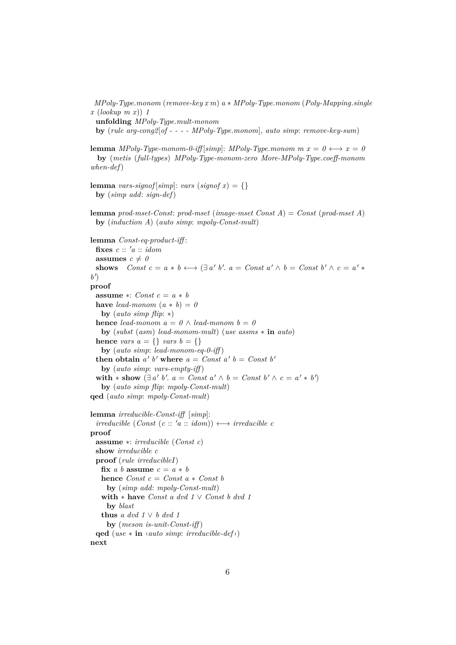*MPoly-Type*.*monom* (*remove-key x m*) *a* ∗ *MPoly-Type*.*monom* (*Poly-Mapping*.*single x* (*lookup m x*)) *1* **unfolding** *MPoly-Type*.*mult-monom* **by** (*rule arg-cong2*[*of - - - - MPoly-Type*.*monom*], *auto simp*: *remove-key-sum*) **lemma** *MPoly-Type-monom-0-iff* [*simp*]: *MPoly-Type.monom m x = 0*  $\longleftrightarrow$  *x = 0* **by** (*metis* (*full-types*) *MPoly-Type-monom-zero More-MPoly-Type*.*coeff-monom when-def*) **lemma** *vars-signof* [*simp*]: *vars* (*signof*  $x$ ) = {} **by** (*simp add*: *sign-def*) **lemma** *prod-mset-Const*: *prod-mset* (*image-mset Const A*) = *Const* (*prod-mset A*) **by** (*induction A*) (*auto simp*: *mpoly-Const-mult*) **lemma** *Const-eq-product-iff* : fixes  $c :: 'a :: idom$ **assumes**  $c \neq 0$ **shows**  $Const\ c = a * b \longleftrightarrow (\exists a' b'.\ a = Const\ a' \land b = Const\ b' \land c = a' *$ b<sup> $\prime$ </sup>) **proof assume** ∗: *Const c* = *a* ∗ *b* **have** *lead-monom*  $(a * b) = 0$ **by** (*auto simp flip*: ∗) **hence** *lead-monom*  $a = 0 \land$  *lead-monom*  $b = 0$ **by** (*subst* (*asm*) *lead-monom-mult*) (*use assms* ∗ **in** *auto*) **hence** *vars*  $a = \{\}$  *vars*  $b = \{\}$ **by** (*auto simp*: *lead-monom-eq-0-iff* ) **then obtain**  $a' b'$  where  $a = Const a' b = Const b'$ **by** (*auto simp*: *vars-empty-iff* ) with  $*$  show  $(\exists a' b'. a = Const a' \land b = Const b' \land c = a' * b')$ **by** (*auto simp flip*: *mpoly-Const-mult*) **qed** (*auto simp*: *mpoly-Const-mult*) **lemma** *irreducible-Const-iff* [*simp*]:  $irreducible (Const (c :: 'a :: idom)) \longleftrightarrow irreducible c$ **proof assume** ∗: *irreducible* (*Const c*) **show** *irreducible c* **proof** (*rule irreducibleI*) **fix** *a b* **assume**  $c = a * b$ **hence**  $Const c = Const a * Const b$ **by** (*simp add*: *mpoly-Const-mult*) **with** ∗ **have** *Const a dvd 1* ∨ *Const b dvd 1* **by** *blast* **thus** *a* dvd  $1 \vee b$  dvd  $1$ **by** (*meson is-unit-Const-iff* ) **qed** (*use* ∗ **in** ‹*auto simp*: *irreducible-def*›) **next**

6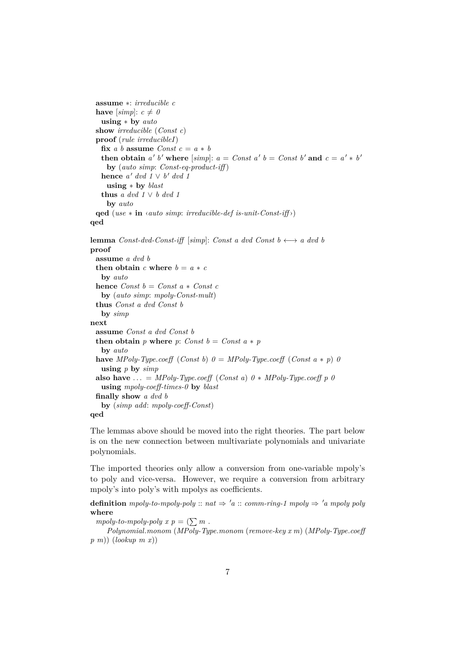```
assume ∗: irreducible c
 have [simp]: c \neq 0using ∗ by auto
 show irreducible (Const c)
 proof (rule irreducibleI)
   fix a b assume Const c = a * bthen obtain a' b' where [simp]: a = Const a' b = Const b' and c = a' * b'by (auto simp: Const-eq-product-iff )
   hence a' dvd 1 \vee b' dvd 1using ∗ by blast
   thus a dvd 1 ∨ b dvd 1
    by auto
 qed (use ∗ in ‹auto simp: irreducible-def is-unit-Const-iff ›)
qed
lemma Const-dvd-Const-iff [simpl: Const a dvd Const b \longleftrightarrow a dvd b
proof
 assume a dvd b
 then obtain c where b = a * cby auto
 hence Const b = Const a * Const cby (auto simp: mpoly-Const-mult)
 thus Const a dvd Const b
   by simp
next
 assume Const a dvd Const b
 then obtain p where p: Const b = Const a * p
   by auto
 have MPoly-Type.coeff (Const b) 0 = MPoly-Type.coeff (Const a * p) 0using p by simp
 also have ... = MPoly-Type.coeff (Const a) 0 * MPoly-Type.coeff p 0using mpoly-coeff-times-0 by blast
 finally show a dvd b
   by (simp add: mpoly-coeff-Const)
qed
```
The lemmas above should be moved into the right theories. The part below is on the new connection between multivariate polynomials and univariate polynomials.

The imported theories only allow a conversion from one-variable mpoly's to poly and vice-versa. However, we require a conversion from arbitrary mpoly's into poly's with mpolys as coefficients.

**definition** *mpoly-to-mpoly-poly* ::  $nat \Rightarrow 'a$  :: *comm-ring-1 mpoly*  $\Rightarrow 'a$  *mpoly poly* **where**

 $mpoly-to-mpoly-poly$   $x p = (\sum m$ .

*Polynomial*.*monom* (*MPoly-Type*.*monom* (*remove-key x m*) (*MPoly-Type*.*coeff p m*)) (*lookup m x*))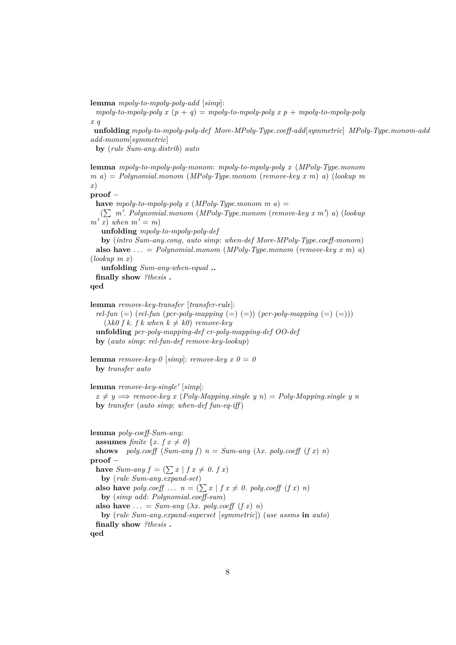**lemma** *mpoly-to-mpoly-poly-add* [*simp*]:

 $mpoly-to-mpoly-poly x (p + q) = mpoly-to-mpoly-poly x p + mpoly-to-mpoly-poly$ *x q*

**unfolding** *mpoly-to-mpoly-poly-def More-MPoly-Type*.*coeff-add*[*symmetric*] *MPoly-Type*.*monom-add add-monom*[*symmetric*]

**by** (*rule Sum-any*.*distrib*) *auto*

**lemma** *mpoly-to-mpoly-poly-monom*: *mpoly-to-mpoly-poly x* (*MPoly-Type*.*monom m a*) = *Polynomial*.*monom* (*MPoly-Type*.*monom* (*remove-key x m*) *a*) (*lookup m x*) **proof** −

**have** *mpoly-to-mpoly-poly x* (*MPoly-Type*.*monom m a*) =

( $\sum$  m'. Polynomial.monom (MPoly-Type.monom (remove-key x m') a) (lookup  $m'$  *x*) *when*  $m' = m$ 

**unfolding** *mpoly-to-mpoly-poly-def*

**by** (*intro Sum-any*.*cong*, *auto simp*: *when-def More-MPoly-Type*.*coeff-monom*) **also have**  $\ldots$  = *Polynomial.monom* (*MPoly-Type.monom* (*remove-key x m*) *a*) (*lookup m x*)

**unfolding** *Sum-any-when-equal* **..**

**finally show** *?thesis* **.**

**qed**

**lemma** *remove-key-transfer* [*transfer-rule*]:

 $rel-fun (=)$  (*rel-fun* (*pcr-poly-mapping* (=) (=)) ( $pcr-poly-mapping$  (=) (=)))  $(\lambda k0 f k. f k when k \neq k0)$  *remove-key* 

**unfolding** *pcr-poly-mapping-def cr-poly-mapping-def OO-def*

**by** (*auto simp*: *rel-fun-def remove-key-lookup*)

```
lemma remove-key-0 [simp]: remove-key x \theta = 0by transfer auto
```
lemma *remove-key-single'* [simp]:

 $x \neq y \Longrightarrow$  *remove-key x* (*Poly-Mapping.single y n*) = *Poly-Mapping.single y n* **by** *transfer* (*auto simp*: *when-def fun-eq-iff* )

```
lemma poly-coeff-Sum-any:
 assumes finite \{x, f\ x \neq 0\}shows poly.coeff (Sum-any f) n = Sum-any (\lambda x. poly.coeff (f x) n)
proof −
 have Sum-any f = (\sum x | f x \neq 0. f x)by (rule Sum-any.expand-set)
 also have poly.coeff ... n = (\sum x \mid f x \neq 0. poly.coeff (f x) n)
   by (simp add: Polynomial.coeff-sum)
 also have ... = Sum-any (\lambda x. poly.coeff (f x) n)
   by (rule Sum-any.expand-superset [symmetric]) (use assms in auto)
 finally show ?thesis .
qed
```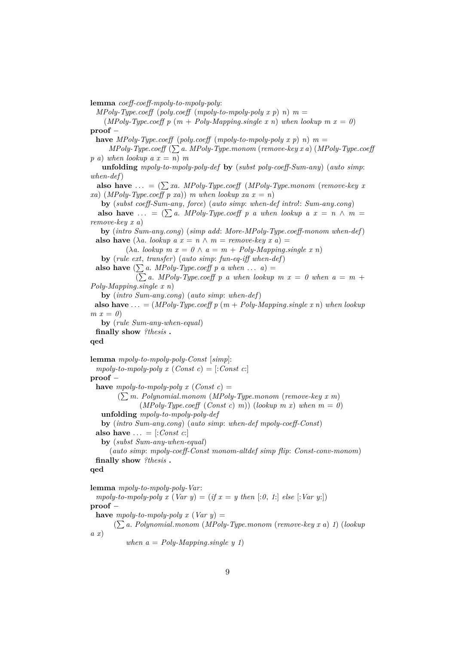**lemma** *coeff-coeff-mpoly-to-mpoly-poly*:

 $MPoly-Type.coeff (poly.coeff (mpoly-to-mpoly-poly x p) n) m =$ 

(*MPoly-Type.coeff p* ( $m + Poly-Mapping.size x n$ ) when lookup  $m x = 0$ ) **proof** −

**have** *MPoly-Type.coeff* (*poly.coeff* (*mpoly-to-mpoly-poly x p*) *n*)  $m =$ 

 $MPoly-Type.coeff$   $(\sum a. MPoly-Type.monom$  ( $remove-key x a$ ) ( $MPoly-Type.coeff$  $p(a)$  *when lookup*  $a x = n$  *m* 

**unfolding** *mpoly-to-mpoly-poly-def* **by** (*subst poly-coeff-Sum-any*) (*auto simp*: *when-def*)

**also have** ... =  $(\sum xa. \, MPoly-Type.coeff \, (MPoly-Type.monom \, (remove-key \, x))$  $x^2$  (*MPoly-Type.coeff p xa*)) *m when lookup xa x = n*)

**by** (*subst coeff-Sum-any*, *force*) (*auto simp*: *when-def intro*!: *Sum-any*.*cong*)

**also have** ... =  $(\sum a$ . *MPoly-Type.coeff* p a when lookup a  $x = n \wedge m =$ *remove-key x a*)

**by** (*intro Sum-any*.*cong*) (*simp add*: *More-MPoly-Type*.*coeff-monom when-def*) **also have**  $(\lambda a. \text{ lookup } a x = n \land m = \text{remove-key } x a) =$ 

 $(\lambda a. \text{lookup } m x = 0 \land a = m + \text{Poly-Mapping}.\text{single } x n)$ 

**by** (*rule ext*, *transfer*) (*auto simp*: *fun-eq-iff when-def*)

**also have**  $(\sum a$ . *MPoly-Type.coeff p a when* ...  $a)$  =

 $(\sum a. \, MPoly-Type.coeff \, p \, a \, when \, lookup \, m \, x = 0 \, when \, a = m +$ *Poly-Mapping*.*single x n*)

**by** (*intro Sum-any*.*cong*) (*auto simp*: *when-def*)

**also have** ...  $= (MPoly-Type.coeff p(m + Poly-Mapping,single x n)$  when lookup  $m x = 0$ 

**by** (*rule Sum-any-when-equal*)

**finally show** *?thesis* **.**

#### **qed**

**lemma** *mpoly-to-mpoly-poly-Const* [*simp*]:  $mpoly-to-mpoly-poly$  x  $(Const c) = [.Const c.]$ **proof** − **have** *mpoly-to-mpoly-poly*  $x$  (*Const c*) = ( P*m*. *Polynomial*.*monom* (*MPoly-Type*.*monom* (*remove-key x m*)  $(MPoly-Type.coeff (Const c) m)$  (*lookup m x*) when  $m = 0$ ) **unfolding** *mpoly-to-mpoly-poly-def* **by** (*intro Sum-any*.*cong*) (*auto simp*: *when-def mpoly-coeff-Const*) **also have**  $\ldots$  = [:*Const c*:] **by** (*subst Sum-any-when-equal*) (*auto simp*: *mpoly-coeff-Const monom-altdef simp flip*: *Const-conv-monom*) **finally show** *?thesis* **. qed lemma** *mpoly-to-mpoly-poly-Var*: *mpoly-to-mpoly-poly x* (*Var y*) = (*if x* = *y then* [:0, 1:] *else* [:*Var y*:])

```
proof −
```
**have**  $mpoly-to-mpoly-poly$   $x$  (*Var y*) =

( P*a*. *Polynomial*.*monom* (*MPoly-Type*.*monom* (*remove-key x a*) *1*) (*lookup a x*)

*when*  $a = Poly-Mapping.size y 1$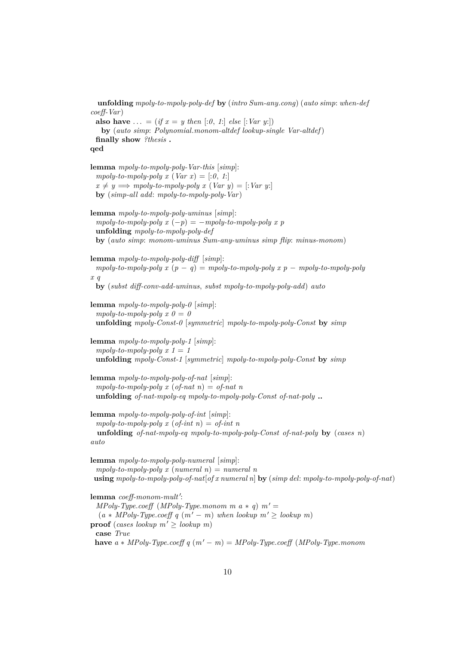**unfolding** *mpoly-to-mpoly-poly-def* **by** (*intro Sum-any*.*cong*) (*auto simp*: *when-def coeff-Var*) **also have** ... = (*if*  $x = y$  *then* [:*0*, *1*:] *else* [:*Var y*:]) **by** (*auto simp*: *Polynomial*.*monom-altdef lookup-single Var-altdef*) **finally show** *?thesis* **. qed lemma** *mpoly-to-mpoly-poly-Var-this* [*simp*]:  $mpoly-to-mpoly-poly x (Var x) = [.0, 1.]$  $x \neq y \Longrightarrow \text{mpoly-to-mpoly-poly x } (Var y) = [:Var y:]$ **by** (*simp-all add*: *mpoly-to-mpoly-poly-Var*) **lemma** *mpoly-to-mpoly-poly-uminus* [*simp*]:  $mpoly-to-mpoly-poly x (-p) = -mpoly-to-mpoly-poly x p$ **unfolding** *mpoly-to-mpoly-poly-def* **by** (*auto simp*: *monom-uminus Sum-any-uminus simp flip*: *minus-monom*) **lemma** *mpoly-to-mpoly-poly-diff* [*simp*]:  $mpoly-to-mpoly-poly x (p - q) = mpoly-to-mpoly-poly x p - mpoly-to-mpoly-poly-poly$ *x q* **by** (*subst diff-conv-add-uminus*, *subst mpoly-to-mpoly-poly-add*) *auto* **lemma** *mpoly-to-mpoly-poly-0* [*simp*]:  $mpoly-to-mpoly-poly x 0 = 0$ **unfolding** *mpoly-Const-0* [*symmetric*] *mpoly-to-mpoly-poly-Const* **by** *simp* **lemma** *mpoly-to-mpoly-poly-1* [*simp*]:  $mpoly-to-mpoly-poly \ x \ 1 = 1$ **unfolding** *mpoly-Const-1* [*symmetric*] *mpoly-to-mpoly-poly-Const* **by** *simp* **lemma** *mpoly-to-mpoly-poly-of-nat* [*simp*]:  $mpoly-to-mpoly-poly$  x  $(of-nat)$  =  $of-nat$  n **unfolding** *of-nat-mpoly-eq mpoly-to-mpoly-poly-Const of-nat-poly* **.. lemma** *mpoly-to-mpoly-poly-of-int* [*simp*]:  $mpoly-to-mpoly-poly x (of-int n) = of-int n$ **unfolding** *of-nat-mpoly-eq mpoly-to-mpoly-poly-Const of-nat-poly* **by** (*cases n*) *auto* **lemma** *mpoly-to-mpoly-poly-numeral* [*simp*]:  $mpoly-to-mpoly-poly x (numeral n) = numeral n$ **using** *mpoly-to-mpoly-poly-of-nat*[*of x numeral n*] **by** (*simp del*: *mpoly-to-mpoly-poly-of-nat*) lemma coeff-monom-mult':  $MPoly-Type.coeff$  ( $MPoly-Type.monom$  *m*  $a * q$ )  $m' =$  $(a * MPoly-Type.coeff q (m' – m) when lookup m' \geq lookup m)$ **proof** (*cases lookup*  $m' >$  *lookup*  $m$ ) **case** *True* **have**  $a * MPoly-Type.coeff q(m' - m) = MPoly-Type.coeff (MPoly-Type.monom$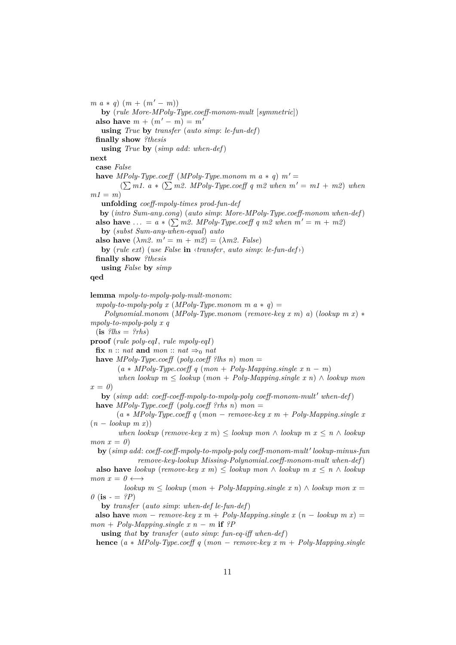$m \ a \ * \ q) \ (m + (m' - m))$ **by** (*rule More-MPoly-Type*.*coeff-monom-mult* [*symmetric*]) **also have**  $m + (m' - m) = m'$ **using** *True* **by** *transfer* (*auto simp*: *le-fun-def*) **finally show** *?thesis* **using** *True* **by** (*simp add*: *when-def*) **next case** *False* **have** *MPoly-Type.coeff* (*MPoly-Type.monom m a*  $*$  *q*)  $m' =$  $(\sum m1. a * (\sum m2. MPoly-Type.coeff q m2 when m' = m1 + m2) when$  $m1 = m$ **unfolding** *coeff-mpoly-times prod-fun-def* **by** (*intro Sum-any*.*cong*) (*auto simp*: *More-MPoly-Type*.*coeff-monom when-def*) **also have** ... =  $a * (\sum m2$ . *MPoly-Type.coeff q m2 when*  $m' = m + m2$ **by** (*subst Sum-any-when-equal*) *auto* **also have**  $(\lambda m2. m' = m + m2) = (\lambda m2. False)$ **by** (*rule ext*) (*use False* **in** ‹*transfer*, *auto simp*: *le-fun-def*›) **finally show** *?thesis* **using** *False* **by** *simp* **qed lemma** *mpoly-to-mpoly-poly-mult-monom*:  $mpoly-to-mpoly-poly$  x  $(MPoly-Type.monom \, m \, a \ast q) =$ *Polynomial*.*monom* (*MPoly-Type*.*monom* (*remove-key x m*) *a*) (*lookup m x*) ∗ *mpoly-to-mpoly-poly x q*  $(i\mathbf{s}$  *?lhs* = *?rhs*) **proof** (*rule poly-eqI*, *rule mpoly-eqI*)  $\mathbf{fix}\; n::$  *nat*  $\mathbf{and}\; mon::$   $nat \Rightarrow_0 nat$ **have**  $MPoly-Type.coeff$  (*poly.coeff ?lhs n) mon* =  $(a * MPoly-Type.coeff q (mon + Poly-Mapping.single x n - m)$  $when \, lookup \, m \leq \, lookup \, (mon + \,Poly \, Mapping \, single \, x \, n) \wedge \, lookup \, mon$  $x = 0$ **by** (*simp add: coeff-coeff-mpoly-to-mpoly-poly coeff-monom-mult' when-def)* **have** *MPoly-Type*.*coeff* (*poly*.*coeff ?rhs n*) *mon* =  $(a * MPoly-Type.coeff q (mon - remove-key x m + Poly-Mapping.single x)$ 

 $(n - lookup \ m x))$ 

*when lookup* (*remove-key x m*)  $\leq$  *lookup mon*  $\land$  *lookup m x*  $\leq n \land$  *lookup mon*  $x = 0$ 

 $\mathbf{b}$ **y** (*simp add: coeff-coeff-mpoly-to-mpoly-poly coeff-monom-mult' lookup-minus-fun remove-key-lookup Missing-Polynomial*.*coeff-monom-mult when-def*)

**also have** *lookup* (*remove-key x m*)  $\leq$  *lookup mon*  $\wedge$  *lookup*  $m x \leq n \wedge$  *lookup*  $mon x = 0 \longleftrightarrow$ 

*lookup*  $m$  ≤ *lookup* (*mon* + *Poly-Mapping.single*  $x$  *n*) ∧ *lookup mon*  $x$  =  $\theta$  (**is** -  $=$  *?P*)

**by** *transfer* (*auto simp*: *when-def le-fun-def*)

**also have**  $mon - remove-key x m + Poly-Mapping.single x (n - lookup m x) =$  $mon + Polu$ -Mapping.*single x n* − *m* **if**  $?P$ 

**using** *that* **by** *transfer* (*auto simp*: *fun-eq-iff when-def*)

**hence**  $(a * MPoly-Type.coeff q (mon - remove-key x m + Poly-Mapping.single)$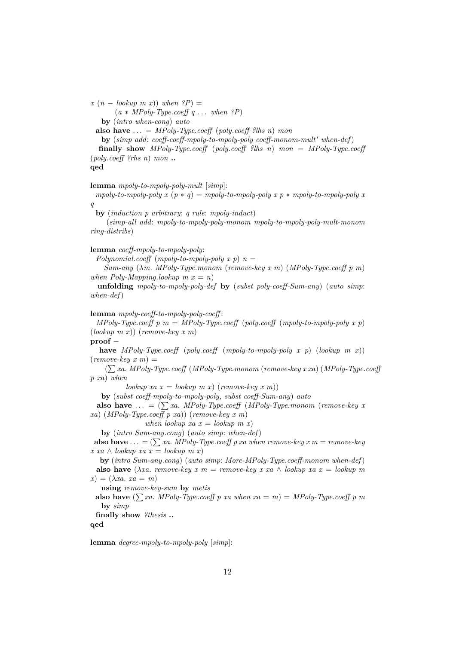$\left(x\ (n - \text{lookup } m\ x)\right)$  *when*  $\left(P\right) =$ 

(*a* ∗ *MPoly-Type*.*coeff q* . . . *when ?P*)

**by** (*intro when-cong*) *auto*

**also have**  $\ldots = MPoly-Type.coeff$  (*poly.coeff ?lhs n*) *mon* 

**by** (*simp add: coeff-coeff-mpoly-to-mpoly-poly coeff-monom-mult' when-def)* **finally show** *MPoly-Type*.*coeff* (*poly*.*coeff ?lhs n*) *mon* = *MPoly-Type*.*coeff* (*poly*.*coeff ?rhs n*) *mon* **..**

#### **qed**

**lemma** *mpoly-to-mpoly-poly-mult* [*simp*]:

*mpoly-to-mpoly-poly x*  $(p * q) = mpoly-to-mpoly-poly x p * mpoly-to-mpoly-poly x$ *q*

**by** (*induction p arbitrary*: *q rule*: *mpoly-induct*)

(*simp-all add*: *mpoly-to-mpoly-poly-monom mpoly-to-mpoly-poly-mult-monom ring-distribs*)

#### **lemma** *coeff-mpoly-to-mpoly-poly*:

*Polynomial.coeff* (*mpoly-to-mpoly-poly x p*)  $n =$ 

*Sum-any* (λ*m*. *MPoly-Type*.*monom* (*remove-key x m*) (*MPoly-Type*.*coeff p m*) *when Poly-Mapping.lookup*  $m x = n$ 

**unfolding** *mpoly-to-mpoly-poly-def* **by** (*subst poly-coeff-Sum-any*) (*auto simp*: *when-def*)

#### **lemma** *mpoly-coeff-to-mpoly-poly-coeff* :

*MPoly-Type.coeff*  $p$   $m = MPoly-Type.coeff$  ( $poly.coeff$  ( $mpoly-to-mpoly-poly x p$ ) (*lookup m x*)) (*remove-key x m*)

#### **proof** −

**have** *MPoly-Type*.*coeff* (*poly*.*coeff* (*mpoly-to-mpoly-poly x p*) (*lookup m x*))  $(removekey x m) =$ 

( P*xa*. *MPoly-Type*.*coeff* (*MPoly-Type*.*monom* (*remove-key x xa*) (*MPoly-Type*.*coeff p xa*) *when*

 $\{a \in \text{lookup } x \in \text{lookup } m \in \text{number} \}$  (*remove-key x m*))

**by** (*subst coeff-mpoly-to-mpoly-poly*, *subst coeff-Sum-any*) *auto*

**also have** ... =  $(\sum xa. \text{ } MPoly-Type.coeff \text{ } (MPoly-Type.monom \text{ } (remove-key x$ *xa*) (*MPoly-Type*.*coeff p xa*)) (*remove-key x m*)

*when lookup xa x = lookup m x*)

**by** (*intro Sum-any*.*cong*) (*auto simp*: *when-def*)

**also have** ... =  $(\sum xa. \text{ } MPoly-Type. \text{coeff } p \text{ } xa \text{ } when \text{ } remove-key \text{ } x \text{ } m = remove-key$ *x xa* ∧ *lookup xa x* = *lookup m x*)

**by** (*intro Sum-any*.*cong*) (*auto simp*: *More-MPoly-Type*.*coeff-monom when-def*) **also have** ( $\lambda xa$ . *remove-key x m* = *remove-key x xa*  $\wedge$  *lookup xa x* = *lookup m*  $f(x) = (\lambda x a. x a = m)$ 

**using** *remove-key-sum* **by** *metis*

**also have**  $(\sum x_a \cdot MPoly-Type.coeff \cdot p \cdot xa \cdot when \cdot xa = m) = MPoly-Type.coeff \cdot p \cdot m$ **by** *simp*

**finally show** *?thesis* **..**

**qed**

**lemma** *degree-mpoly-to-mpoly-poly* [*simp*]: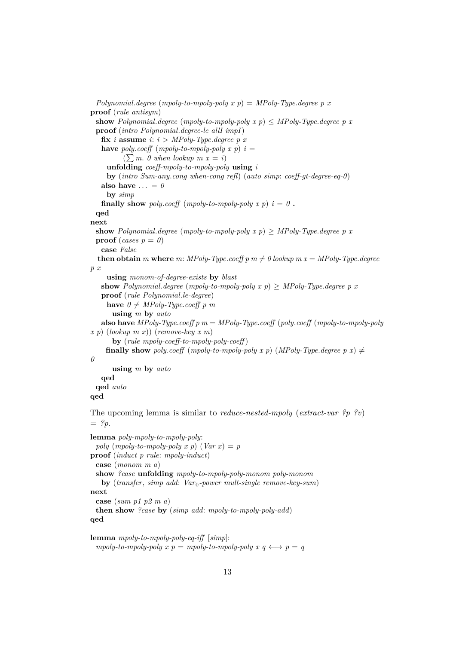*Polynomial*.*degree* (*mpoly-to-mpoly-poly x p*) = *MPoly-Type*.*degree p x* **proof** (*rule antisym*) **show** Polynomial.*degree* (*mpoly-to-mpoly-poly x p*)  $\leq$  *MPoly-Type.degree p x* **proof** (*intro Polynomial*.*degree-le allI impI*) **fix** *i* **assume** *i*:  $i > MPoly$ -Type. *degree* p *x* **have** *poly*.coeff (*mpoly-to-mpoly-poly*  $x$   $p$ )  $i =$  $(\sum m. 0 \text{ when lookup } m x = i)$ **unfolding** *coeff-mpoly-to-mpoly-poly* **using** *i* **by** (*intro Sum-any*.*cong when-cong refl*) (*auto simp*: *coeff-gt-degree-eq-0*) also have  $\ldots = 0$ **by** *simp* **finally show** poly.coeff (mpoly-to-mpoly-poly x p)  $i = 0$ . **qed next show** Polynomial.*degree* (*mpoly-to-mpoly-poly x p*)  $\geq$  *MPoly-Type.degree p x* **proof** (*cases*  $p = 0$ ) **case** *False* **then obtain** *m* where *m*: *MPoly-Type.coeff p m*  $\neq$  *0 lookup m x = MPoly-Type.degree p x* **using** *monom-of-degree-exists* **by** *blast* **show** Polynomial.*degree* (*mpoly-to-mpoly-poly x p*)  $\geq$  *MPoly-Type.degree p x* **proof** (*rule Polynomial*.*le-degree*) **have**  $0 \neq MPoly-Type.coeff p m$ **using** *m* **by** *auto* **also have** *MPoly-Type*.*coeff p m* = *MPoly-Type*.*coeff* (*poly*.*coeff* (*mpoly-to-mpoly-poly x p*) (*lookup m x*)) (*remove-key x m*) **by** (*rule mpoly-coeff-to-mpoly-poly-coeff* ) **finally show** poly.coeff (*mpoly-to-mpoly-poly x p*) (*MPoly-Type.degree p x*)  $\neq$ *0* **using** *m* **by** *auto* **qed qed** *auto* **qed** The upcoming lemma is similar to *reduce-nested-mpoly* (*extract-var ?p ?v*)  $=$  ?*p*. **lemma** *poly-mpoly-to-mpoly-poly*: *poly*  $(mpoly-to-mpoly-poly x p)$   $(Var x) = p$ **proof** (*induct p rule*: *mpoly-induct*) **case** (*monom m a*) **show** *?case* **unfolding** *mpoly-to-mpoly-poly-monom poly-monom* **by** (*transfer*, *simp add*: *Var*0*-power mult-single remove-key-sum*) **next**

```
case (sum p1 p2 m a)
```

```
then show ?case by (simp add: mpoly-to-mpoly-poly-add)
qed
```

```
lemma mpoly-to-mpoly-poly-eq-iff [simp]:
  mpoly-to-mpoly-poly x p = mpoly-to-mpoly-poly x q \leftrightarrow p = q
```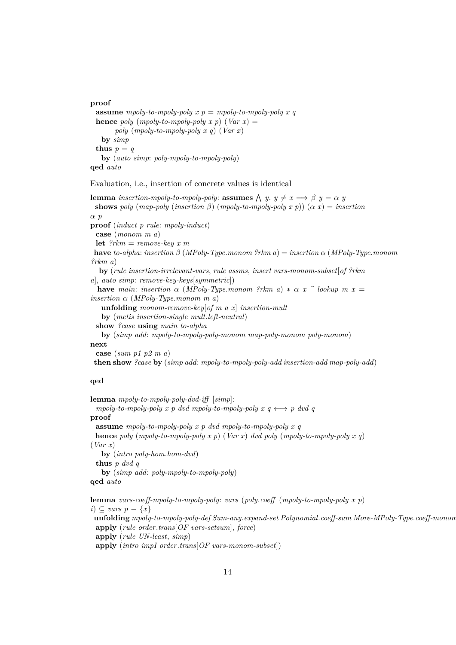**proof assume** *mpoly-to-mpoly-poly x*  $p = m$ *poly-to-mpoly-poly x q* **hence** *poly* (*mpoly-to-mpoly-poly*  $x$   $p$ ) (*Var*  $x$ ) = *poly* (*mpoly-to-mpoly-poly x q*) (*Var x*) **by** *simp* **thus**  $p = q$ 

## **by** (*auto simp*: *poly-mpoly-to-mpoly-poly*) **qed** *auto*

Evaluation, i.e., insertion of concrete values is identical

**lemma** *insertion-mpoly-to-mpoly-poly:* **assumes**  $\bigwedge y$ .  $y \neq x \implies \beta$   $y = \alpha$  *y* **shows** *poly* (*map-poly* (*insertion*  $\beta$ ) (*mpoly-to-mpoly-poly*  $x$   $p$ )) ( $\alpha$   $x$ ) = *insertion* α *p* **proof** (*induct p rule*: *mpoly-induct*) **case** (*monom m a*) **let** *?rkm* = *remove-key x m* **have** *to-alpha*: *insertion* β (*MPoly-Type*.*monom ?rkm a*) = *insertion* α (*MPoly-Type*.*monom ?rkm a*) **by** (*rule insertion-irrelevant-vars*, *rule assms*, *insert vars-monom-subset*[*of ?rkm a*], *auto simp*: *remove-key-keys*[*symmetric*]) **have** *main*: *insertion*  $\alpha$  (*MPoly-Type.monom* ?*rkm*  $a$ ) \*  $\alpha$  *x*  $\alpha$  *bookup m x* = *insertion* α (*MPoly-Type*.*monom m a*) **unfolding** *monom-remove-key*[*of m a x*] *insertion-mult* **by** (*metis insertion-single mult*.*left-neutral*) **show** *?case* **using** *main to-alpha* **by** (*simp add*: *mpoly-to-mpoly-poly-monom map-poly-monom poly-monom*) **next case** (*sum p1 p2 m a*) **then show** *?case* **by** (*simp add*: *mpoly-to-mpoly-poly-add insertion-add map-poly-add*)

#### **qed**

**lemma** *mpoly-to-mpoly-poly-dvd-iff* [*simp*]:  $mpoly-to-mpoly-poly$  x p dvd  $mpoly-to-mpoly-poly$  x  $q \leftrightarrow p$  dvd q **proof assume** *mpoly-to-mpoly-poly x p dvd mpoly-to-mpoly-poly x q* **hence** *poly* (*mpoly-to-mpoly-poly x p*) (*Var x*) *dvd poly* (*mpoly-to-mpoly-poly x q*) (*Var x*) **by** (*intro poly-hom*.*hom-dvd*) **thus** *p dvd q* **by** (*simp add*: *poly-mpoly-to-mpoly-poly*) **qed** *auto*

**lemma** *vars-coeff-mpoly-to-mpoly-poly*: *vars* (*poly*.*coeff* (*mpoly-to-mpoly-poly x p*) *i*) ⊂ *vars*  $p - \{x\}$ **unfolding** *mpoly-to-mpoly-poly-def Sum-any*.*expand-set Polynomial*.*coeff-sum More-MPoly-Type*.*coeff-monom* **apply** (*rule order*.*trans*[*OF vars-setsum*], *force*) **apply** (*rule UN-least*, *simp*) **apply** (*intro impI order*.*trans*[*OF vars-monom-subset*])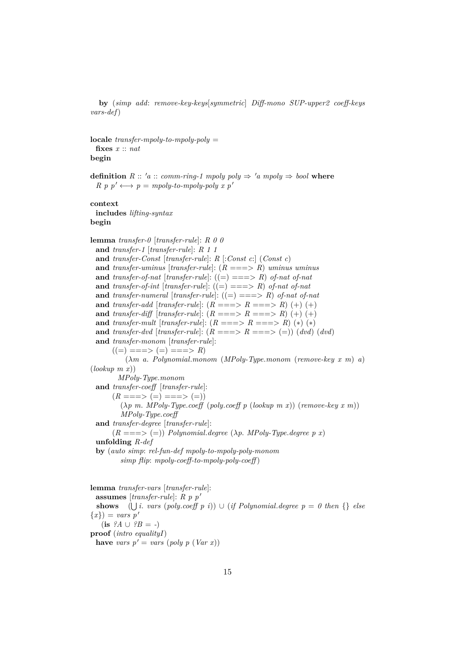**by** (*simp add*: *remove-key-keys*[*symmetric*] *Diff-mono SUP-upper2 coeff-keys vars-def*)

**locale** *transfer-mpoly-to-mpoly-poly* = **fixes** *x* :: *nat* **begin**

**definition**  $R :: 'a :: comm\text{-}ring-1 \text{ m} poly \text{ poly} \Rightarrow 'a \text{ m} poly \Rightarrow bool$  where  $R \, p \, p' \longleftrightarrow p = m \text{poly-to-mpoly-poly } x \, p'$ 

**context**

**includes** *lifting-syntax*

### **begin**

**lemma** *transfer-0* [*transfer-rule*]: *R 0 0* **and** *transfer-1* [*transfer-rule*]: *R 1 1* **and** *transfer-Const* [*transfer-rule*]: *R* [:*Const c*:] (*Const c*) **and** *transfer-uminus* [*transfer-rule*]: (*R* ===> *R*) *uminus uminus* **and** *transfer-of-nat* [*transfer-rule*]:  $((=) == > R)$  *of-nat of-nat* **and** *transfer-of-int* [*transfer-rule*]:  $((=)===>R)$  *of-nat of-nat* **and** *transfer-numeral* [*transfer-rule*]: ((=) ===> *R*) *of-nat of-nat* **and** *transfer-add* [*transfer-rule*]:  $(R ==-> R ==-> R) (+) (+)$ **and** *transfer-diff* [*transfer-rule*]:  $(R ==-> R ==-> R) (+) (+)$ **and** *transfer-mult* [*transfer-rule*]:  $(R ==-> R ==-> R) (*) (*)$ **and** *transfer-dvd* [*transfer-rule*]:  $(R ==-> R ==-> (=))$  (*dvd*) (*dvd*) **and** *transfer-monom* [*transfer-rule*]:  $((=) ==-> (=) ==-> R)$ (λ*m a*. *Polynomial*.*monom* (*MPoly-Type*.*monom* (*remove-key x m*) *a*) (*lookup m x*)) *MPoly-Type*.*monom* **and** *transfer-coeff* [*transfer-rule*]:  $(R ==-> (=) ==-> (=))$ (λ*p m*. *MPoly-Type*.*coeff* (*poly*.*coeff p* (*lookup m x*)) (*remove-key x m*)) *MPoly-Type*.*coeff* **and** *transfer-degree* [*transfer-rule*]:  $(R ==-> (=))$  *Polynomial.degree*  $(\lambda p. \text{ MPoly-Type.degree } p x)$ **unfolding** *R-def* **by** (*auto simp*: *rel-fun-def mpoly-to-mpoly-poly-monom simp flip*: *mpoly-coeff-to-mpoly-poly-coeff* ) **lemma** *transfer-vars* [*transfer-rule*]:

**assumes** [*transfer-rule*]:  $R p p'$ **shows**  $(\bigcup i$ . *vars* (*poly.coeff p i*))  $\cup$  (*if Polynomial.degree p* = 0 then {} *else*  ${x}$ ) = *vars*  $p'$  $($ **is**  $?A \cup ?B = -)$ **proof** (*intro equalityI*) **have** *vars*  $p' = vars (poly p (Var x))$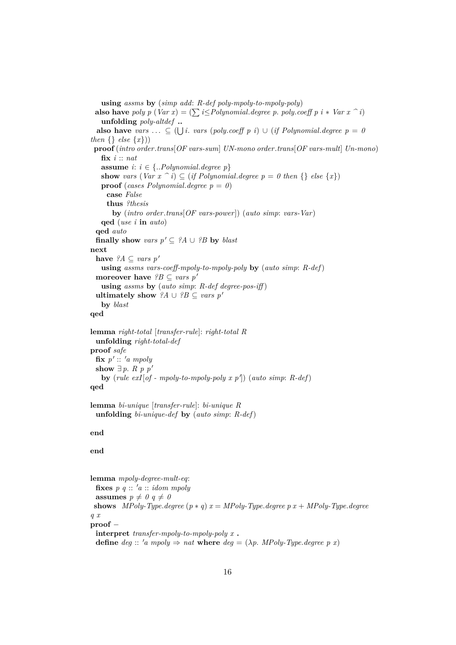**using** *assms* **by** (*simp add*: *R-def poly-mpoly-to-mpoly-poly*) **also have** *poly p* (*Var x*) = ( $\sum i \leq$ *Polynomial.degree p. poly.coeff p i* \* *Var x*  $\hat{i}$ ) **unfolding** *poly-altdef* **.. also have** *vars* ...  $\subseteq$  ( $\bigcup$  *i*. *vars* (*poly.coeff p i*)  $\cup$  (*if Polynomial.degree p* = *0 then*  $\{ \}$  *else*  $\{x\})$ **proof** (*intro order*.*trans*[*OF vars-sum*] *UN-mono order*.*trans*[*OF vars-mult*] *Un-mono*) **fix** *i* :: *nat* **assume**  $i: i \in \{..Polynomial.degree p\}$ **show** *vars* (*Var*  $x \, \hat{\,} i$ )  $\subseteq$  (*if Polynomial.degree p* = 0 *then* {} *else* {*x*}) **proof** (*cases Polynomial.degree p* = 0) **case** *False* **thus** *?thesis* **by** (*intro order*.*trans*[*OF vars-power*]) (*auto simp*: *vars-Var*) **qed** (*use i* **in** *auto*) **qed** *auto* **finally show** *vars*  $p' \subseteq ?A \cup ?B$  **by** *blast* **next have**  $?A \subseteq vars p'$ **using** *assms vars-coeff-mpoly-to-mpoly-poly* **by** (*auto simp*: *R-def*) **moreover have**  $?B \subseteq vars p'$ **using** *assms* **by** (*auto simp*: *R-def degree-pos-iff* ) **ultimately show** *?A* ∪ *?B* ⊆ *vars*  $p'$ **by** *blast* **qed lemma** *right-total* [*transfer-rule*]: *right-total R* **unfolding** *right-total-def* **proof** *safe*  $\mathbf{fix}\ p' :: 'a\ mpoly$ **show** ∃ *p*. *R p*  $p'$ by  $(rule \; exI[of - mpoly-to-mpoly-poly \; x \; p'])$   $(auto \; simp: R-def)$ **qed lemma** *bi-unique* [*transfer-rule*]: *bi-unique R* **unfolding** *bi-unique-def* **by** (*auto simp*: *R-def*) **end end lemma** *mpoly-degree-mult-eq*: **fixes**  $p \ q :: 'a :: idom \ m poly$ **assumes**  $p \neq 0$   $q \neq 0$ **shows** *MPoly-Type.degree*  $(p * q) x = MPoly-Type.degree p x + MPoly-Type.degree$ *q x* **proof** − **interpret** *transfer-mpoly-to-mpoly-poly x* **.**

**define** *deg* :: '*a mpoly*  $\Rightarrow$  *nat* **where** *deg* = ( $\lambda p$ *. MPoly-Type.degree p x*)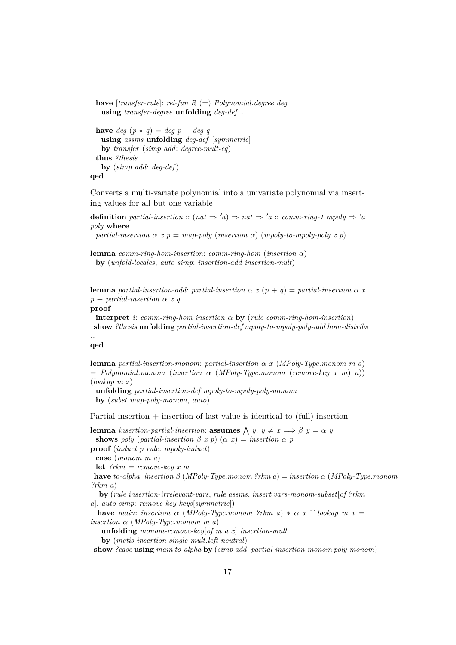```
have [transfer-rule]: rel-fun R (=) Polynomial.degree deg
 using transfer-degree unfolding deg-def .
```

```
have deq (p * q) = deq p + deq q
 using assms unfolding deg-def [symmetric]
 by transfer (simp add: degree-mult-eq)
thus ?thesis
 by (simp add: deg-def)
```
**qed**

Converts a multi-variate polynomial into a univariate polynomial via inserting values for all but one variable

**definition** *partial-insertion* :: (*nat*  $\Rightarrow$  '*a*)  $\Rightarrow$  *nat*  $\Rightarrow$  '*a* :: *comm-ring-1 mpoly*  $\Rightarrow$  '*a poly* **where**

*partial-insertion*  $\alpha$  *x*  $p = map-poly$  (*insertion*  $\alpha$ ) (*mpoly-to-mpoly-poly x p*)

**lemma** *comm-ring-hom-insertion*: *comm-ring-hom* (*insertion* α) **by** (*unfold-locales*, *auto simp*: *insertion-add insertion-mult*)

**lemma** *partial-insertion-add: partial-insertion*  $\alpha x (p + q) =$  *partial-insertion*  $\alpha x$ *p* + *partial-insertion* α *x q*

**proof** −

**interpret** *i*: *comm-ring-hom insertion* α **by** (*rule comm-ring-hom-insertion*) **show** *?thesis* **unfolding** *partial-insertion-def mpoly-to-mpoly-poly-add hom-distribs*

#### **.. qed**

**lemma** *partial-insertion-monom*: *partial-insertion* α *x* (*MPoly-Type*.*monom m a*)  $=$  *Polynomial.monom* (*insertion*  $\alpha$  (*MPoly-Type.monom* (*remove-key x m*) *a*)) (*lookup m x*)

**unfolding** *partial-insertion-def mpoly-to-mpoly-poly-monom* **by** (*subst map-poly-monom*, *auto*)

Partial insertion  $+$  insertion of last value is identical to (full) insertion

**lemma** *insertion-partial-insertion*: **assumes**  $\bigwedge$  *y*.  $y \neq x \implies \beta$  *y* =  $\alpha$  *y* **shows** *poly* (*partial-insertion*  $\beta$  *x p*) ( $\alpha$  *x*) = *insertion*  $\alpha$  *p* **proof** (*induct p rule*: *mpoly-induct*)

**case** (*monom m a*)

**let** *?rkm* = *remove-key x m*

**have** *to-alpha*: *insertion* β (*MPoly-Type*.*monom ?rkm a*) = *insertion* α (*MPoly-Type*.*monom ?rkm a*)

**by** (*rule insertion-irrelevant-vars*, *rule assms*, *insert vars-monom-subset*[*of ?rkm a*], *auto simp*: *remove-key-keys*[*symmetric*])

**have** *main*: *insertion*  $\alpha$  (*MPoly-Type.monom* ?*rkm*  $a$ ) \*  $\alpha$  *x*  $\alpha$  *bookup m x* = *insertion* α (*MPoly-Type*.*monom m a*)

**unfolding** *monom-remove-key*[*of m a x*] *insertion-mult*

**by** (*metis insertion-single mult*.*left-neutral*)

**show** *?case* **using** *main to-alpha* **by** (*simp add*: *partial-insertion-monom poly-monom*)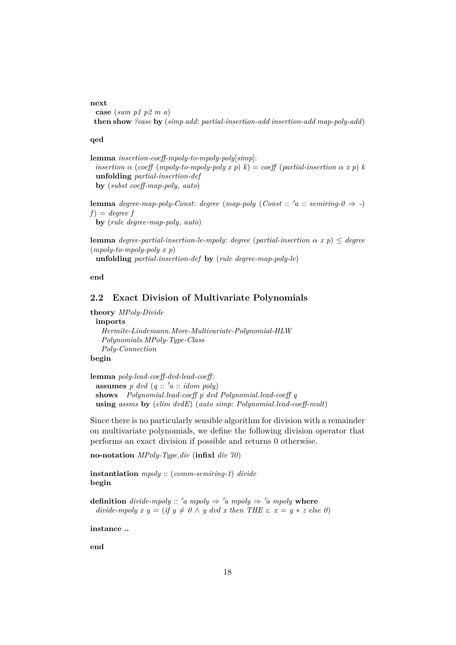#### **next**

```
case (sum p1 p2 m a)
then show ?case by (simp add: partial-insertion-add insertion-add map-poly-add)
```
#### **qed**

```
lemma insertion-coeff-mpoly-to-mpoly-poly[simp]:
 insertion \alpha (coeff (mpoly-to-mpoly-poly x p) k) = coeff (partial-insertion \alpha x p) kunfolding partial-insertion-def
 by (subst coeff-map-poly, auto)
```
**lemma** *degree-map-poly-Const: degree* (*map-poly* (*Const* :: 'a :: *semiring-0*  $\Rightarrow$  -)  $f$ *)* = *degree f* **by** (*rule degree-map-poly*, *auto*)

**lemma** *degree-partial-insertion-le-mpoly*: *degree* (*partial-insertion* α *x p*) ≤ *degree* (*mpoly-to-mpoly-poly x p*)

**unfolding** *partial-insertion-def* **by** (*rule degree-map-poly-le*)

**end**

### <span id="page-17-0"></span>**2.2 Exact Division of Multivariate Polynomials**

**theory** *MPoly-Divide* **imports** *Hermite-Lindemann*.*More-Multivariate-Polynomial-HLW Polynomials*.*MPoly-Type-Class Poly-Connection* **begin**

```
lemma poly-lead-coeff-dvd-lead-coeff :
 assumes p dvd (q:: 'a :: idom poly)shows Polynomial.lead-coeff p dvd Polynomial.lead-coeff q
 using assms by (elim dvdE) (auto simp: Polynomial.lead-coeff-mult)
```
Since there is no particularly sensible algorithm for division with a remainder on multivariate polynomials, we define the following division operator that performs an exact division if possible and returns 0 otherwise.

```
no-notation MPoly-Type.div (infixl div 70)
```
**instantiation** *mpoly* :: (*comm-semiring-1*) *divide* **begin**

**definition** *divide-mpoly* :: 'a mpoly  $\Rightarrow$  'a mpoly  $\Rightarrow$  'a mpoly **where** *divide-mpoly x y = (if y*  $\neq$  *0*  $\land$  *y dvd x then THE z. x = y \* z else 0)* 

**instance ..**

**end**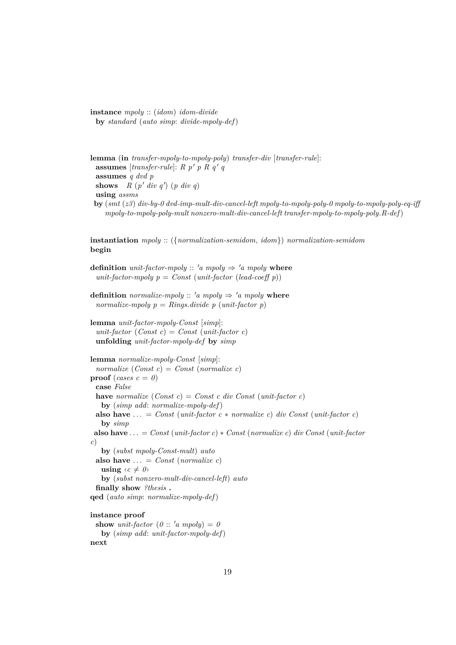**instance** *mpoly* :: (*idom*) *idom-divide* **by** *standard* (*auto simp*: *divide-mpoly-def*)

```
lemma (in transfer-mpoly-to-mpoly-poly) transfer-div [transfer-rule]:
 assumes [transfer-rule]: R p' p R q' qassumes q dvd p
 shows R(p' div q') (p div q)using assms
 by (smt (z3) div-by-0 dvd-imp-mult-div-cancel-left mpoly-to-mpoly-poly-0 mpoly-to-mpoly-poly-eq-iff
    mpoly-to-mpoly-poly-mult nonzero-mult-div-cancel-left transfer-mpoly-to-mpoly-poly.R-def)
```
**instantiation** *mpoly* :: ({*normalization-semidom*, *idom*}) *normalization-semidom* **begin**

```
definition unit-factor-mpoly :: 'a mpoly \Rightarrow 'a mpoly where
  unit-factor-mpoly p = Const (unit-factor (lead-coeff p))
```
**definition** *normalize-mpoly* :: 'a *mpoly*  $\Rightarrow$  'a *mpoly* **where** *normalize-mpoly*  $p = Rings.divide$  *p* (*unit-factor p*)

**lemma** *unit-factor-mpoly-Const* [*simp*]:  $unit-factor (Const c) = Const (unit-factor c)$ **unfolding** *unit-factor-mpoly-def* **by** *simp*

```
lemma normalize-mpoly-Const [simp]:
 normalize (Const c) = Const (normalize c)proof (cases c = 0)
 case False
 have normalize (Const c) = Const c div Const (unit-factor c)
   by (simp add: normalize-mpoly-def)
 also have ... = Const (unit-factor c * normalize c) div Const (unit-factor c)
   by simp
 also have . . . = Const (unit-factor c) ∗ Const (normalize c) div Const (unit-factor
c)
   by (subst mpoly-Const-mult) auto
 also have \ldots = Const (normalize c)
   using \langle c \neq 0 \rangleby (subst nonzero-mult-div-cancel-left) auto
 finally show ?thesis .
qed (auto simp: normalize-mpoly-def)
instance proof
 show unit-factor (0:: 'a \; m\nu b) = 0
```

```
by (simp add: unit-factor-mpoly-def)
next
```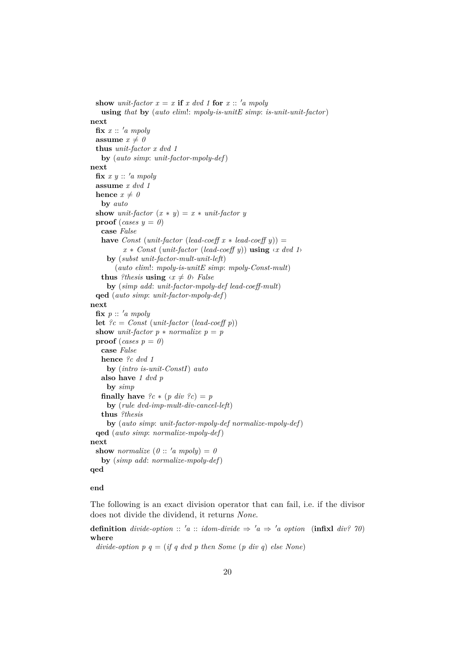```
show unit-factor x = x if x \text{ } dvd 1 for x :: 'a \text{ } m\nu busing that by (auto elim!: mpoly-is-unitE simp: is-unit-unit-factor)
next
 \mathbf{fix} x :: 'a \; mpolyassume x \neq 0thus unit-factor x dvd 1
   by (auto simp: unit-factor-mpoly-def)
next
 \mathbf{fix} x y :: 'a mpoly
 assume x dvd 1
 hence x \neq 0by auto
 show unit-factor (x * y) = x * unit-factor yproof (cases y = 0)
   case False
   have Const (unit-factor (lead-coeff x * lead-coeff y)) =
          x ∗ Const (unit-factor (lead-coeff y)) using ‹x dvd 1›
     by (subst unit-factor-mult-unit-left)
       (auto elim!: mpoly-is-unitE simp: mpoly-Const-mult)
   thus ?thesis using \langle x \neq 0 \rangle False
     by (simp add: unit-factor-mpoly-def lead-coeff-mult)
  qed (auto simp: unit-factor-mpoly-def)
next
 fix p :: 'a \; mpolylet ?c = Const (unit-factor (lead-coeff p))
 show unit-factor p * normalize p = pproof (cases p = \theta)
   case False
   hence ?c dvd 1
     by (intro is-unit-ConstI) auto
   also have 1 dvd p
     by simp
   finally have \mathscr{C}c * (p \ div \mathscr{C}c) = pby (rule dvd-imp-mult-div-cancel-left)
   thus ?thesis
     by (auto simp: unit-factor-mpoly-def normalize-mpoly-def)
 qed (auto simp: normalize-mpoly-def)
next
 show normalize (0:: 'a \; mpoly) = 0by (simp add: normalize-mpoly-def)
qed
```
#### **end**

The following is an exact division operator that can fail, i.e. if the divisor does not divide the dividend, it returns *None*.

**definition** *divide-option* :: 'a :: *idom-divide*  $\Rightarrow$  'a  $\Rightarrow$  'a *option* (**infixl** *div?* 70) **where**

*divide-option p q* = (*if q dvd p then Some* (*p div q*) *else None*)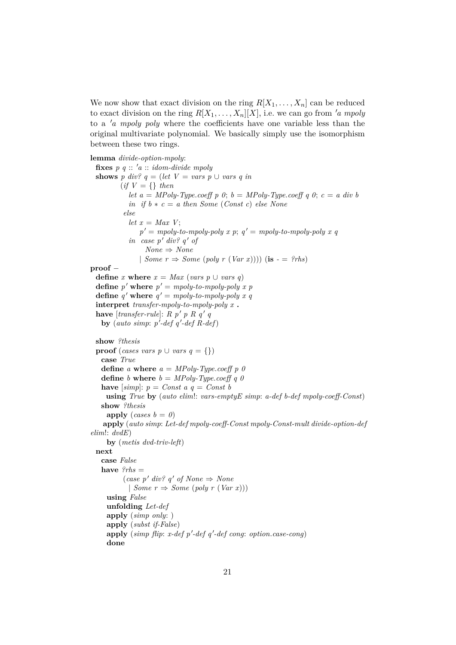We now show that exact division on the ring  $R[X_1, \ldots, X_n]$  can be reduced to exact division on the ring  $R[X_1, \ldots, X_n][X]$ , i.e. we can go from 'a mpoly to a '*a mpoly poly* where the coefficients have one variable less than the original multivariate polynomial. We basically simply use the isomorphism between these two rings.

```
lemma divide-option-mpoly:
 fixes p \ q :: 'a :: idom-divide \ mpolyshows p div? q = (let \ V = vars \ p \cup vars \ q \ in(if V = \{\} thenlet a = MPoly-Type.coeff p 0; b = MPoly-Type.coeff q 0; c = a div bin if b * c = a then Some (Const c) else None
          else
            let x = Max V;
               p' = mpoly-to-mpoly-poly x p; q' = mpoly-to-mpoly-poly x qin \; case \; p' \; div? \; a' \; ofNone \Rightarrow None| Some r \Rightarrow Some (poly r (Var x)))) (is - = ?rhs)
proof −
 define x where x = Max (vars p \cup vars q)define p' where p' = mpoly-to-mpoly-poly x pdefine q' where q' = mpoly-to-mpoly-poly x qinterpret transfer-mpoly-to-mpoly-poly x .
  have [transfer\text{-}rule]: R p' p R q' qby (auto simp: p'-def q'-def R-def)
 show ?thesis
 proof (cases vars p ∪ vars q = {})
   case True
   define a where a = MPoly-Type.coeff p 0
   define b where b = MPoly-Type.coeff q 0have [simp]: p = Const \ a \ q = Const \ busing True by (auto elim!: vars-emptyE simp: a-def b-def mpoly-coeff-Const)
   show ?thesis
     apply (cases b = 0)
   apply (auto simp: Let-def mpoly-coeff-Const mpoly-Const-mult divide-option-def
elim!: dvdE)
     by (metis dvd-triv-left)
 next
   case False
   have ?rhs =(\text{case } p' \text{ div? } q' \text{ of None} \Rightarrow \text{None}| Some r \Rightarrow Some (poly r (Var x)))
     using False
     unfolding Let-def
     apply (simp only: )
     apply (subst if-False)
     apply (simp flip: x-def p'-def q'-def cong: option.case-cong)
     done
```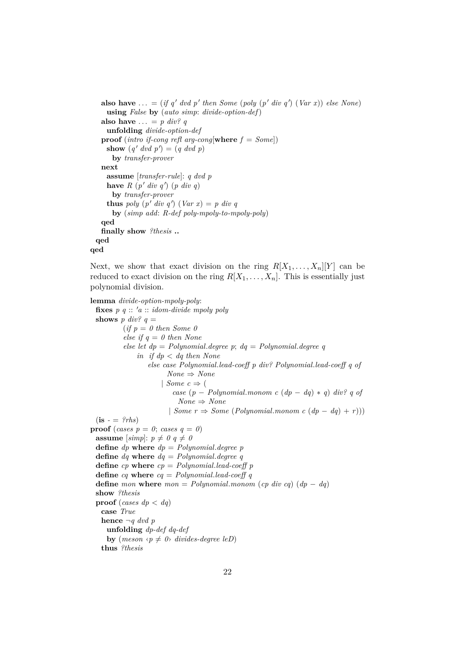```
also have ... = (if q' dvd p' then Some (poly (p' div q') (Var x)) else None)
    using False by (auto simp: divide-option-def)
   also have \ldots = p \ div? qunfolding divide-option-def
   proof (intro if-cong refl arg-cong[where f = Some])
     show (q' dvd p') = (q dvd p)by transfer-prover
   next
    assume [transfer-rule]: q dvd p
     have R(p' div q') (p div q)by transfer-prover
     thus poly (p' div q') (Var x) = p div qby (simp add: R-def poly-mpoly-to-mpoly-poly)
   qed
   finally show ?thesis ..
 qed
qed
```
Next, we show that exact division on the ring  $R[X_1, \ldots, X_n][Y]$  can be reduced to exact division on the ring  $R[X_1, \ldots, X_n]$ . This is essentially just polynomial division.

**lemma** *divide-option-mpoly-poly*: **fixes**  $p \ q :: 'a :: idom-divide \ mpoly \ poly$ **shows**  $p \ div? q =$  $(if p = 0 then Some 0$ *else if q* = *0 then None else let dp* = *Polynomial*.*degree p*; *dq* = *Polynomial*.*degree q in if dp* < *dq then None else case Polynomial*.*lead-coeff p div? Polynomial*.*lead-coeff q of None* ⇒ *None* | *Some*  $c \Rightarrow$  ( *case* (*p* − *Polynomial*.*monom c* (*dp* − *dq*) ∗ *q*) *div? q of None* ⇒ *None* | *Some r* ⇒ *Some* (*Polynomial*.*monom c* (*dp* − *dq*) + *r*)))  $(i\mathbf{s} - \mathbf{a}) \cdot r$ **proof** (*cases p* = *0*; *cases q* = *0*) **assume** [simp]:  $p \neq 0$   $q \neq 0$ **define** *dp* **where** *dp* = *Polynomial*.*degree p* **define** *dq* **where** *dq* = *Polynomial*.*degree q* **define** *cp* **where** *cp* = *Polynomial*.*lead-coeff p* **define** *cq* **where** *cq* = *Polynomial*.*lead-coeff q* **define** *mon* **where**  $mon = Polynomial.monom$  (*cp div cq*)  $(dp - dq)$ **show** *?thesis* **proof** (*cases dp* < *dq*) **case** *True* **hence** ¬*q dvd p* **unfolding** *dp-def dq-def* **by** (*meson*  $\langle p \neq 0 \rangle$  *divides-degree leD*) **thus** *?thesis*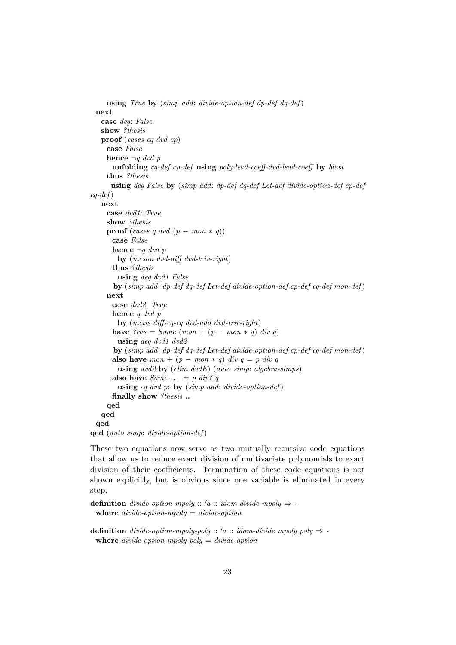```
using True by (simp add: divide-option-def dp-def dq-def)
 next
   case deg: False
   show ?thesis
   proof (cases cq dvd cp)
    case False
    hence ¬q dvd p
      unfolding cq-def cp-def using poly-lead-coeff-dvd-lead-coeff by blast
    thus ?thesis
      using deg False by (simp add: dp-def dq-def Let-def divide-option-def cp-def
cq-def)
   next
    case dvd1: True
    show ?thesis
    proof (cases q dvd (p - mon * q))
      case False
      hence ¬q dvd p
        by (meson dvd-diff dvd-triv-right)
      thus ?thesis
        using deg dvd1 False
      by (simp add: dp-def dq-def Let-def divide-option-def cp-def cq-def mon-def)
    next
      case dvd2: True
      hence q dvd p
        by (metis diff-eq-eq dvd-add dvd-triv-right)
      have ?rhs = Some (mon + (p - mon * q) div q)using deg dvd1 dvd2
      by (simp add: dp-def dq-def Let-def divide-option-def cp-def cq-def mon-def)
      also have mon + (p - mon * q) div q = p div q
        using dvd2 by (elim dvdE) (auto simp: algebra-simps)
      also have Some \ldots = p \ div^q qusing ‹q dvd p› by (simp add: divide-option-def)
      finally show ?thesis ..
    qed
   qed
 qed
qed (auto simp: divide-option-def)
```
These two equations now serve as two mutually recursive code equations that allow us to reduce exact division of multivariate polynomials to exact division of their coefficients. Termination of these code equations is not shown explicitly, but is obvious since one variable is eliminated in every step.

```
definition divide-option-mpoly :: 'a :: idom-divide mpoly \Rightarrow -
 where divide-option-mpoly = divide-option
```
**definition** *divide-option-mpoly-poly* ::  $'a$  :: *idom-divide mpoly poly*  $\Rightarrow$  **where** *divide-option-mpoly-poly* = *divide-option*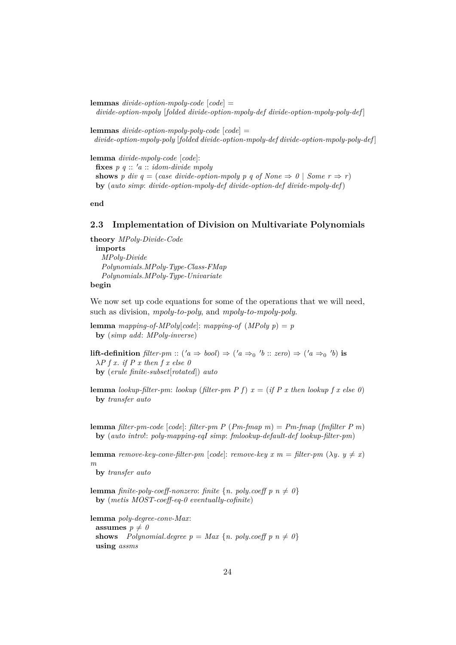**lemmas** *divide-option-mpoly-code* [*code*] = *divide-option-mpoly* [*folded divide-option-mpoly-def divide-option-mpoly-poly-def* ]

**lemmas** *divide-option-mpoly-poly-code* [*code*] = *divide-option-mpoly-poly* [*folded divide-option-mpoly-def divide-option-mpoly-poly-def* ]

**lemma** *divide-mpoly-code* [*code*]: **fixes**  $p \, q :: 'a :: idom-divide \, mpoly$ **shows** *p* div  $q = (case \ divide\text{-}option\text{-}mpoly \ p \ q \ of \ None \Rightarrow \ 0 \ | \ Some \ r \Rightarrow r)$ **by** (*auto simp*: *divide-option-mpoly-def divide-option-def divide-mpoly-def*)

**end**

### <span id="page-23-0"></span>**2.3 Implementation of Division on Multivariate Polynomials**

**theory** *MPoly-Divide-Code* **imports** *MPoly-Divide Polynomials*.*MPoly-Type-Class-FMap Polynomials*.*MPoly-Type-Univariate* **begin**

We now set up code equations for some of the operations that we will need, such as division, *mpoly-to-poly*, and *mpoly-to-mpoly-poly*.

**lemma** *mapping-of-MPoly*[*code*]: *mapping-of* (*MPoly p*) = *p* **by** (*simp add*: *MPoly-inverse*)

**lift-definition**  $filter\text{-}pm :: ('a \Rightarrow bool) \Rightarrow ('a \Rightarrow_0 'b :: zero) \Rightarrow ('a \Rightarrow_0 'b)$  is λ*P f x*. *if P x then f x else 0* **by** (*erule finite-subset*[*rotated*]) *auto*

**lemma** *lookup-filter-pm*: *lookup* (*filter-pm P f*)  $x = (if P x then lookup f x else 0)$ **by** *transfer auto*

**lemma** *filter-pm-code* [*code*]: *filter-pm P* (*Pm-fmap m*) = *Pm-fmap* (*fmfilter P m*) **by** (*auto intro*!: *poly-mapping-eqI simp*: *fmlookup-default-def lookup-filter-pm*)

**lemma** *remove-key-conv-filter-pm* [*code*]: *remove-key x m = filter-pm* ( $\lambda y$ .  $y \neq x$ ) *m*

**by** *transfer auto*

**lemma** *finite-poly-coeff-nonzero: finite*  $\{n. \text{poly.} \text{coeff } p \text{ } n \neq 0\}$ **by** (*metis MOST-coeff-eq-0 eventually-cofinite*)

**lemma** *poly-degree-conv-Max*: **assumes**  $p \neq 0$ **shows** *Polynomial.degree*  $p = Max \{n$ *. <i>poly.coeff*  $p n \neq 0\}$ **using** *assms*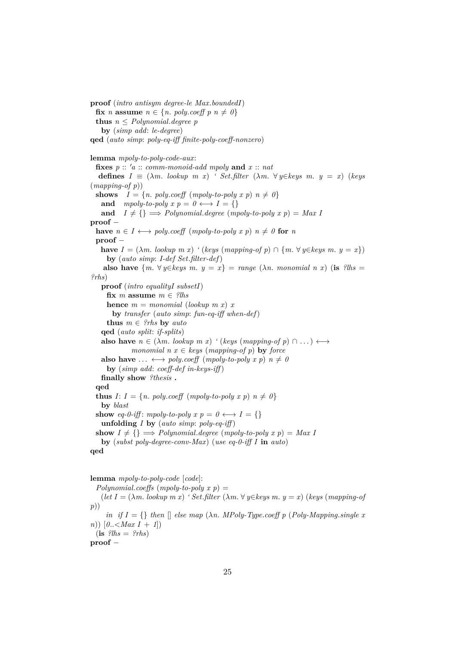**proof** (*intro antisym degree-le Max*.*boundedI*) **fix** *n* **assume**  $n \in \{n$ . *poly.coeff*  $p$   $n \neq 0\}$ **thus**  $n \leq$  *Polynomial. degree p* **by** (*simp add*: *le-degree*) **qed** (*auto simp*: *poly-eq-iff finite-poly-coeff-nonzero*) **lemma** *mpoly-to-poly-code-aux*: **fixes**  $p$  ::  $'a$  :: *comm-monoid-add mpoly* **and**  $x$  :: *nat* **defines**  $I \equiv (\lambda m. \text{lookup } m \text{ } x)$  *' Set.filter*  $(\lambda m. \forall y \in keys \text{ } m. \text{ } y = x)$  (*keys* (*mapping-of p*)) **shows**  $I = \{n. \text{poly.} \text{coeff} \ (mpoly-to-poly \ x \ p) \ n \neq 0\}$ **and** *mpoly-to-poly*  $x \ p = 0 \leftrightarrow I = \{\}$ and  $I \neq \{\} \implies Polynomial \cdot degree \ (mpoly-to-poly \ x \ p) = Max \ I$ **proof** − **have**  $n \in I \leftrightarrow poly.coeff$  (*mpoly-to-poly x p*)  $n \neq 0$  for *n* **proof** − **have**  $I = (\lambda m \cdot \text{lookup } m \ x)$  ' (*keys* (*mapping-of p*)  $\cap$  {*m*.  $\forall y \in \text{keys } m \ y = x$ }) **by** (*auto simp*: *I-def Set*.*filter-def*) **also have**  $\{m \mid \forall y \in \text{keys } m \colon y = x\} = \text{range } (\lambda n \text{. monomial } n \text{ x})$  (**is**  $\{l \in \text{plus } n \neq 0\}$ ) *?rhs*) **proof** (*intro equalityI subsetI*) fix  $m$  assume  $m \in$  ?lhs **hence**  $m = monomial (lookup \, m \, x) \, x$ **by** *transfer* (*auto simp*: *fun-eq-iff when-def*) **thus**  $m \in \{?rhs \text{ by } auto\}$ **qed** (*auto split*: *if-splits*) **also have**  $n \in (\lambda m, \text{lookup } m \text{ x})$  ' (*keys* (*mapping-of p*)  $\cap \dots$ )  $\longleftrightarrow$ *monomial*  $n x \in k$ eys (*mapping-of p*) **by** *force* **also have**  $\ldots \leftrightarrow poly.coeff$  (*mpoly-to-poly x p*)  $n \neq 0$ **by** (*simp add*: *coeff-def in-keys-iff* ) **finally show** *?thesis* **. qed thus**  $I: I = \{n. \text{poly.coeff (mpoly-to-poly x p) } n \neq 0\}$ **by** *blast* **show** *eq-0-iff*: *mpoly-to-poly*  $x \ p = 0 \longleftrightarrow I = \{\}$ **unfolding** *I* **by** (*auto simp*: *poly-eq-iff* ) **show**  $I \neq \{\} \implies$  *Polynomial.degree* (*mpoly-to-poly x p*) = *Max I* **by** (*subst poly-degree-conv-Max*) (*use eq-0-iff I* **in** *auto*) **qed**

**lemma** *mpoly-to-poly-code* [*code*]:

 $Polynomial. coefficients (mpoly-to-poly x p) =$ 

 $(\text{let } I = (\lambda m \text{.} \text{ lookup } m \text{ } x)$  *' Set.filter*  $(\lambda m \text{.} \forall y \in \text{keys } m \text{.} y = x)$  (*keys* (*mapping-of p*))

*in if*  $I = \{\}$  *then*  $\Box$  *else map*  $(\lambda n. \text{ } MPoly-Type.coeff$  *p*  $(Poly-Mapping.single$  *x n*))  $[0, \leq Max \mid I + 1]$ 

 $(i\mathbf{s}$  *?lhs* = *?rhs*)

**proof** −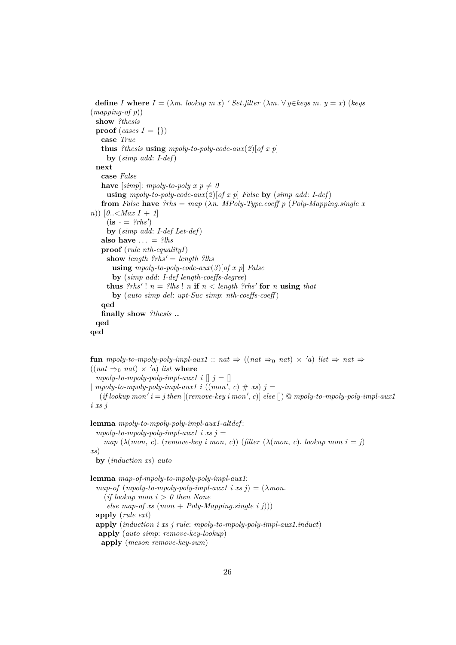**define** *I* where  $I = (\lambda m \cdot \textit{lookup} \ m \ x)$  *' Set.filter*  $(\lambda m \cdot \forall y \in \text{keys} \ m \ y = x)$  (*keys* (*mapping-of p*)) **show** *?thesis* **proof** (*cases I* = {}) **case** *True* **thus** *?thesis* **using** *mpoly-to-poly-code-aux*(*2*)[*of x p*] **by** (*simp add*: *I-def*) **next case** *False* **have** [simp]: mpoly-to-poly  $x \cdot p \neq 0$ **using** *mpoly-to-poly-code-aux*(*2*)[*of x p*] *False* **by** (*simp add*: *I-def*) **from** *False* **have** *?rhs* =  $map (\lambda n. MPoly-Type.coeff p (Poly-Mapping.single x)$ *n*)) [*0*..<*Max I* + *1*]  $(i\mathbf{s} - \mathbf{e} \cdot \mathbf{f} \cdot \mathbf{g})$ **by** (*simp add*: *I-def Let-def*) also have  $\ldots =$  ?lhs **proof** (*rule nth-equalityI*) **show** *length*  $?rhs' = length ?lhs$ **using** *mpoly-to-poly-code-aux*(*3*)[*of x p*] *False* **by** (*simp add*: *I-def length-coeffs-degree*) **thus**  $?rhs'$ !  $n = ?lhs! n$  **if**  $n < length ?rhs'$  for  $n$  **using** that **by** (*auto simp del*: *upt-Suc simp*: *nth-coeffs-coeff* ) **qed finally show** *?thesis* **.. qed qed**

**fun** *mpoly-to-mpoly-poly-impl-aux1* :: *nat*  $\Rightarrow$  ((*nat*  $\Rightarrow$  0 *nat*)  $\times$  'a) *list*  $\Rightarrow$  *nat*  $\Rightarrow$  $((nat \Rightarrow_0 nat) \times 'a)$  *list* where *mpoly-to-mpoly-poly-impl-aux1 i*  $\parallel$  *j* =  $\parallel$  $\mid mpoly-to-mpoly-poly-impl-aux1$  *i*  $((mon', c) \# xs)$  *j* =  $(i\text{if lookup mon'}\ i = \text{j} \ \text{then} \ [(remove-key \ i \ \text{mon'}, \ c)] \ \text{else} [] \ @ \ \text{mpoly-to-mpoly-poly-impl-aux1}$ *i xs j*

**lemma** *mpoly-to-mpoly-poly-impl-aux1-altdef* :  $mpoly-to-mpoly-poly-impl-aux1$  *i*  $xs$  *j* = *map*  $(\lambda (mon, c)$ . (*remove-key i mon, c*)) (*filter*  $(\lambda (mon, c)$ . *lookup mon i* = *j*) *xs*) **by** (*induction xs*) *auto* **lemma** *map-of-mpoly-to-mpoly-poly-impl-aux1*: *map-of*  $(mpoly-to-mpoly-poly-impl-aux1 \text{ i } xs j) = (\lambda mon.$ (*if lookup mon i* > *0 then None else map-of xs* (*mon* + *Poly-Mapping*.*single i j*))) **apply** (*rule ext*) **apply** (*induction i xs j rule*: *mpoly-to-mpoly-poly-impl-aux1*.*induct*) **apply** (*auto simp*: *remove-key-lookup*) **apply** (*meson remove-key-sum*)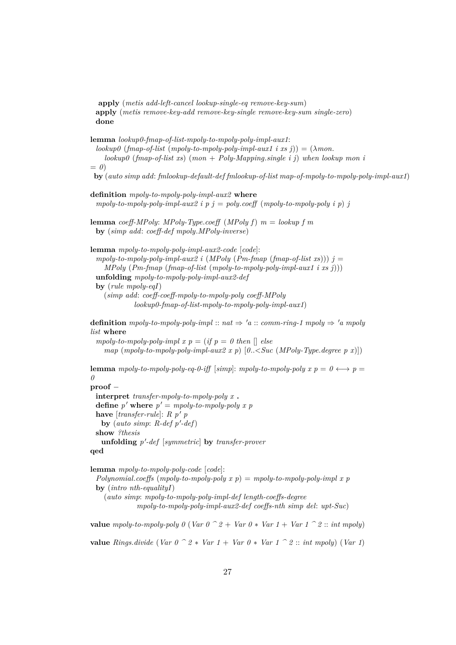**apply** (*metis add-left-cancel lookup-single-eq remove-key-sum*) **apply** (*metis remove-key-add remove-key-single remove-key-sum single-zero*) **done**

**lemma** *lookup0-fmap-of-list-mpoly-to-mpoly-poly-impl-aux1*:  $\langle \text{lookup0} \rangle$  ( $\text{fmap-of-list} \rangle$  (*mpoly-to-mpoly-poly-impl-aux1 i xs j*)) = ( $\lambda$ *mon*. *lookup0* (*fmap-of-list xs*) (*mon* + *Poly-Mapping*.*single i j*) *when lookup mon i*  $=$   $\theta$ ) **by** (*auto simp add*: *fmlookup-default-def fmlookup-of-list map-of-mpoly-to-mpoly-poly-impl-aux1*) **definition** *mpoly-to-mpoly-poly-impl-aux2* **where** *mpoly-to-mpoly-poly-impl-aux2 i p j = poly.coeff* (*mpoly-to-mpoly-poly i p*) *j* **lemma** *coeff-MPoly*: *MPoly-Type*.*coeff* (*MPoly f*) *m* = *lookup f m* **by** (*simp add*: *coeff-def mpoly*.*MPoly-inverse*) **lemma** *mpoly-to-mpoly-poly-impl-aux2-code* [*code*]:  $mpoly-to-mpoly-poly-impl-aux2$  *i* (*MPoly* (*Pm-fmap* (*fmap-of-list xs*)))  $j =$ *MPoly* (*Pm-fmap* (*fmap-of-list* (*mpoly-to-mpoly-poly-impl-aux1 i xs j*))) **unfolding** *mpoly-to-mpoly-poly-impl-aux2-def* **by** (*rule mpoly-eqI*) (*simp add*: *coeff-coeff-mpoly-to-mpoly-poly coeff-MPoly lookup0-fmap-of-list-mpoly-to-mpoly-poly-impl-aux1*) **definition** *mpoly-to-mpoly-poly-impl* :: *nat*  $\Rightarrow 'a$  :: *comm-ring-1 mpoly*  $\Rightarrow 'a$  *mpoly list* **where** *mpoly-to-mpoly-poly-impl x p* = (*if p* = 0 *then*  $\Box$  *else map* (*mpoly-to-mpoly-poly-impl-aux2 x p*) [*0*..<*Suc* (*MPoly-Type*.*degree p x*)]) **lemma** *mpoly-to-mpoly-poly-eq-0-iff* [*simp*]: *mpoly-to-mpoly-poly x p* =  $0 \leftrightarrow p$  = *0* **proof** − **interpret** *transfer-mpoly-to-mpoly-poly x* **. define**  $p'$  where  $p' = mpoly-to-mpoly-poly x p$ **have**  $[transfer\text{-}rule]: R p' p$ by (*auto simp*:  $R$ -def  $p'$ -def) **show** *?thesis* **unfolding** *p* 0 *-def* [*symmetric*] **by** *transfer-prover* **qed lemma** *mpoly-to-mpoly-poly-code* [*code*]: *Polynomial*.*coeffs* (*mpoly-to-mpoly-poly x p*) = *mpoly-to-mpoly-poly-impl x p* **by** (*intro nth-equalityI*) (*auto simp*: *mpoly-to-mpoly-poly-impl-def length-coeffs-degree*

*mpoly-to-mpoly-poly-impl-aux2-def coeffs-nth simp del*: *upt-Suc*)

**value** *mpoly-to-mpoly-poly 0* (*Var*  $0 \text{ } ^{\frown} 2 +$  *Var*  $0 \text{ } ^{\frown} 4$  *Var*  $1 +$  *Var*  $1 \text{ } ^{\frown} 2$  :: *int mpoly*) **value** *Rings.divide* (*Var*  $0 \text{ }^{\frown} 2 * \text{ } \text{Var } 1 + \text{ } \text{Var } 0 * \text{ } \text{Var } 1 \text{ }^{\frown} 2 :: \text{ int } \text{ } \text{mpoly}$ ) (*Var* 1)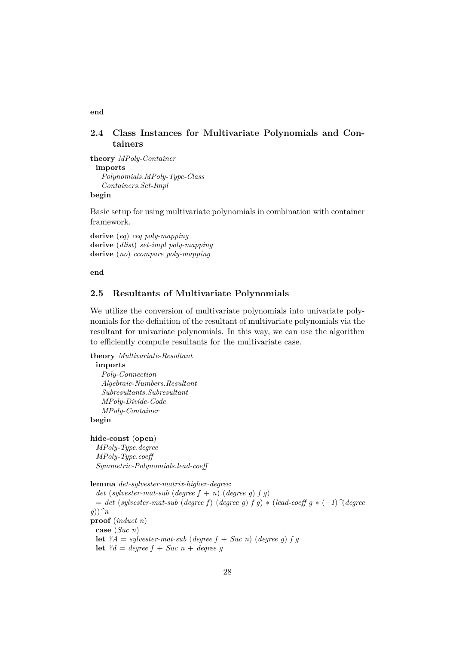## <span id="page-27-0"></span>**2.4 Class Instances for Multivariate Polynomials and Containers**

**theory** *MPoly-Container* **imports** *Polynomials*.*MPoly-Type-Class Containers*.*Set-Impl*

#### **begin**

Basic setup for using multivariate polynomials in combination with container framework.

**derive** (*eq*) *ceq poly-mapping* **derive** (*dlist*) *set-impl poly-mapping* **derive** (*no*) *ccompare poly-mapping*

**end**

## <span id="page-27-1"></span>**2.5 Resultants of Multivariate Polynomials**

We utilize the conversion of multivariate polynomials into univariate polynomials for the definition of the resultant of multivariate polynomials via the resultant for univariate polynomials. In this way, we can use the algorithm to efficiently compute resultants for the multivariate case.

**theory** *Multivariate-Resultant*

**imports** *Poly-Connection Algebraic-Numbers*.*Resultant Subresultants*.*Subresultant MPoly-Divide-Code MPoly-Container* **begin**

**hide-const** (**open**)

*MPoly-Type*.*degree MPoly-Type*.*coeff Symmetric-Polynomials*.*lead-coeff*

**lemma** *det-sylvester-matrix-higher-degree*:

*det* (*sylvester-mat-sub* (*degree*  $f + n$ ) (*degree g*)  $f$  *g*) = *det* (*sylvester-mat-sub* (*degree f*) (*degree g*) *f g*) ∗ (*lead-coeff g* ∗ (−*1*)*^*(*degree g*))*^n* **proof** (*induct n*) **case** (*Suc n*) **let**  $?A = sylvester-mat-sub$  (*degree*  $f + Suc n$ ) (*degree g*)  $f g$ **let**  $?d = degree f + Succ n + degree g$ 

**end**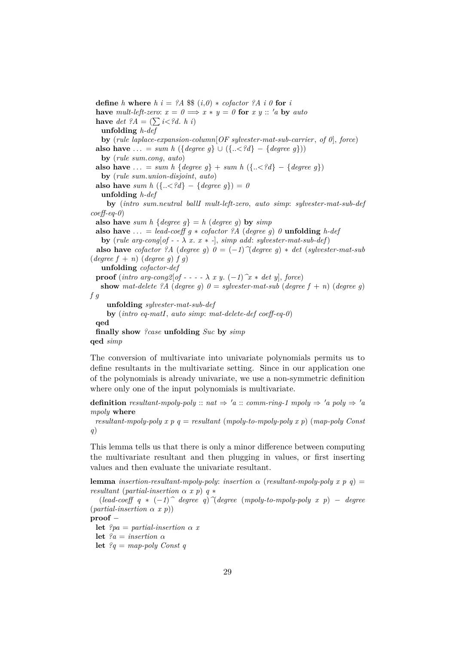**define** *h* **where**  $h$  *i* = ?A \$\$ (*i*, 0) \* *cofactor* ?A *i* 0 **for** *i* **have** *mult-left-zero:*  $x = 0 \implies x * y = 0$  for  $x y :: 'a$  by *auto* **have** *det*  $?A = (\sum i < ?d$ . *h i*) **unfolding** *h-def* **by** (*rule laplace-expansion-column*[*OF sylvester-mat-sub-carrier*, *of 0*], *force*) **also have** ... = *sum h* ({*degree g*} ∪ ({..< *?d*} − {*degree g*})) **by** (*rule sum*.*cong*, *auto*) **also have** ... = *sum h* {*degree g*} + *sum h* ({... < ?*d*} – {*degree g*}) **by** (*rule sum*.*union-disjoint*, *auto*) **also have** *sum h*  $({\{.\langle < ?d\} - {\{degree\}q\}}) = 0$ **unfolding** *h-def* **by** (*intro sum*.*neutral ballI mult-left-zero*, *auto simp*: *sylvester-mat-sub-def coeff-eq-0*) **also have** *sum h* {*degree g*} = *h* (*degree g*) **by** *simp* **also have** ... = *lead-coeff g*  $*$  *cofactor* ?*A* (*degree g*) *0* **unfolding** *h-def* **by** (*rule arg-cong*[ $of - -\lambda x$ . *x* \* -], *simp add: sylvester-mat-sub-def*) **also have** *cofactor ?A* (*degree g*)  $0 = (-1)$   $\hat{d}$  (*degree g*)  $*$  *det* (*sylvester-mat-sub*  $(\text{degree } f + n) (\text{degree } g) f g)$ **unfolding** *cofactor-def* **proof** (*intro arg-cong*2[ $of - - - - \lambda x y$ .  $(-1)$  $x * det y$ ],  $force)$ **show** mat-delete ?A (degree g)  $0 =$  *sylvester-mat-sub* (degree f + *n*) (degree g) *f g* **unfolding** *sylvester-mat-sub-def* **by** (*intro eq-matI*, *auto simp*: *mat-delete-def coeff-eq-0*) **qed finally show** *?case* **unfolding** *Suc* **by** *simp* **qed** *simp*

The conversion of multivariate into univariate polynomials permits us to define resultants in the multivariate setting. Since in our application one of the polynomials is already univariate, we use a non-symmetric definition where only one of the input polynomials is multivariate.

**definition** *resultant-mpoly-poly* ::  $nat \Rightarrow 'a$  :: *comm-ring-1 mpoly*  $\Rightarrow 'a$  *poly*  $\Rightarrow 'a$ *mpoly* **where**

*resultant-mpoly-poly x p q* = *resultant* (*mpoly-to-mpoly-poly x p*) (*map-poly Const q*)

This lemma tells us that there is only a minor difference between computing the multivariate resultant and then plugging in values, or first inserting values and then evaluate the univariate resultant.

**lemma** *insertion-resultant-mpoly-poly*: *insertion*  $\alpha$  (*resultant-mpoly-poly*  $x \cdot p \cdot q$ ) = *resultant* (*partial-insertion*  $\alpha$  *x p*)  $q$  \*

(*lead-coeff q* ∗ (−*1*)*^ degree q*)*^*(*degree* (*mpoly-to-mpoly-poly x p*) − *degree* (*partial-insertion* α *x p*))

**proof** −

**let**  $?pa = partial-insertion \alpha x$ 

**let**  $ia = insertion \alpha$ 

**let** *?q* = *map-poly Const q*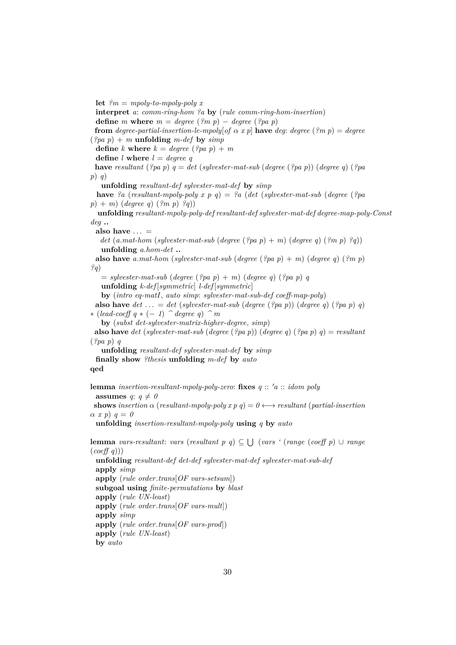**let**  $\mathcal{C}_m = m \times \mathcal{C}_m$  *let*  $\mathcal{C}_m = m \times \mathcal{C}_m$ **interpret** *a*: *comm-ring-hom ?a* **by** (*rule comm-ring-hom-insertion*) **define** *m* **where**  $m = degree (?m p) - degree (?pa p)$ **from** *degree-partial-insertion-le-mpoly*[*of*  $\alpha$  *x p*] **have** *deg: degree* (?*m p*) = *degree*  $(\frac{2pa}{p} + m \text{ unfolding } m\text{-def by } \text{simp})$ **define** *k* **where**  $k = degree (?pa p) + m$ **define** *l* **where** *l* = *degree q* **have** *resultant* (*?pa p*) *q* = *det* (*sylvester-mat-sub* (*degree* (*?pa p*)) (*degree q*) (*?pa p*) *q*) **unfolding** *resultant-def sylvester-mat-def* **by** *simp* **have** *?a* (*resultant-mpoly-poly x p q*) = *?a* (*det* (*sylvester-mat-sub* (*degree* (*?pa p*) + *m*) (*degree q*) (*?m p*) *?q*)) *deg* **.. also have** . . . = *det* (*a*.*mat-hom* (*sylvester-mat-sub* (*degree* (*?pa p*) + *m*) (*degree q*) (*?m p*) *?q*)) **unfolding** *a*.*hom-det* **.. also have** *a*.*mat-hom* (*sylvester-mat-sub* (*degree* (*?pa p*) + *m*) (*degree q*) (*?m p*) *?q*)  $=$  *sylvester-mat-sub* (*degree* (?*pa p*) + *m*) (*degree q*) (?*pa p*) *q* **unfolding** *k-def* [*symmetric*] *l-def* [*symmetric*] **by** (*intro eq-matI*, *auto simp*: *sylvester-mat-sub-def coeff-map-poly*) **also have**  $det \ldots = det (sylvester-mat-sub (degree (?pa p)) (degree q) (?pa p) q)$ ∗ (*lead-coeff q* ∗ (− *1*) *^ degree q*) *^ m* **by** (*subst det-sylvester-matrix-higher-degree*, *simp*) **also have** *det* (*sylvester-mat-sub* (*degree* (*?pa p*)) (*degree q*) (*?pa p*) *q*) = *resultant* (*?pa p*) *q* **unfolding** *resultant-def sylvester-mat-def* **by** *simp* **finally show** *?thesis* **unfolding** *m-def* **by** *auto* **qed lemma** *insertion-resultant-mpoly-poly-zero*: **fixes**  $q$  ::  $'a$  :: *idom poly* **assumes**  $q: q \neq 0$ **shows** *insertion*  $\alpha$  (*resultant-mpoly-poly x p q*) =  $0 \leftrightarrow$  *resultant* (*partial-insertion*  $\alpha \, x \, p) \, q = 0$ **unfolding** *insertion-resultant-mpoly-poly* **using** *q* **by** *auto* **lemma** *vars-resultant*: *vars* (*resultant p q*) ⊆ S (*vars '* (*range* (*coeff p*) ∪ *range* (*coeff q*))) **unfolding** *resultant-def det-def sylvester-mat-def sylvester-mat-sub-def* **apply** *simp* **apply** (*rule order*.*trans*[*OF vars-setsum*]) **subgoal using** *finite-permutations* **by** *blast*

**unfolding** *resultant-mpoly-poly-def resultant-def sylvester-mat-def degree-map-poly-Const*

```
apply (rule UN-least)
apply (rule order.trans[OF vars-mult])
apply simp
apply (rule order.trans[OF vars-prod])
apply (rule UN-least)
by auto
```
30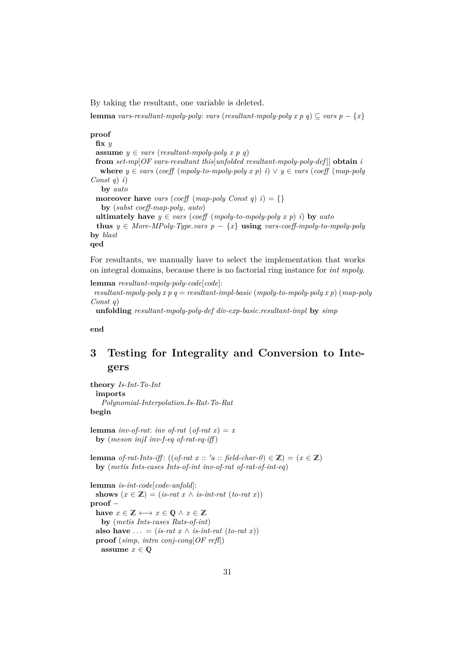By taking the resultant, one variable is deleted.

**lemma** *vars-resultant-mpoly-poly: vars* (*resultant-mpoly-poly*  $x \cdot p$   $q$ )  $\subseteq$  *vars*  $p - \{x\}$ 

**proof fix** *y* **assume**  $y \in vars$  (*resultant-mpoly-poly x p q*) **from** *set-mp*[*OF vars-resultant this*[*unfolded resultant-mpoly-poly-def* ]] **obtain** *i* **where**  $y \in vars$  (*coeff* (*mpoly-to-mpoly-poly*  $x p$ ) *i*) ∨  $y ∈ vars$  (*coeff* (*map-poly Const q*) *i*) **by** *auto* **moreover have** *vars* (*coeff* (*map-poly Const q*)  $i$ ) = {} **by** (*subst coeff-map-poly*, *auto*) **ultimately have**  $y \in vars$  (*coeff* (*mpoly-to-mpoly-poly x p*) *i*) **by** *auto* **thus**  $y \in More-MPoly-Type.vars$   $p - \{x\}$  **using** vars-coeff-mpoly-to-mpoly-poly **by** *blast* **qed**

For resultants, we manually have to select the implementation that works on integral domains, because there is no factorial ring instance for *int mpoly*.

```
lemma resultant-mpoly-poly-code[code]:
 resultant-mpoly-poly x p q = resultant-impl-basic (mpoly-to-mpoly-poly x p) (map-poly
Const q)
```
**unfolding** *resultant-mpoly-poly-def div-exp-basic*.*resultant-impl* **by** *simp*

**end**

## <span id="page-30-0"></span>**3 Testing for Integrality and Conversion to Integers**

**theory** *Is-Int-To-Int* **imports** *Polynomial-Interpolation*.*Is-Rat-To-Rat* **begin**

**lemma** *inv-of-rat*: *inv of-rat* (*of-rat*  $x$ ) = *x* **by** (*meson injI inv-f-eq of-rat-eq-iff* )

**lemma** *of-rat-Ints-iff*: ((*of-rat x* :: '*a* :: *field-char-0*)  $\in \mathbb{Z}$ ) = ( $x \in \mathbb{Z}$ ) **by** (*metis Ints-cases Ints-of-int inv-of-rat of-rat-of-int-eq*)

**lemma** *is-int-code*[*code-unfold*]: **shows**  $(x \in \mathbb{Z}) = (is-rat \ x \wedge is-int-rat \ (to-rat \ x))$ **proof** − **have**  $x \in \mathbb{Z} \longleftrightarrow x \in \mathbb{Q} \land x \in \mathbb{Z}$ **by** (*metis Ints-cases Rats-of-int*) **also have**  $\ldots = (is-rat \ x \wedge is-int-rat \ (to-rat \ x))$ **proof** (*simp*, *intro conj-cong*[*OF refl*]) **assume**  $x \in \mathbb{O}$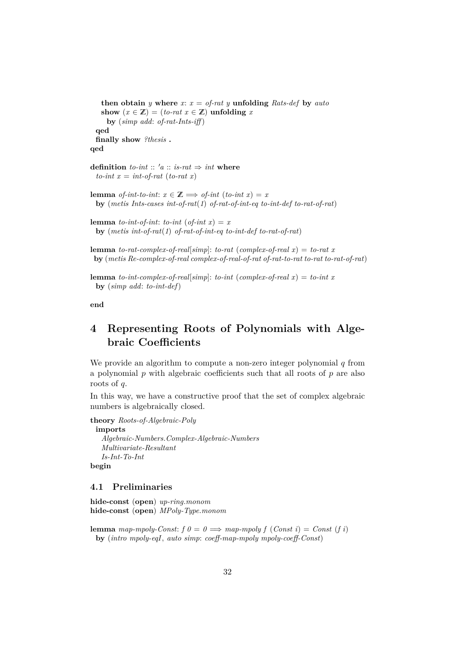**then obtain** *y* where  $x: x =$  *of-rat y* **unfolding** *Rats-def* by *auto* show  $(x \in \mathbb{Z}) = (to-rat \ x \in \mathbb{Z})$  unfolding *x* **by** (*simp add*: *of-rat-Ints-iff* ) **qed finally show** *?thesis* **. qed**

**definition** *to-int* ::  $'a$  :: *is-rat*  $\Rightarrow$  *int* **where**  $to-int x = int-of-rat (to-rat x)$ 

**lemma** *of-int-to-int*:  $x \in \mathbb{Z} \implies$  *of-int* (*to-int x*) = *x* **by** (*metis Ints-cases int-of-rat*(*1*) *of-rat-of-int-eq to-int-def to-rat-of-rat*)

**lemma** *to-int-of-int*: *to-int* (*of-int x*) = *x* **by** (*metis int-of-rat*(*1*) *of-rat-of-int-eq to-int-def to-rat-of-rat*)

**lemma** *to-rat-complex-of-real*[*simp*]: *to-rat* (*complex-of-real x*) = *to-rat x* **by** (*metis Re-complex-of-real complex-of-real-of-rat of-rat-to-rat to-rat to-rat-of-rat*)

**lemma** *to-int-complex-of-real*[*simp*]: *to-int* (*complex-of-real x*) = *to-int x* **by** (*simp add*: *to-int-def*)

**end**

## <span id="page-31-0"></span>**4 Representing Roots of Polynomials with Algebraic Coefficients**

We provide an algorithm to compute a non-zero integer polynomial  $q$  from a polynomial p with algebraic coefficients such that all roots of  $p$  are also roots of q.

In this way, we have a constructive proof that the set of complex algebraic numbers is algebraically closed.

**theory** *Roots-of-Algebraic-Poly*

**imports**

*Algebraic-Numbers*.*Complex-Algebraic-Numbers Multivariate-Resultant Is-Int-To-Int* **begin**

### <span id="page-31-1"></span>**4.1 Preliminaries**

**hide-const** (**open**) *up-ring*.*monom* **hide-const** (**open**) *MPoly-Type*.*monom*

**lemma** *map-mpoly-Const:*  $f \theta = \theta \implies map\text{-}mpoly f (Const i) = Const (f i)$ **by** (*intro mpoly-eqI*, *auto simp*: *coeff-map-mpoly mpoly-coeff-Const*)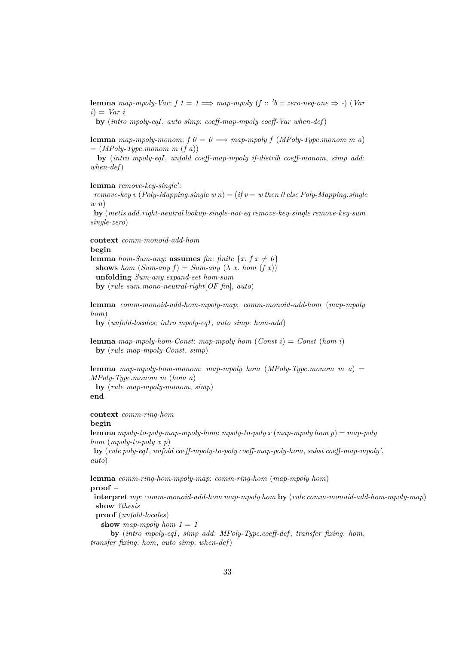**lemma** map-mpoly-Var:  $f \neq 1 \implies map\text{-}mpoly \ (f \ :: \text{'} b \ :: \text{zero-neg-one} \implies \text{-}) \ (Var \ \text{or} \ \text{or} \ \text{-} p)$ *i*) = *Var i*

**by** (*intro mpoly-eqI*, *auto simp*: *coeff-map-mpoly coeff-Var when-def*)

**lemma** *map-mpoly-monom:*  $f \theta = \theta \implies$  *map-mpoly*  $f (MPoly-Type.monom \ m \ a)$  $= (MPoly-Type.monom m (f a))$ 

**by** (*intro mpoly-eqI*, *unfold coeff-map-mpoly if-distrib coeff-monom*, *simp add*: *when-def*)

lemma *remove-key-single'*:

*remove-key v* (*Poly-Mapping.single w n*) = (*if v* = *w then 0 else Poly-Mapping.single w n*)

**by** (*metis add*.*right-neutral lookup-single-not-eq remove-key-single remove-key-sum single-zero*)

**context** *comm-monoid-add-hom* **begin lemma** *hom-Sum-any*: **assumes** *fin*: *finite*  $\{x, f\ x \neq 0\}$ **shows** *hom*  $(Sum-any f) = Sum-any (\lambda x. hom (f x))$ **unfolding** *Sum-any*.*expand-set hom-sum* **by** (*rule sum*.*mono-neutral-right*[*OF fin*], *auto*)

**lemma** *comm-monoid-add-hom-mpoly-map*: *comm-monoid-add-hom* (*map-mpoly hom*)

**by** (*unfold-locales*; *intro mpoly-eqI*, *auto simp*: *hom-add*)

**lemma** *map-mpoly-hom-Const*: *map-mpoly hom* (*Const i*) = *Const* (*hom i*) **by** (*rule map-mpoly-Const*, *simp*)

**lemma** *map-mpoly-hom-monom*: *map-mpoly hom* (*MPoly-Type*.*monom m a*) = *MPoly-Type*.*monom m* (*hom a*) **by** (*rule map-mpoly-monom*, *simp*) **end**

**context** *comm-ring-hom*

**begin**

```
lemma mpoly-to-poly-map-mpoly-hom: mpoly-to-poly x (map-mpoly hom p) = map-poly
hom (mpoly-to-poly x p)
```
by (rule poly-eqI, unfold coeff-mpoly-to-poly coeff-map-poly-hom, subst coeff-map-mpoly', *auto*)

**lemma** *comm-ring-hom-mpoly-map*: *comm-ring-hom* (*map-mpoly hom*)

**proof** −

**interpret** *mp*: *comm-monoid-add-hom map-mpoly hom* **by** (*rule comm-monoid-add-hom-mpoly-map*) **show** *?thesis*

**proof** (*unfold-locales*)

show map-mpoly hom  $1 = 1$ 

**by** (*intro mpoly-eqI*, *simp add*: *MPoly-Type*.*coeff-def* , *transfer fixing*: *hom*, *transfer fixing*: *hom*, *auto simp*: *when-def*)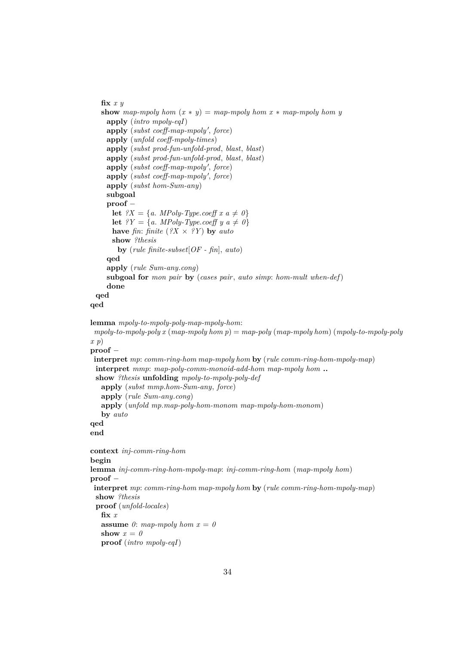```
fix x y
   show map-mpoly hom (x * y) = map-mpoly hom x * map-mpoly hom yapply (intro mpoly-eqI)
    apply (subst coeff-map-mpoly', force)
    apply (unfold coeff-mpoly-times)
    apply (subst prod-fun-unfold-prod, blast, blast)
    apply (subst prod-fun-unfold-prod, blast, blast)
    apply (subst coeff-map-mpoly', force)
    apply (subst coeff-map-mpoly', force)
    apply (subst hom-Sum-any)
    subgoal
    proof −
      let ?X = \{a. \; MPoly-Type.coeff \; x \; a \neq 0\}let ?Y = \{a. \; MPoly-Type.coeff \; y \; a \neq 0\}have fin: finite (?X \times ?Y) by auto
      show ?thesis
       by (rule finite-subset[OF - fin], auto)
    qed
    apply (rule Sum-any.cong)
    subgoal for mon pair by (cases pair, auto simp: hom-mult when-def)
    done
 qed
qed
lemma mpoly-to-mpoly-poly-map-mpoly-hom:
 mpoly-to-mpoly-poly x (map-mpoly hom p) = map-poly (map-mpoly hom) (mpoly-to-mpoly-poly
x p)
proof −
interpret mp: comm-ring-hom map-mpoly hom by (rule comm-ring-hom-mpoly-map)
 interpret mmp: map-poly-comm-monoid-add-hom map-mpoly hom ..
 show ?thesis unfolding mpoly-to-mpoly-poly-def
   apply (subst mmp.hom-Sum-any, force)
   apply (rule Sum-any.cong)
   apply (unfold mp.map-poly-hom-monom map-mpoly-hom-monom)
   by auto
qed
end
context inj-comm-ring-hom
begin
lemma inj-comm-ring-hom-mpoly-map: inj-comm-ring-hom (map-mpoly hom)
proof −
interpret mp: comm-ring-hom map-mpoly hom by (rule comm-ring-hom-mpoly-map)
 show ?thesis
 proof (unfold-locales)
   fix x
   assume \theta: map-mpoly hom x = \thetashow x = 0proof (intro mpoly-eqI)
```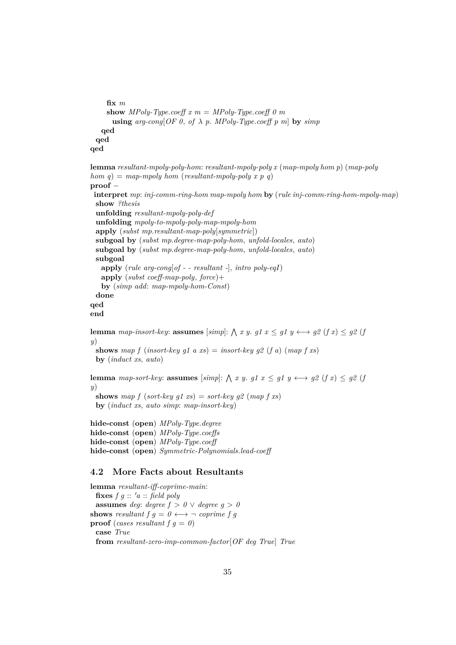```
fix m
    show MPoly-Type.coeff x m = MPoly-Type.coeff 0 m
      using arg\text{-}cong[OF\ 0, \ of\ \lambda\ p. \ MPoly-Type.coeff\ p\ m] by simpqed
 qed
qed
lemma resultant-mpoly-poly-hom: resultant-mpoly-poly x (map-mpoly hom p) (map-poly
hom q) = map-mpoly hom (resultant-mpoly-poly x p q)
proof −
 interpret mp: inj-comm-ring-hom map-mpoly hom by (rule inj-comm-ring-hom-mpoly-map)
 show ?thesis
 unfolding resultant-mpoly-poly-def
 unfolding mpoly-to-mpoly-poly-map-mpoly-hom
 apply (subst mp.resultant-map-poly[symmetric])
 subgoal by (subst mp.degree-map-poly-hom, unfold-locales, auto)
 subgoal by (subst mp.degree-map-poly-hom, unfold-locales, auto)
 subgoal
   apply (rule arg-cong[of - - resultant -], intro poly-eqI)
   apply (subst coeff-map-poly, force)+
   by (simp add: map-mpoly-hom-Const)
 done
qed
end
lemma map-insort-key: assumes [simp]: \bigwedge x y. g1 x \leq g1 y \leftrightarrow g2 (f x) \leq g2 (j
y)
 shows map f (insort-key al a xs) = insort-key al (f a) (map f xs)
 by (induct xs, auto)
lemma map-sort-key: assumes [simp]: \bigwedge x y. g1 x \leq g1 y \longleftrightarrow g2 (f x) \leq g2 (j
y)
```
**shows** map  $f$  (*sort-key g1 xs*) = *sort-key g2* (*map f xs*) **by** (*induct xs*, *auto simp*: *map-insort-key*)

**hide-const** (**open**) *MPoly-Type*.*degree* **hide-const** (**open**) *MPoly-Type*.*coeffs* **hide-const** (**open**) *MPoly-Type*.*coeff* **hide-const** (**open**) *Symmetric-Polynomials*.*lead-coeff*

## <span id="page-34-0"></span>**4.2 More Facts about Resultants**

**lemma** *resultant-iff-coprime-main*: **fixes**  $f \circ g :: 'a :: \text{field poly}$ **assumes** *deg*: *degree*  $f > 0 \vee$  *degree*  $g > 0$ **shows** *resultant*  $f \circ g = 0 \leftrightarrow \neg$  *coprime*  $f \circ g$ **proof** (*cases resultant f g = 0*) **case** *True* **from** *resultant-zero-imp-common-factor*[*OF deg True*] *True*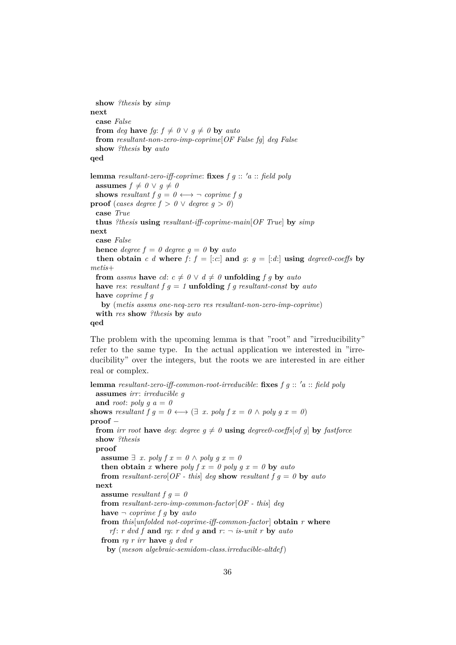```
show ?thesis by simp
next
 case False
 from deg have fg: f \neq 0 \vee q \neq 0 by auto
 from resultant-non-zero-imp-coprime[OF False fg] deg False
 show ?thesis by auto
qed
lemma resultant-zero-iff-coprime: fixes f g :: 'a :: field poly
 assumes f \neq 0 \vee g \neq 0shows resultant f \, g = 0 \leftrightarrow \neg coprime f \, gproof (cases degree f > 0 \vee degree g > 0)
 case True
 thus ?thesis using resultant-iff-coprime-main[OF True] by simp
next
 case False
 hence degree f = 0 degree g = 0 by auto
 then obtain c d where f: f = [c:] and g: g = [d:] using degree0\text{-}coeffs by
metis+
 from assms have cd: c \neq 0 \lor d \neq 0 unfolding f g by autohave res: resultant f g = 1 <b>unfolding f g resultant-const by auto
 have coprime f g
   by (metis assms one-neq-zero res resultant-non-zero-imp-coprime)
 with res show ?thesis by auto
qed
```
The problem with the upcoming lemma is that "root" and "irreducibility" refer to the same type. In the actual application we interested in "irreducibility" over the integers, but the roots we are interested in are either real or complex.

**lemma** resultant-zero-iff-common-root-irreducible: fixes f q :: 'a :: field poly **assumes** *irr*: *irreducible g* and *root*:  $poly g a = 0$ **shows** *resultant*  $f \circ g = 0 \leftrightarrow (\exists x \text{, } poly f \circ x = 0 \land poly g \circ x = 0)$ **proof** − **from** *irr root* **have** *deg*: *degree*  $g \neq 0$  **using** *degree0-coeffs*[*of g*] **by** *fastforce* **show** *?thesis* **proof assume**  $∃ x.$  *poly*  $f x = 0 ∆ poly a x = 0$ **then obtain** *x* where *poly*  $f x = \theta$  *poly*  $q x = \theta$  **by** *auto* **from** *resultant-zero*[*OF* - this] *deg* **show** *resultant*  $f \, q = 0$  **by** *auto* **next assume** *resultant*  $f \, g = 0$ **from** *resultant-zero-imp-common-factor*[*OF - this*] *deg* **have**  $\neg$  *coprime*  $f \circ g$  **by** *auto* **from** *this*[*unfolded not-coprime-iff-common-factor*] **obtain** *r* **where** *rf*: *r dvd f* **and** *rg*: *r dvd g* **and** *r*:  $\neg$  *is-unit r* **by** *auto* **from** *rg r irr* **have** *g dvd r* **by** (*meson algebraic-semidom-class*.*irreducible-altdef*)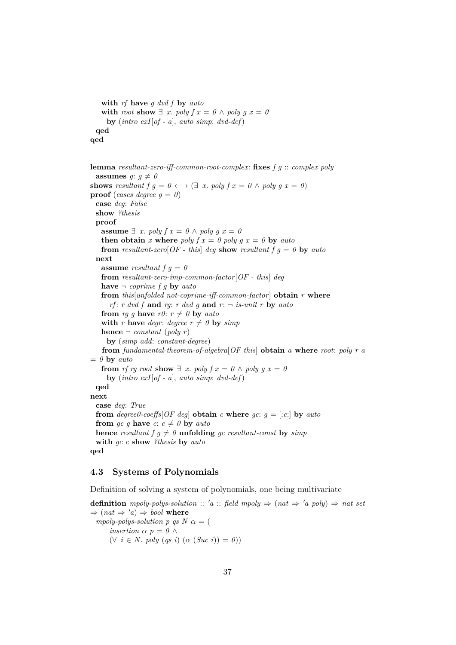```
with rf have g dvd f by auto
   with root show \exists x. poly f x = 0 \land poly g x = 0by (intro exI[of - a], auto simp: dvd-def)
 qed
qed
```
**lemma** *resultant-zero-iff-common-root-complex*: **fixes** *f g* :: *complex poly* **assumes** *g*:  $q \neq 0$ **shows** *resultant*  $f \circ g = 0 \leftrightarrow (\exists x. \text{ poly } f x = 0 \land \text{ poly } g x = 0)$ **proof** (*cases degree*  $q = 0$ ) **case** *deg*: *False* **show** *?thesis* **proof assume**  $∃ x. poly f x = 0 ∧ poly g x = 0$ **then obtain** *x* where *poly*  $f x = 0$  *poly*  $g x = 0$  **by**  $auto$ **from** *resultant-zero*[*OF* - this] *deg* **show** *resultant*  $f \, g = 0$  **by** *auto* **next assume** *resultant*  $f \, g = 0$ **from** *resultant-zero-imp-common-factor*[*OF - this*] *deg* **have**  $\neg$  *coprime*  $f \circ g$  **by**  $auto$ **from** *this*[*unfolded not-coprime-iff-common-factor*] **obtain** *r* **where** *rf*: *r dvd f* **and** *rg*: *r dvd g* **and** *r*:  $\neg$  *is-unit r* **by** *auto* **from** *rg g* **have**  $r\theta$ :  $r \neq \theta$  **by** *auto* **with** *r* **have** *degr*: *degree*  $r \neq 0$  **by** *simp* **hence**  $\neg$  *constant* (*poly r*) **by** (*simp add*: *constant-degree*) **from** *fundamental-theorem-of-algebra*[*OF this*] **obtain** *a* **where** *root*: *poly r a*  $= 0$  **by** *auto* **from** *rf rg root* **show**  $\exists x$ . *poly f*  $x = 0 \land poly g x = 0$ **by** (*intro exI*[*of - a*], *auto simp*: *dvd-def*) **qed next case** *deg*: *True* **from** *degree0-coeffs*[*OF deg*] **obtain** *c* **where**  $gc: g = [c:c]$  **by**  $auto$ **from** *gc* g **have**  $c: c \neq 0$  **by**  $auto$ **hence** *resultant*  $f \circ g \neq 0$  **unfolding** *gc resultant-const* **by** *simp* **with** *gc c* **show** *?thesis* **by** *auto* **qed**

### **4.3 Systems of Polynomials**

Definition of solving a system of polynomials, one being multivariate

**definition** *mpoly-polys-solution* :: 'a :: *field mpoly*  $\Rightarrow$   $(nat \Rightarrow 'a \text{ poly}) \Rightarrow nat set$  $\Rightarrow$   $(nat \Rightarrow 'a) \Rightarrow bool$  where *mpoly-polys-solution p qs N*  $\alpha =$  ( *insertion*  $\alpha$  *p* = *0*  $\land$  $(\forall i \in N. poly (qs i) (\alpha (Suc i)) = 0)$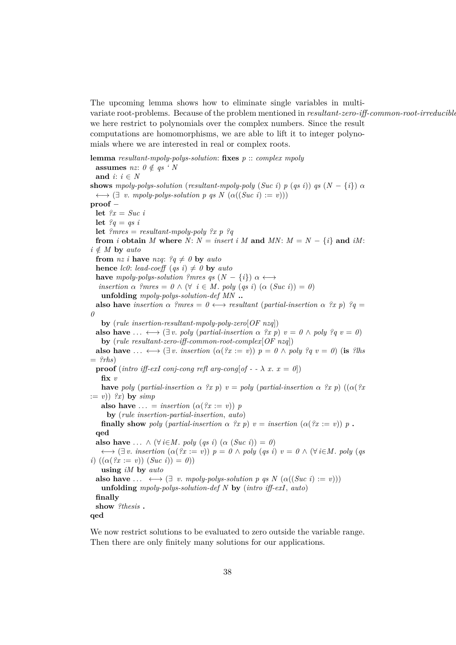The upcoming lemma shows how to eliminate single variables in multivariate root-problems. Because of the problem mentioned in *resultant-zero-iff-common-root-irreducible*, we here restrict to polynomials over the complex numbers. Since the result computations are homomorphisms, we are able to lift it to integer polynomials where we are interested in real or complex roots.

**lemma** *resultant-mpoly-polys-solution*: **fixes** *p* :: *complex mpoly* **assumes** *nz*:  $0 \notin qs$  *'N* and  $i: i \in N$ **shows** *mpoly-polys-solution* (*resultant-mpoly-poly* (*Suc i*) *p* (*qs i*)) *qs* (*N* − {*i*})  $\alpha$  $\longleftrightarrow$   $(\exists v. \text{ mpoly-polys-solution } p \text{ qs } N \text{ } (\alpha((\text{Suc } i) := v)))$ **proof** − **let** *?x* = *Suc i* **let**  $?q = qs i$ **let** *?mres* = *resultant-mpoly-poly ?x p ?q* **from** *i* **obtain** *M* **where**  $N: N = insert i M$  **and**  $MN: M = N - \{i\}$  **and**  $iM$ :  $i \notin M$  **by** *auto* **from** *nz i* **have** *nzq*:  $?q \neq 0$  **by** *auto* **hence** *lc0*: *lead-coeff* (*qs i*)  $\neq$  *0* **by** *auto* **have** mpoly-polys-solution ?mres qs  $(N - \{i\})$   $\alpha \longleftrightarrow$ *insertion*  $\alpha$  *?mres* =  $0 \wedge (\forall i \in M$ . *poly* (*qs i*) ( $\alpha$  (*Suc i*)) = 0) **unfolding** *mpoly-polys-solution-def MN* **.. also have** *insertion*  $\alpha$  *?mres* =  $0 \leftrightarrow$  *resultant* (*partial-insertion*  $\alpha$  *?x p*) *?q* = *0* **by** (*rule insertion-resultant-mpoly-poly-zero*[*OF nzq*]) **also have** ...  $\longleftrightarrow$   $(\exists v. \text{ poly } (partial\-insertion \alpha \ \text{?x } p) \ v = 0 \land poly \text{?q } v = 0)$ **by** (*rule resultant-zero-iff-common-root-complex*[*OF nzq*]) **also have** ...  $\longleftrightarrow$   $(\exists v$ . *insertion*  $(\alpha \, (2x := v))$   $p = 0 \land poly$  ?q  $v = 0$ ) (**is** ?lhs  $=$  *?rhs*) **proof** (*intro iff-exI conj-cong refl arg-cong*[ $of - \lambda x$ .  $x = 0$ ]) **fix** *v* **have** *poly* (*partial-insertion*  $\alpha$  *?x p*)  $v = poly$  (*partial-insertion*  $\alpha$  *?x p*) (( $\alpha$ (*?x*)  $:= v()$  *?x*) **by** *simp* **also have**  $\ldots$  = *insertion*  $(\alpha \mid \mathcal{X} := v)) p$ **by** (*rule insertion-partial-insertion*, *auto*) **finally show** *poly* (*partial-insertion*  $\alpha$  ?x *p*) *v* = *insertion* ( $\alpha$ (?x := *v*)) *p*. **qed also have** ...  $\wedge (\forall i \in M$ . *poly* (*qs i*) ( $\alpha$  (*Suc i*)) = 0)  $\longleftrightarrow$   $(\exists v. \text{ insertion } (\alpha(?x := v)) \mid p = 0 \land poly (qs i) \mid v = 0 \land (\forall i \in M. \text{ poly } (qs$ *i*)  $((\alpha(^{2}x := v)) (Suc i)) = 0)$ **using** *iM* **by** *auto* **also have** ...  $\longleftrightarrow$  ( $\exists$  *v. mpoly-polys-solution p qs N* ( $\alpha((\textit{Suc } i) := v))$ ) **unfolding** *mpoly-polys-solution-def N* **by** (*intro iff-exI*, *auto*) **finally show** *?thesis* **. qed**

We now restrict solutions to be evaluated to zero outside the variable range. Then there are only finitely many solutions for our applications.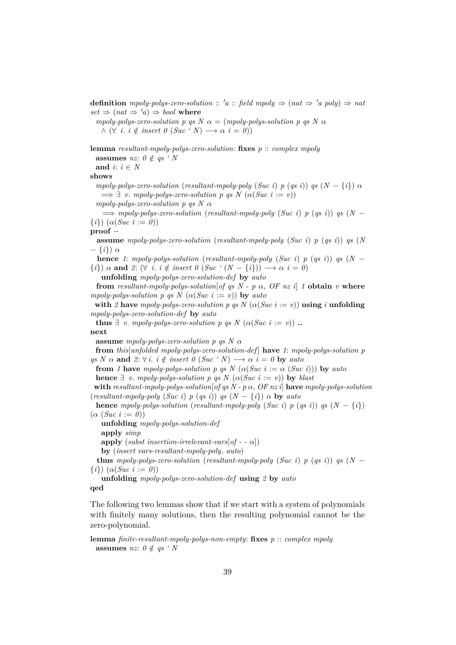**definition**  $mpoly-polys-zero-solution$  ::  $'a$  ::  $field \; mpoly \Rightarrow (nat \Rightarrow 'a \; poly) \Rightarrow nat$  $set \Rightarrow (nat \Rightarrow 'a) \Rightarrow bool$  where

*mpoly-polys-zero-solution p qs N*  $\alpha$  = (*mpoly-polys-solution p qs N*  $\alpha$  $\land$   $(\forall i. i \notin insert \ 0 \ (Suc \ 'N) \longrightarrow \alpha \ i = 0))$ 

**lemma** *resultant-mpoly-polys-zero-solution*: **fixes** *p* :: *complex mpoly* **assumes** *nz*:  $0 \notin \textit{as} ' N$ 

and  $i: i \in N$ 

**shows**

*mpoly-polys-zero-solution* (*resultant-mpoly-poly* (*Suc i*) *p* (*qs i*)) *qs*  $(N - \{i\})$   $\alpha$  $\implies \exists v$ . *mpoly-polys-zero-solution p qs N* ( $\alpha(Suc \ i := v)$ ) *mpoly-polys-zero-solution p qs N* α

 $\implies$  *mpoly-polys-zero-solution* (*resultant-mpoly-poly* (*Suc i*) *p* (*qs i*)) *qs* (*N* −  $\{i\}$ )  $(\alpha(Suc \; i := 0))$ 

**proof** −

**assume** *mpoly-polys-zero-solution* (*resultant-mpoly-poly* (*Suc i*) *p* (*qs i*)) *qs* (*N* − {*i*}) α

**hence** *1*: *mpoly-polys-solution* (*resultant-mpoly-poly* (*Suc i*) *p* (*qs i*)) *qs* (*N* −  $\{i\}$ )  $\alpha$  and  $\ell: (\forall i \in i \notin insert \cup (Suc \cup (N - \{i\})) \longrightarrow \alpha \in \ell = 0)$ 

**unfolding** *mpoly-polys-zero-solution-def* **by** *auto*

**from** *resultant-mpoly-polys-solution* [*of qs N - p*  $\alpha$ *, OF nz i*] *1* **obtain** *v* **where** *mpoly-polys-solution p qs N*  $(\alpha(Suc \ i := v))$  **by** *auto* 

**with** 2 **have** *mpoly-polys-zero-solution p qs N* ( $\alpha(Suc \ i := v)$ ) **using** *i* **unfolding** *mpoly-polys-zero-solution-def* **by** *auto*

**thus**  $\exists v$ . *mpoly-polys-zero-solution p qs N* ( $\alpha(Suc \ i := v)$ ) **..** 

**next**

**assume** *mpoly-polys-zero-solution p qs N* α

**from** *this*[*unfolded mpoly-polys-zero-solution-def* ] **have** *1*: *mpoly-polys-solution p*  $qs N \alpha$  and  $2: \forall i$ .  $i \notin insert \theta$  (*Suc* 'N)  $\longrightarrow \alpha$   $i = \theta$  by *auto* 

**from** *1* **have** *mpoly-polys-solution p qs N*  $(\alpha(Suc \ i := \alpha(Suc \ i)))$  **by** *auto* **hence**  $\exists$  *v. mpoly-polys-solution p qs N* ( $\alpha(Suc \ i := v)$ ) **by** *blast* 

with *resultant-mpoly-polys-solution* [*of qs N - p*  $\alpha$ *, OF nz i*] **have** *mpoly-polys-solution* (*resultant-mpoly-poly* (*Suc i*)  $p$  (*qs i*))  $q$ s ( $N - \{i\}$ )  $\alpha$  by *auto* 

**hence** *mpoly-polys-solution* (*resultant-mpoly-poly* (*Suc i*) *p* (*qs i*)) *qs* (*N* − {*i*})  $(\alpha \ (Suc \ i := 0))$ 

**unfolding** *mpoly-polys-solution-def*

**apply** *simp*

**apply** (*subst insertion-irrelevant-vars*[ $of - \alpha$ ])

**by** (*insert vars-resultant-mpoly-poly*, *auto*)

**thus** *mpoly-polys-zero-solution* (*resultant-mpoly-poly* (*Suc i*) *p* (*qs i*)) *qs* (*N* −  $\{i\}$ )  $(\alpha(Suc \ i := 0))$ 

**unfolding** *mpoly-polys-zero-solution-def* **using** *2* **by** *auto*

**qed**

The following two lemmas show that if we start with a system of polynomials with finitely many solutions, then the resulting polynomial cannot be the zero-polynomial.

**lemma** *finite-resultant-mpoly-polys-non-empty*: **fixes** *p* :: *complex mpoly* **assumes** *nz*:  $0 \notin qs$  *' N*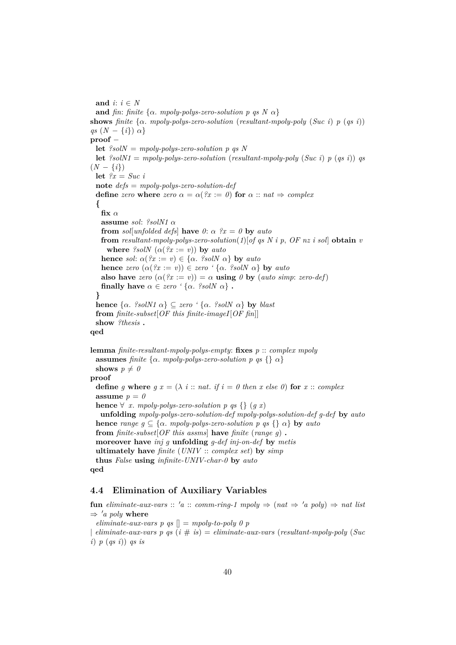and  $i: i \in N$ **and** *fin*: *finite* { $\alpha$ *. mpoly-polys-zero-solution p qs N*  $\alpha$ } **shows** *finite*  $\{\alpha$  *mpoly-polys-zero-solution* (*resultant-mpoly-poly* (*Suc i*)  $p$  ( $qs$  *i*)) *qs*  $(N - \{i\}) \alpha$ **proof** − **let** *?solN* = *mpoly-polys-zero-solution p qs N* **let**  $\ell$ solN1 = *mpoly-polys-zero-solution* (*resultant-mpoly-poly* (*Suc i*) *p* (*qs i*)) *qs*  $(N - \{i\})$ **let**  $\mathscr{C}x = \mathscr{S}uc$  *i* **note** *defs* = *mpoly-polys-zero-solution-def* **define** *zero* **where** *zero*  $\alpha = \alpha$  (?x := 0) **for**  $\alpha$  :: *nat*  $\Rightarrow$  *complex* **{** fix  $\alpha$ **assume** *sol*: *?solN1* α **from** *sol*[*unfolded defs*] **have**  $\theta$ :  $\alpha$   $\hat{x} = \theta$  **by**  $auto$ **from** *resultant-mpoly-polys-zero-solution*( $1$ )[*of as N i p, OF nz i sol*] **obtain**  $v$ **where** *?solN*  $(\alpha(2x := v))$  **by** *auto* **hence** *sol*:  $\alpha$ (?x := v)  $\in$  { $\alpha$ . ?solN  $\alpha$ } **by** *auto* **hence** *zero*  $(\alpha(?x := v)) \in$  *zero*  $'\{\alpha, ?solN \alpha\}$  **by** *auto* **also have** *zero*  $(\alpha(2x := v)) = \alpha$  **using**  $\theta$  **by** (*auto simp*: *zero-def*) **finally have**  $\alpha \in zero$  ' $\{\alpha$ . *?solN*  $\alpha\}$ . **} hence**  $\{\alpha$ *. ?solN1*  $\alpha\} \subseteq \text{zero}$  ' $\{\alpha$ *. ?solN*  $\alpha\}$  **by** *blast* **from** *finite-subset*[*OF this finite-imageI*[*OF fin*]] **show** *?thesis* **. qed lemma** *finite-resultant-mpoly-polys-empty*: **fixes** *p* :: *complex mpoly* **assumes** *finite* { $\alpha$ *. mpoly-polys-zero-solution p qs* {}  $\alpha$ } **shows**  $p \neq 0$ **proof define** *g* **where**  $g x = (\lambda i : \text{if } i = 0 \text{ then } x \text{ else } 0)$  **for**  $x :: \text{complex}$ **assume**  $p = 0$ **hence**  $\forall$  *x*. *mpoly-polys-zero-solution p qs* {} (*g x*)

**unfolding** *mpoly-polys-zero-solution-def mpoly-polys-solution-def g-def* **by** *auto* **hence** *range*  $g \subseteq \{\alpha$ *. mpoly-polys-zero-solution p qs*  $\{\}\alpha\}$  **by** *auto* **from** *finite-subset*[*OF this assms*] **have** *finite* (*range g*) **. moreover have** *inj g* **unfolding** *g-def inj-on-def* **by** *metis* **ultimately have** *finite* (*UNIV* :: *complex set*) **by** *simp* **thus** *False* **using** *infinite-UNIV-char-0* **by** *auto* **qed**

### **4.4 Elimination of Auxiliary Variables**

**fun** eliminate-aux-vars :: 'a :: comm-ring-1 mpoly  $\Rightarrow$  (nat  $\Rightarrow$  'a poly)  $\Rightarrow$  nat list  $\Rightarrow 'a \text{ poly where}$ 

*eliminate-aux-vars p qs*  $\vert \vert = mpoly-to-poly 0 p$ | *eliminate-aux-vars p qs* (*i* # *is*) = *eliminate-aux-vars* (*resultant-mpoly-poly* (*Suc i*) *p* (*qs i*)) *qs is*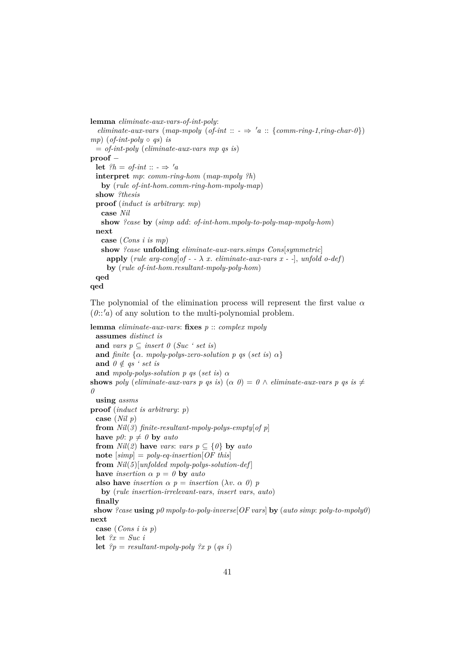```
lemma eliminate-aux-vars-of-int-poly:
  eliminate-aux-vars (map-mpoly (of-int :: \rightarrow 'a :: {comm-ring-1,ring-char-0})
mp) (of-int-poly \circ qs) is
 = of-int-poly (eliminate-aux-vars mp qs is)
proof −
 let ?h = of\text{-}int :: - \Rightarrow 'ainterpret mp: comm-ring-hom (map-mpoly ?h)
   by (rule of-int-hom.comm-ring-hom-mpoly-map)
 show ?thesis
 proof (induct is arbitrary: mp)
   case Nil
   show ?case by (simp add: of-int-hom.mpoly-to-poly-map-mpoly-hom)
 next
   case (Cons i is mp)
   show ?case unfolding eliminate-aux-vars.simps Cons[symmetric]
    apply (rule arg-cong[of - -\lambda x. eliminate-aux-vars x --], unfold o-def)
     by (rule of-int-hom.resultant-mpoly-poly-hom)
 qed
qed
```
The polynomial of the elimination process will represent the first value  $\alpha$  $(0::'a)$  of any solution to the multi-polynomial problem.

**lemma** *eliminate-aux-vars*: **fixes** *p* :: *complex mpoly* **assumes** *distinct is* **and** *vars*  $p \subseteq$  *insert*  $\theta$  (*Suc* ' *set is*) **and** *finite* { $\alpha$ *. mpoly-polys-zero-solution p qs (set is)*  $\alpha$ } **and**  $0 \notin qs$  *' set is* **and** *mpoly-polys-solution p qs* (*set is*)  $\alpha$ **shows** *poly* (*eliminate-aux-vars p qs is*) ( $\alpha$  *0*) =  $0 \wedge$  *eliminate-aux-vars p qs is*  $\neq$ *0* **using** *assms* **proof** (*induct is arbitrary*: *p*) **case** (*Nil p*) **from** *Nil*(*3*) *finite-resultant-mpoly-polys-empty*[*of p*] **have**  $p\theta$ :  $p \neq 0$  **by** *auto* **from**  $Nil(2)$  **have** *vars*: *vars*  $p \subseteq \{0\}$  **by** *auto* **note** [*simp*] = *poly-eq-insertion*[*OF this*] **from** *Nil*(*5*)[*unfolded mpoly-polys-solution-def* ] **have** *insertion*  $\alpha$   $p = 0$  **by** *auto* **also have** *insertion*  $\alpha$   $p = insertion (\lambda v \cdot \alpha 0) p$ **by** (*rule insertion-irrelevant-vars*, *insert vars*, *auto*) **finally show** *?case* **using** *p0 mpoly-to-poly-inverse*[*OF vars*] **by** (*auto simp*: *poly-to-mpoly0*) **next case** (*Cons i is p*) let  $\mathscr{C}x = Suc$  *i* **let**  $?p = resultant-mpoly-poly \; ?x \; p \; (qs \; i)$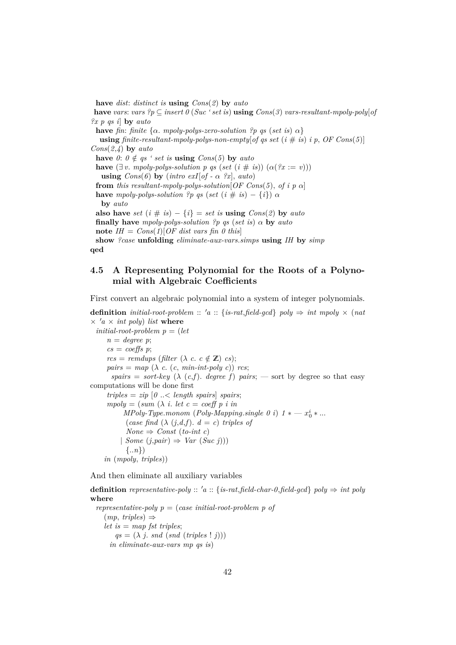**have** *dist*: *distinct is* **using** *Cons*(*2*) **by** *auto* **have** *vars*: *vars*  $?p$  ⊆ *insert*  $0$  (*Suc ' set is*) **using**  $Cons(3)$  *vars-resultant-mpoly-poly*[*of ?x p qs i*] **by** *auto* **have** *fin*: *finite*  $\{\alpha$ *. mpoly-polys-zero-solution*  $\{p \text{ } q\text{s} \text{ } (set \text{ } is) \alpha\}$ **using** *finite-resultant-mpoly-polys-non-empty of qs set*  $(i \# is)$  *i p, OF Cons* $(5)$ ] *Cons*(*2*,*4*) **by** *auto* **have**  $0: 0 \notin qs$  *' set is* **using**  $Cons(5)$  by *auto* **have**  $(\exists v \cdot \text{mpoly-polys-solution } p \text{ as } (set (i \# is)) (\alpha (?x := v)))$ **using**  $Cons(6)$  **by** (*intro exI*[*of -*  $\alpha$  *?x*], *auto*) **from** *this resultant-mpoly-polys-solution* [*OF Cons*(5), *of i p*  $\alpha$ ] **have** *mpoly-polys-solution* ?*p qs* (*set* (*i* # *is*) – {*i*})  $\alpha$ **by** *auto* **also have**  $set (i \# is) - \{i\} = set$  *is*  $using \text{Cons}(2)$  by  $auto$ **finally have** *mpoly-polys-solution ?p qs* (*set is*) α **by** *auto* **note**  $IH = Cons(1)[OF]$  *dist vars fin 0 this*] **show** *?case* **unfolding** *eliminate-aux-vars*.*simps* **using** *IH* **by** *simp* **qed**

### **4.5 A Representing Polynomial for the Roots of a Polynomial with Algebraic Coefficients**

First convert an algebraic polynomial into a system of integer polynomials.

**definition** *initial-root-problem* ::  $a$  :: {*is-rat,field-gcd*} *poly*  $\Rightarrow$  *int mpoly*  $\times$  (*nat*  $\times$  <sup>*'a*</sup>  $\times$  *int poly*) *list* where  $initial-root-problem$   $p = (let$  $n = degree \, p$  $cs = coef$ *fs*  $p$ ;  $rcs = remdups$  (*filter* ( $\lambda$  *c*. *c*  $\notin \mathbb{Z}$ ) *cs*);  $pairs = map \ (\lambda \ c. \ (c. \ min-int-poly \ c)) \ rcs;$ *spairs* = *sort-key* ( $\lambda$  (*c*,*f*). *degree f*) *pairs*; — sort by degree so that easy computations will be done first  $triples = zip [0 \dots < length \text{ spairs}]$  *spairs*;  $mpoly = (sum (\lambda i. let c = coeff p i in$ *MPoly-Type.monom* (*Poly-Mapping.single 0 i*)  $1 * - x_0^i * ...$ (*case find*  $(\lambda (j,d,f))$ .  $d = c$ ) *triples of*  $None \Rightarrow Const (to-int c)$ | *Some* (*j*,*pair*) ⇒ *Var* (*Suc j*))) {..*n*}) *in* (*mpoly*, *triples*))

And then eliminate all auxiliary variables

**definition** *representative-poly* :: 'a :: {*is-rat,field-char-0,field-gcd*}  $poly \Rightarrow int poly$ **where** *representative-poly p* = (*case initial-root-problem p of* (*mp*, *triples*) ⇒ *let is* = *map fst triples*;  $qs = (\lambda \text{ } i \text{ } s \text{ } s \text{ } nd \text{ } (s \text{ } nd \text{ } (triples \text{ } ! \text{ } i)))$ 

```
in eliminate-aux-vars mp qs is)
```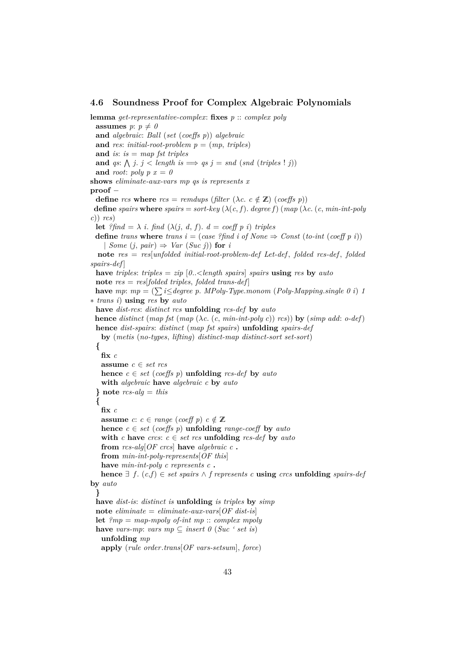#### **4.6 Soundness Proof for Complex Algebraic Polynomials**

**lemma** *get-representative-complex*: **fixes** *p* :: *complex poly* **assumes**  $p: p \neq 0$ **and** *algebraic*: *Ball* (*set* (*coeffs p*)) *algebraic* and *res*: *initial-root-problem*  $p = (mp, triples)$ **and** *is*: *is* = *map fst triples* **and** *qs*:  $\bigwedge$  *j*. *j* < *length is*  $\implies$  *qs j* = *snd* (*snd* (*triples* ! *j*)) and *root*:  $poly p x = 0$ **shows** *eliminate-aux-vars mp qs is represents x* **proof** − **define** *rcs* **where**  $rcs = remdups$  (*filter* ( $\lambda c$ ,  $c \notin \mathbb{Z}$ ) (*coeffs p*)) **define** *spairs* **where** *spairs* = *sort-key* ( $\lambda(c, f)$ *. degree f)* (*map* ( $\lambda c$ *.* (*c, min-int-poly c*)) *rcs*) **let** *?find* =  $\lambda$  *i*. *find* ( $\lambda$ (*j*, *d*, *f*). *d* = *coeff p i*) *triples* **define** *trans* **where** *trans*  $i = (case \; ? \text{find} \; i \; of \; None \Rightarrow Const \; (to-int \; (coeff \; p \; i))$  $\int$  *Some* (*j*, *pair*)  $\Rightarrow$  *Var* (*Suc j*)) **for** *i* **note** *res* = *res*[*unfolded initial-root-problem-def Let-def* , *folded rcs-def* , *folded spairs-def* ] **have** *triples*: *triples* = *zip* [*0*..<*length spairs*] *spairs* **using** *res* **by** *auto* **note** *res* = *res*[*folded triples*, *folded trans-def* ] **have** *mp*:  $mp = (\sum i \leq degree p$ . *MPoly-Type.monom* (*Poly-Mapping.single 0 i*) *1* ∗ *trans i*) **using** *res* **by** *auto* **have** *dist-rcs*: *distinct rcs* **unfolding** *rcs-def* **by** *auto* **hence** *distinct* (*map fst* (*map* (λ*c*. (*c*, *min-int-poly c*)) *rcs*)) **by** (*simp add*: *o-def*) **hence** *dist-spairs*: *distinct* (*map fst spairs*) **unfolding** *spairs-def* **by** (*metis* (*no-types*, *lifting*) *distinct-map distinct-sort set-sort*) **{ fix** *c* **assume** *c* ∈ *set rcs* **hence**  $c \in set (coeffs p)$  **unfolding** *rcs-def* **by** *auto* **with** *algebraic* **have** *algebraic c* **by** *auto* **} note** *rcs-alg* = *this* **{ fix** *c* **assume**  $c: c \in range (coeff p)$   $c \notin \mathbb{Z}$ **hence**  $c \in set \ (coeffs \ p)$  **unfolding** *range-coeff* **by** *auto* **with** *c* **have** *crcs*:  $c \in set$  *rcs* **unfolding** *rcs-def* **by** *auto* **from** *rcs-alg*[*OF crcs*] **have** *algebraic c* **. from** *min-int-poly-represents*[*OF this*] **have** *min-int-poly c represents c* **. hence**  $\exists$  *f*. (*c*,*f*) ∈ *set spairs*  $\land$  *f represents c* **using** *crcs* **unfolding** *spairs-def* **by** *auto* **} have** *dist-is*: *distinct is* **unfolding** *is triples* **by** *simp* **note**  $eliminate = eliminate-aux-vars[OF\; dist-is]$ **let** *?mp* = *map-mpoly of-int mp* :: *complex mpoly* **have** *vars-mp*: *vars*  $mp \subseteq insert\ 0$  (*Suc* ' *set is*) **unfolding** *mp* **apply** (*rule order*.*trans*[*OF vars-setsum*], *force*)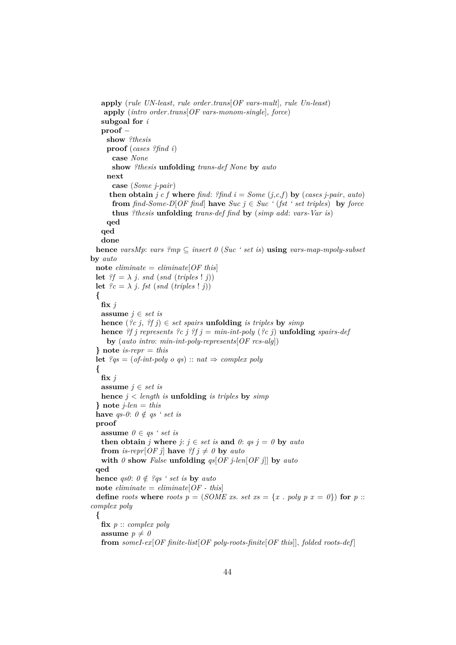```
apply (rule UN-least, rule order.trans[OF vars-mult], rule Un-least)
    apply (intro order.trans[OF vars-monom-single], force)
   subgoal for i
   proof −
     show ?thesis
     proof (cases ?find i)
       case None
       show ?thesis unfolding trans-def None by auto
     next
       case (Some j-pair)
      then obtain j c f where find: ?find i = Some (j,c,f) by (cases j-pair, auto)
       from \text{find}\text{-}Some-D[OF\text{ find}]\ have \text{Suc}\ j \in \text{Suc}\ i (\text{fst}\ i \text{ set triples}) by \text{force}thus ?thesis unfolding trans-def find by (simp add: vars-Var is)
     qed
   qed
   done
 hence varsMp: vars ?mp \subseteq insert \cup (Suc \cup ' set is) using vars-map-mpoly-subset
by auto
 \textbf{note } eliminate = eliminate[OF this]let ?f = \lambda j, snd (snd (triples ! j))
 let ?c = \lambda j. fst (snd (triples ! j))
  {
   \mathbf{fix}\,jassume j ∈ set is
   hence ({}^{9}c \; j, \; {}^{9}f \; j) \in set spairs unfolding is triples by simp
   hence ?f j represents ?c j ?f j = min-int-poly (?c j) unfolding spairs-def
     by (auto intro: min-int-poly-represents[OF rcs-alg])
  } note is-repr = this
 let 2qs = (of-int-poly \text{ o } qs) :: nat \Rightarrow complex \text{ } poly{
   fix j
   assume j \in set is
   hence j < length is unfolding is triples by simp
  } note j-len = this
  have qs-0: 0 \notin qs ' set is
 proof
   assume 0 \in qs ' set is
   then obtain j where j: j \in set is and 0: qs j = 0 by autofrom is-repr[OF j] have ?f j \neq 0 by auto
   with \theta show False unfolding qs[OF_j-len[OF_j]] by auto
  qed
 hence qs0: 0 \notin ?qs ' set is by auto
 \textbf{note } eliminate = eliminate[OF - this]define roots where roots p = (SOME \, xs. \, set \, xs = \{x \, . \, poly \, p \, x = 0\}) for p ::complex poly
  {
   fix p :: complex poly
   assume p \neq 0from someI-ex[OF finite-list[OF poly-roots-finite[OF this]], folded roots-def ]
```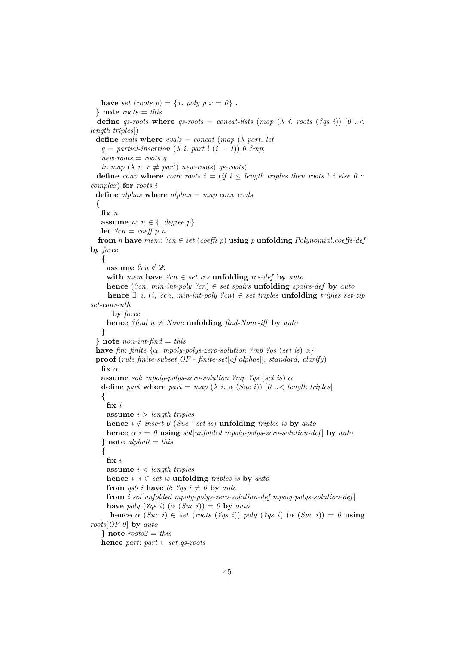have *set* (*roots*  $p$ ) = {*x*. *poly*  $p$   $x = 0$ }. **} note** *roots* = *this* **define** *qs-roots* **where** *qs-roots* = *concat-lists* (*map* ( $\lambda$  *i*. *roots* (*?qs i*)) [ $\theta$  ... *length triples*]) **define** *evals* **where** *evals* = *concat* (*map* ( $\lambda$  *part*. *let*  $q =$  *partial-insertion*  $(\lambda \text{ } i \text{ } part \text{ } ! \text{ } (i - 1) \text{ } 0 \text{ } ?mp;$ *new-roots* = *roots q in map*  $(\lambda r \cdot r \# part)$  *new-roots*) *qs-roots*) **define** *conv* **where** *conv roots*  $i = (if \ i \leq length \ triples \ then \ roots \ 1 \ i \ else \ 0 \ ::$ *complex*) **for** *roots i* **define** *alphas* **where** *alphas* = *map conv evals* **{ fix** *n* **assume** *n*: *n* ∈ {..*degree p*} **let**  $?cn = coeff p n$ **from** *n* **have** *mem*:  $?cn \in set (coeffs p)$  **using** *p* **unfolding** *Polynomial.coeffs-def* **by** *force* **{ assume**  $?cn \notin \mathbb{Z}$ **with** *mem* **have**  $?cn \in set$  *rcs* **unfolding** *rcs-def* **by** *auto* **hence** (*?cn*, *min-int-poly ?cn*) ∈ *set spairs* **unfolding** *spairs-def* **by** *auto* **hence** ∃ *i*. (*i*, *?cn*, *min-int-poly ?cn*) ∈ *set triples* **unfolding** *triples set-zip set-conv-nth* **by** *force* **hence** *?find*  $n \neq None$  **unfolding** *find-None-iff* **by** *auto* **} } note** *non-int-find* = *this* **have** *fin*: *finite*  $\{\alpha$ , *mpoly-polys-zero-solution*  $\{m p \}$   $\{gs (set is) \alpha\}$ **proof** (*rule finite-subset*[*OF - finite-set*[*of alphas*]], *standard*, *clarify*)  $\mathbf{fix} \alpha$ **assume** *sol*: *mpoly-polys-zero-solution ?mp ?qs* (*set is*) α **define** *part* **where**  $part = map (\lambda i. \alpha (Suc i)) [0.. < length triples]$ **{ fix** *i* **assume** *i* > *length triples* **hence**  $i \notin insert \theta$  (*Suc* ' set is) **unfolding** *triples* is **by** *auto* **hence**  $\alpha$  *i* = 0 **using** *sol*[*unfolded mpoly-polys-zero-solution-def*] **by** *auto* **} note** *alpha0* = *this* **{ fix** *i* **assume** *i* < *length triples* **hence**  $i$ :  $i \in set$  *is* **unfolding** *triples is* **by** *auto* **from**  $qs0$  *i* **have**  $0:$  ?*qs*  $i \neq 0$  **by** *auto* **from** *i sol*[*unfolded mpoly-polys-zero-solution-def mpoly-polys-solution-def* ] **have** *poly* (*?qs i*) ( $\alpha$  (*Suc i*)) = 0 **by** *auto* **hence**  $\alpha$  (*Suc i*)  $\in$  *set* (*roots* (*?qs i*)) *poly* (*?qs i*) ( $\alpha$  (*Suc i*)) = 0 **using** *roots*[*OF 0*] **by** *auto* **} note** *roots2* = *this* **hence** *part*: *part* ∈ *set qs-roots*

45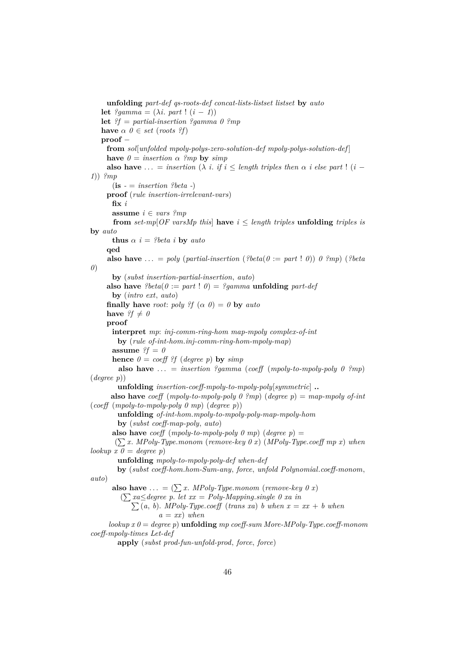**unfolding** *part-def qs-roots-def concat-lists-listset listset* **by** *auto* **let**  $?gamma = (\lambda i. part! (i - 1))$ **let** *?f* = *partial-insertion ?gamma 0 ?mp* **have**  $\alpha \theta \in set (roots ?f)$ **proof** − **from** *sol*[*unfolded mpoly-polys-zero-solution-def mpoly-polys-solution-def* ] **have**  $\theta = insertion \alpha$  *?mp* **by** *simp* **also have** ... = *insertion* ( $\lambda$  *i*. *if*  $i \leq$  *length triples then*  $\alpha$  *i* else part ! (*i* − *1*)) *?mp*  $(i\mathbf{s} - \mathbf{i} \mathbf{i} + \mathbf{j} \mathbf{j} + \mathbf{k} \mathbf{i} + \mathbf{k} \mathbf{j} + \mathbf{k} \mathbf{k} \mathbf{k}$ **proof** (*rule insertion-irrelevant-vars*) **fix** *i* **assume** *i* ∈ *vars ?mp* **from** *set-mp*[ $OF$  *varsMp this*] **have**  $i \leq$  *length triples* **unfolding** *triples is* **by** *auto* **thus**  $\alpha$  *i* = *?beta i* **by** *auto* **qed also have** ... = *poly* (*partial-insertion* (?beta( $0 := part$ !  $0$ ))  $0$  ?*mp*) (?beta *0*) **by** (*subst insertion-partial-insertion*, *auto*) **also have**  $?beta(0 := part 10) = ?gamma$  **unfolding**  $part-def$ **by** (*intro ext*, *auto*) **finally have** *root*: *poly*  $\mathscr{L}f(\alpha \theta) = \theta$  **by**  $\alpha$ *uto* have  $?f \neq 0$ **proof interpret** *mp*: *inj-comm-ring-hom map-mpoly complex-of-int* **by** (*rule of-int-hom*.*inj-comm-ring-hom-mpoly-map*) **assume**  $\mathscr{G}f = \mathscr{O}$ **hence**  $\theta = \text{coeff}$  *f* (*degree p*) **by** *simp* **also have**  $\ldots$  = *insertion ?gamma* (*coeff* (*mpoly-to-mpoly-poly 0 ?mp*) (*degree p*)) **unfolding** *insertion-coeff-mpoly-to-mpoly-poly*[*symmetric*] **.. also have** *coeff* (*mpoly-to-mpoly-poly 0 ?mp*) (*degree p*) = *map-mpoly of-int* (*coeff* (*mpoly-to-mpoly-poly 0 mp*) (*degree p*)) **unfolding** *of-int-hom*.*mpoly-to-mpoly-poly-map-mpoly-hom* **by** (*subst coeff-map-poly*, *auto*) **also have** *coeff* (*mpoly-to-mpoly-poly 0 mp*) (*degree p*) = ( P*x*. *MPoly-Type*.*monom* (*remove-key 0 x*) (*MPoly-Type*.*coeff mp x*) *when*  $\{lookup x \in \mathcal{O} = degree \in p\}$ **unfolding** *mpoly-to-mpoly-poly-def when-def* **by** (*subst coeff-hom*.*hom-Sum-any*, *force*, *unfold Polynomial*.*coeff-monom*, *auto*) **also have**  $\ldots = (\sum x \cdot \text{MPoly-Type.monom (remove-key 0 x)}$ ( P *xa*≤*degree p*. *let xx* = *Poly-Mapping*.*single 0 xa in*  $\sum(a, b)$ . *MPoly-Type.coeff* (*trans xa*) *b when*  $x = xx + b$  when  $a = xx$ *)* when *lookup x 0* = *degree p*) **unfolding** *mp coeff-sum More-MPoly-Type*.*coeff-monom coeff-mpoly-times Let-def* **apply** (*subst prod-fun-unfold-prod*, *force*, *force*)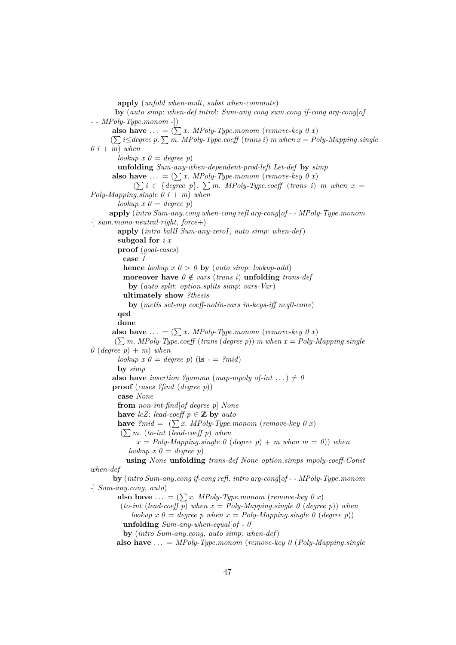**apply** (*unfold when-mult*, *subst when-commute*) **by** (*auto simp*: *when-def intro*!: *Sum-any*.*cong sum*.*cong if-cong arg-cong*[*of - - MPoly-Type*.*monom -*]) **also have** ... =  $(\sum x. \text{ } MPoly-Type.monom \text{ } (remove-key \text{ } 0 \text{ } x)$  $\left(\sum i \leq degree \ p.\ \sum m.\ MPoly-Type.coeff \ (trans\ i) \ m\ when\ x = Poly-Mapping.\ single$  $0$   $i + m$ ) when  $\{a \in \mathcal{A} \mid \text{loc } \mathcal{A} \}$   $\{b \in \mathcal{A} \}$ **unfolding** *Sum-any-when-dependent-prod-left Let-def* **by** *simp* **also have** ... =  $(\sum x. \text{ } MPoly-Type.monom \text{ } (remove-key \text{ } 0 \text{ } x)$  $(\sum i \in \{degree\} \text{degree } p\}. \sum m. \text{ } MPoly-Type.coeff \text{ (trans } i) \text{ } m \text{ } when \text{ } x =$ *Poly-Mapping*.*single 0 i* + *m*) *when*  $lookup x 0 = degree p$ **apply** (*intro Sum-any*.*cong when-cong refl arg-cong*[*of - - MPoly-Type*.*monom -*] *sum*.*mono-neutral-right*, *force*+) **apply** (*intro ballI Sum-any-zeroI*, *auto simp*: *when-def*) **subgoal for** *i x* **proof** (*goal-cases*) **case** *1* **hence** *lookup*  $x \theta > 0$  **by** (*auto simp*: *lookup-add*) **moreover have**  $0 \notin vars$  (*trans i*) **unfolding** *trans-def* **by** (*auto split*: *option*.*splits simp*: *vars-Var*) **ultimately show** *?thesis* **by** (*metis set-mp coeff-notin-vars in-keys-iff neq0-conv*) **qed done also have** ... =  $(\sum x$ . *MPoly-Type.monom* (*remove-key 0 x*)  $(\sum m. \text{ MPoly-Type.} \text{coeff}$  (*trans* (*degree p*)) *m* when  $x = Poly-Mapping.\text{single}$  $0$  (*degree*  $p$ ) + *m*) *when lookup*  $x \theta = \text{degree } p$  (**is**  $\cdot = \text{degree } \text{mid}$ ) **by** *simp* **also have** *insertion ?gamma* (*map-mpoly of-int* ...)  $\neq 0$ **proof** (*cases ?find* (*degree p*)) **case** *None* **from** *non-int-find*[*of degree p*] *None* **have** *lcZ*: *lead-coeff*  $p \in \mathbb{Z}$  **by** *auto* **have**  $2mid = (\sum x \cdot MPoly-Type.monom (remove-key 0 x)$ ( P*m*. (*to-int* (*lead-coeff p*) *when*  $x = Poly-Mapping.\nsingle \space 0 \space (degree \space p) + m \space when \space m = 0)$ ) when  $lookup x 0 = degree p$ **using** *None* **unfolding** *trans-def None option*.*simps mpoly-coeff-Const when-def* **by** (*intro Sum-any*.*cong if-cong refl*, *intro arg-cong*[*of - - MPoly-Type*.*monom -*] *Sum-any*.*cong*, *auto*) **also have** ... =  $(\sum x. \text{ } MPoly-Type.monom \text{ } (remove-key \text{ } 0 \text{ } x))$ (*to-int* (*lead-coeff p*) when  $x = Poly-Mapping.size 0$  (*degree p*)) when *lookup*  $x \theta = \text{degree } p$  when  $x = \text{Poly-Mapping} \cdot \text{single } \theta$  (*degree p*)) **unfolding** *Sum-any-when-equal*[*of - 0*] **by** (*intro Sum-any*.*cong*, *auto simp*: *when-def*)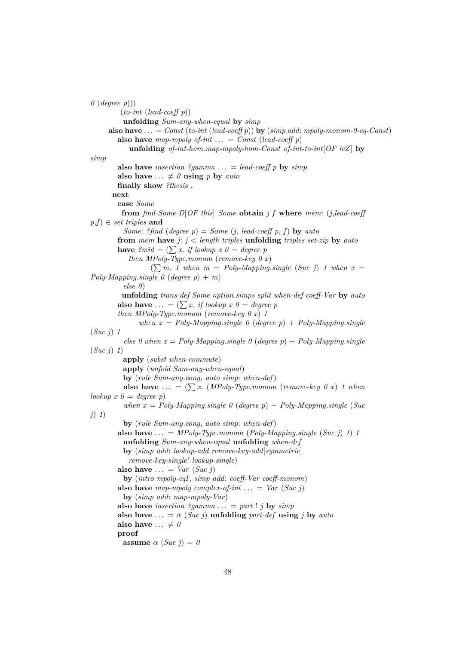```
0 (degree p)))
        (to-int (lead-coeff p))
         unfolding Sum-any-when-equal by simp
     also have \ldots = Const (to-int (lead-coeff p)) by (simp add: mpoly-monom-0-eq-Const)
        also have map-mpoly of-int \ldots = Const (lead-coeff p)
           unfolding of-int-hom.map-mpoly-hom-Const of-int-to-int[OF lcZ] by
simp
        also have insertion ?gamma ... = lead-coeff p by \sin palso have \ldots \neq \theta using p by auto
        finally show ?thesis .
      next
        case Some
         from find-Some-D[OF this] Some obtain j f where mem: (j,lead-coeff
p,f) ∈ set triples and
         Some: ?find (degree p) = Some (j, lead-coeff p, f) by auto
        from mem have j: j < length triples unfolding triples set-zip by auto
        have ?mid = (\sum x. \text{ if lookup } x \text{ } 0 = \text{ degree } p)then MPoly-Type.monom (remove-key 0 x)
                  (\sum m. 1 \text{ when } m = Poly-Mapping.size (Suc j) 1 when x =Poly-Mapping.single 0 (degree p) + m)
         else 0)
         unfolding trans-def Some option.simps split when-def coeff-Var by auto
        also have ... = (\sum x. if lookup x \theta = degree \thetathen MPoly-Type.monom (remove-key 0 x) 1
              when x = Poly-Mapping.\nsingle \, 0 \, (degree \, p) + Poly-Mapping.\nsingle(Suc j) 1
          else 0 when x = Poly-Mapping.\nsingle\ 0\ (degree\ p) + Poly-Mapping.\nsingle\(Suc j) 1)
         apply (subst when-commute)
         apply (unfold Sum-any-when-equal)
         by (rule Sum-any.cong, auto simp: when-def)
         also have ... = (\sum x. (MPoly-Type.monom (remove-key 0 x) 1 whenlookup x 0 = degree pwhen x = Poly-Mapping.size 0 (degree p) + Poly-Mapping.single (Suc
j) 1)
         by (rule Sum-any.cong, auto simp: when-def)
        also have \ldots = MPoly-Type.monom (Poly-Mapping.single (Suc j) 1) 1
         unfolding Sum-any-when-equal unfolding when-def
         by (simp add: lookup-add remove-key-add[symmetric]
           remove-key-single' lookup-single)also have \ldots = Var(Suc j)by (intro mpoly-eqI, simp add: coeff-Var coeff-monom)
        also have map-mpoly complex-of-int \ldots = Var (Suc j)
         by (simp add: map-mpoly-Var)
        also have insertion ?gamma ... = part ! j by \text{sim}p
        also have \ldots = \alpha (Suc j) unfolding part-def using j by auto
        also have \ldots \neq 0proof
         assume \alpha (Suc j) = 0
```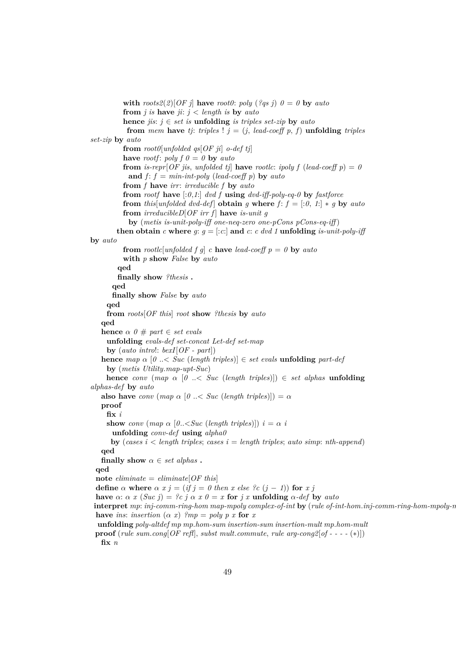**with**  $roots2(2)[OF\ j]$  have  $root0$ :  $poly(2qs\ j)$   $0=0$  by  $auto$ **from** *j* is **have**  $ji: j < length$  is **by**  $auto$ **hence** *jis*:  $j ∈ set$  *is* **unfolding** *is triples set-zip* **by** *auto* **from** *mem* **have** *tj: triples* !  $j = (j, lead-coeff p, f)$  **unfolding** *triples set-zip* **by** *auto* **from** *root0*[*unfolded qs*[*OF ji*] *o-def tj*] **have** *rootf*: *poly*  $f \theta = \theta$  **by** *auto* **from** is-repr $[OF \text{ } jis$ , *unfolded ti* have *rootlc*: *ipoly*  $f$  (*lead-coeff*  $p$ ) = 0 **and**  $f: f = min-int-poly$  (*lead-coeff p*) **by** *auto* **from** *f* **have** *irr*: *irreducible f* **by** *auto* **from** *rootf* **have** [:*0*,*1*:] *dvd f* **using** *dvd-iff-poly-eq-0* **by** *fastforce* **from** *this*[*unfolded dvd-def*] **obtain** *g* **where**  $f: f = [0, 1] * g$  **by** *auto* **from**  $irreducible D[OF\ irr\ f]$  **have** *is-unit g* **by** (*metis is-unit-poly-iff one-neq-zero one-pCons pCons-eq-iff* ) **then obtain** *c* where *g*:  $g = [c \cdot c]$  and *c*: *c dvd 1* **unfolding** *is-unit-poly-iff* **by** *auto* **from** *rootlc*[*unfolded f g*] *c* **have** *lead-coeff*  $p = 0$  **by** *auto* **with** *p* **show** *False* **by** *auto* **qed finally show** *?thesis* **. qed finally show** *False* **by** *auto* **qed from** *roots*[*OF this*] *root* **show** *?thesis* **by** *auto* **qed hence**  $\alpha \theta \neq part \in set \text{ *evals*}$ **unfolding** *evals-def set-concat Let-def set-map* **by** (*auto intro*!: *bexI*[*OF - part*]) **hence** *map*  $\alpha$  [*0* ...< *Suc* (*length triples*)]  $\in$  *set evals* **unfolding** *part-def* **by** (*metis Utility*.*map-upt-Suc*) **hence** *conv* (*map*  $\alpha$  [*0* ...< *Suc* (*length triples*)])  $\in$  *set alphas* **unfolding** *alphas-def* **by** *auto* **also have** *conv* (*map*  $\alpha$  [ $\theta$  ...< *Suc* (*length triples*)]) =  $\alpha$ **proof fix** *i* **show** *conv* (*map*  $\alpha$  [ $0$ ...<*Suc* (*length triples*)])  $i = \alpha$  *i* **unfolding** *conv-def* **using** *alpha0* **by** (*cases i*  $\lt$  *length triples*; *cases i*  $=$  *length triples*; *auto simp*: *nth-append*) **qed finally show**  $\alpha \in set$  alphas. **qed**  $\textbf{note } eliminate = eliminate[OF this]$ **define**  $\alpha$  **where**  $\alpha$   $x$   $j$  = (*if*  $j$  = 0 *then*  $x$  *else*  $\alpha$  ( $j$  − 1)) **for**  $x$   $j$ **have**  $\alpha$ :  $\alpha$  *x* (*Suc j*) = *?c j*  $\alpha$  *x*  $\theta$  = *x* **for** *j x* **unfolding**  $\alpha$ -*def* by *auto* **interpret** *mp*: *inj-comm-ring-hom map-mpoly complex-of-int* **by** (*rule of-int-hom*.*inj-comm-ring-hom-mpoly-map*) **have** *ins*: *insertion*  $(\alpha x)$  *?mp* = *poly p x* **for** *x* **unfolding** *poly-altdef mp mp*.*hom-sum insertion-sum insertion-mult mp*.*hom-mult* **proof** (*rule sum*.*cong*[*OF refl*], *subst mult*.*commute*, *rule arg-cong2*[*of - - - -* (∗)]) **fix** *n*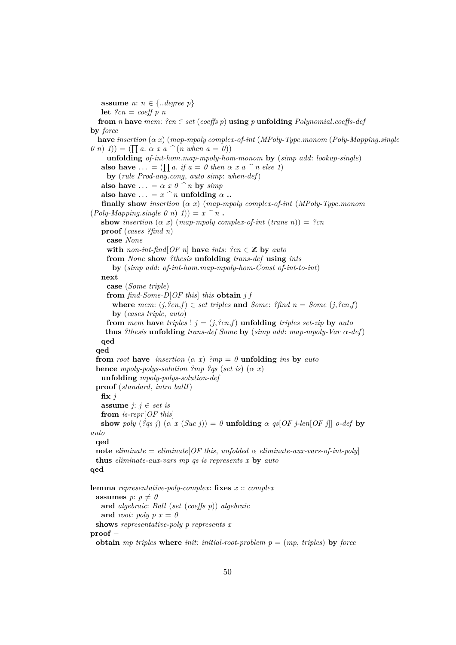**assume** *n*:  $n \in \{.\text{degree } p\}$ **let** *?cn* = *coeff p n* **from** *n* **have** *mem*:  $?cn \in set (coeffs p)$  **using** *p* **unfolding**  $Polynomial.coeffs-def)$ **by** *force* **have** *insertion* (α *x*) (*map-mpoly complex-of-int* (*MPoly-Type*.*monom* (*Poly-Mapping*.*single*  $(0, n)$   $(1)$  =  $(\prod a. \alpha x a \cap (n \text{ when } a = 0))$ **unfolding** *of-int-hom*.*map-mpoly-hom-monom* **by** (*simp add*: *lookup-single*) **also have** ... = ( $\prod a$ . *if*  $a = 0$  *then*  $\alpha$  *x*  $a \cap n$  *else* 1) **by** (*rule Prod-any*.*cong*, *auto simp*: *when-def*) **also have**  $\ldots = \alpha x 0$  ^ *n* **by** *simp* **also have**  $\ldots = x^n$  *n* **unfolding**  $\alpha$  **.. finally show** *insertion* (α *x*) (*map-mpoly complex-of-int* (*MPoly-Type*.*monom*  $(Poly-Mapping.\nsingle\ 0\ n)\ 1) = x^n \cdot n$ . **show** *insertion*  $(\alpha x)$  (*map-mpoly complex-of-int* (*trans n*)) = *?cn* **proof** (*cases ?find n*) **case** *None* **with** *non-int-find*[*OF n*] **have** *ints*:  $?cn \in \mathbb{Z}$  **by** *auto* **from** *None* **show** *?thesis* **unfolding** *trans-def* **using** *ints* **by** (*simp add*: *of-int-hom*.*map-mpoly-hom-Const of-int-to-int*) **next case** (*Some triple*) **from** *find-Some-D*[*OF this*] *this* **obtain** *j f* **where** mem:  $(j, ?cn, f) \in set$  triples and *Some:*  $?find \, n = Some \, (j, ?cn, f)$ **by** (*cases triple*, *auto*) **from** *mem* **have** *triples* !  $j = (j, ?cn, f)$  **unfolding** *triples set-zip* **by** *auto* **thus** *?thesis* **unfolding** *trans-def Some* **by** (*simp add: map-mpoly-Var*  $\alpha$ -*def*) **qed qed from** *root* **have** *insertion*  $(\alpha x)$  *?mp* = *0* **unfolding** *ins* **by** *auto* **hence** *mpoly-polys-solution ?mp ?qs* (*set is*) ( $\alpha$  *x*) **unfolding** *mpoly-polys-solution-def* **proof** (*standard*, *intro ballI*)  $\mathbf{fix}\,j$ **assume**  $j: j \in set$  is **from** *is-repr*[*OF this*] **show** *poly* (*?qs j*) ( $\alpha$  *x* (*Suc j*)) = *0* **unfolding**  $\alpha$  *qs*[*OF j*-len[*OF j*]] *o-def* **by** *auto* **qed note**  $eliminate = eliminate[OF this, unfolded \alpha \ eliminate-aux-vars-of-int-poly]$ **thus** *eliminate-aux-vars mp qs is represents x* **by** *auto* **qed lemma** *representative-poly-complex*: **fixes** *x* :: *complex* **assumes**  $p: p \neq 0$ **and** *algebraic*: *Ball* (*set* (*coeffs p*)) *algebraic* and *root*:  $poly p x = 0$ **shows** *representative-poly p represents x* **proof** − **obtain** *mp triples* **where** *init: initial-root-problem*  $p = (mp, triples)$  **by** *force*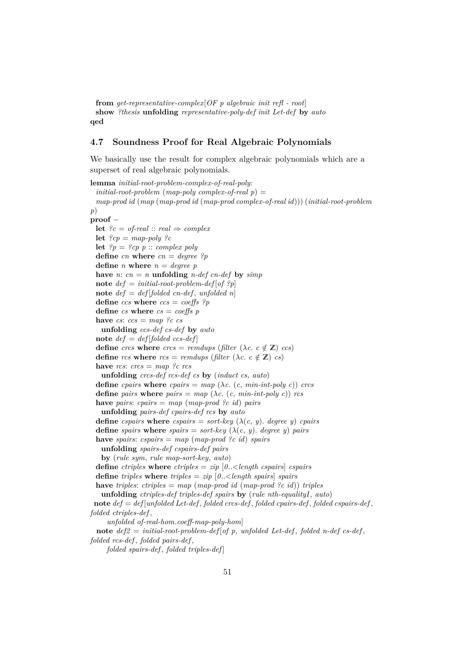**from** *get-representative-complex*[*OF p algebraic init refl - root*] **show** *?thesis* **unfolding** *representative-poly-def init Let-def* **by** *auto* **qed**

### **4.7 Soundness Proof for Real Algebraic Polynomials**

We basically use the result for complex algebraic polynomials which are a superset of real algebraic polynomials.

```
lemma initial-root-problem-complex-of-real-poly:
 initial-root-problem (map-poly complex-of-real p) =
 map-prod id (map (map-prod id (map-prod complex-of-real id))) (initial-root-problem
p)
proof −
 let ?c = of-real :: real \Rightarrow complexlet ?cp = map-poly ?clet ?p = ?cp p :: complex poly
 define cn where cn = degree ?p
 define n where n = degree phave n: cn = n unfolding n-def cn-def by simpnote def = initial-root-problem-def[of ?p]note def = def [folded cn-def, unfolded n]
 define ccs where ccs = coeffs ?p
 define cs where cs = coeffs p
 have cs: ccs = map ?c cs
   unfolding ccs-def cs-def by auto
 note def = def[folded \, ccs-def]define crcs where \text{c}rcs = \text{remdups} (filter (\lambda c, c \notin \mathbb{Z}) ccs)
 define rcs where rcs = remdups (filter (\lambda c, c \notin \mathbb{Z}) cs)
 have rcs: crcs = map ?c rcs
   unfolding crcs-def rcs-def cs by (induct cs, auto)
 define cpairs where cpairs = map (\lambda c, (c, min-int-poly c)) crcs
 define pairs where pairs = map (\lambda c. (c, min-int-poly c)) rcs
 have pairs: cpairs = map (map-prod ?c id) pairs
   unfolding pairs-def cpairs-def rcs by auto
 define cspairs where cspairs = sort-key (\lambda(c, y). degree y) cpairs
 define spairs where spairs = sort-key (\lambda(c, y). degree y) pairs
 have spairs: cspairs = map (map-prod ?c id) spairs
   unfolding spairs-def cspairs-def pairs
   by (rule sym, rule map-sort-key, auto)
 define ctriples where ctriples = zip [0..<length cspairs] cspairs
 define triples where triples = zip [0..<length spairs] spairs
 have triples: ctriples = map (map-prod id (map-prod ?c id)) triples
   unfolding ctriples-def triples-def spairs by (rule nth-equalityI, auto)
 note def = def [unfolded Let-def , folded crcs-def , folded cpairs-def , folded cspairs-def ,
folded ctriples-def ,
     unfolded of-real-hom.coeff-map-poly-hom]
 note def2 = initial-root-problem-def [of p, unfolded Let-def , folded n-def cs-def ,
folded rcs-def , folded pairs-def ,
     folded spairs-def , folded triples-def ]
```
51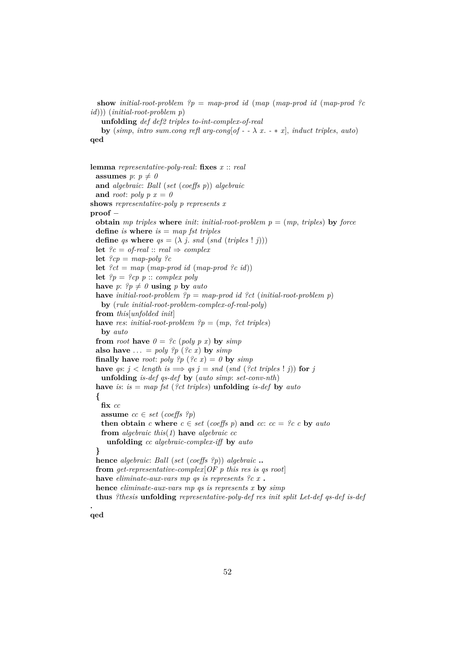**show** *initial-root-problem ?p* = *map-prod id* (*map* (*map-prod id* (*map-prod ?c id*))) (*initial-root-problem p*) **unfolding** *def def2 triples to-int-complex-of-real* **by** (*simp*, *intro sum.cong refl arg-cong*[*of - -*  $\lambda$  *x. - \* x*], *induct triples*, *auto*) **qed**

**lemma** *representative-poly-real*: **fixes** *x* :: *real* **assumes**  $p: p \neq 0$ **and** *algebraic*: *Ball* (*set* (*coeffs p*)) *algebraic* and *root*:  $poly p x = 0$ **shows** *representative-poly p represents x* **proof** − **obtain** *mp triples* **where** *init*: *initial-root-problem*  $p = (mp, triples)$  **by** *force* **define** *is* **where** *is* = *map fst triples* **define** *qs* **where**  $qs = (\lambda j \text{ and } (snd (triples ! j)))$ **let**  $?c = of\text{-}real :: real \Rightarrow complex$ **let**  $?cp = map-poly ?c$ **let**  $?ct = map (map-product id (map-product ?c id))$ **let**  $?p = ?cp$  p :: *complex poly* **have**  $p: \mathcal{P}p \neq 0$  **using**  $p$  **by**  $auto$ **have** *initial-root-problem ?p* = *map-prod id ?ct* (*initial-root-problem p*) **by** (*rule initial-root-problem-complex-of-real-poly*) **from** *this*[*unfolded init*] **have** *res*: *initial-root-problem*  $?p = (mp, ?ct \tmtext{ triples})$ **by** *auto* **from** *root* **have**  $\theta = \frac{9}{3}c$  (*poly p x*) **by** *simp* also have  $\ldots = \text{poly } ?p$  ( $? c x$ ) by  $\text{sim } p$ **finally have** *root*: *poly*  $?p$  ( $?c$  *x*) = *0* **by**  $simp$ **have** *qs*:  $j <$  *length*  $is \implies qs \, j = \text{snd} \, (\text{snd} \, (\text{?ct triples} \, ! \, j))$  for  $j$ **unfolding** *is-def qs-def* **by** (*auto simp*: *set-conv-nth*) **have** *is*: *is* = *map fst* (*?ct triples*) **unfolding** *is-def* **by** *auto* **{ fix** *cc* **assume**  $cc \in set (coeffs ?p)$ **then obtain** *c* where  $c \in set$  (*coeffs p*) and *cc*:  $cc = ?c$  *c* by *auto* **from** *algebraic this*(*1*) **have** *algebraic cc* **unfolding** *cc algebraic-complex-iff* **by** *auto* **} hence** *algebraic*: *Ball* (*set* (*coeffs ?p*)) *algebraic* **.. from** *get-representative-complex*[*OF p this res is qs root*] **have** *eliminate-aux-vars mp qs is represents ?c x* **. hence** *eliminate-aux-vars mp qs is represents x* **by** *simp* **thus** *?thesis* **unfolding** *representative-poly-def res init split Let-def qs-def is-def*

**qed**

**.**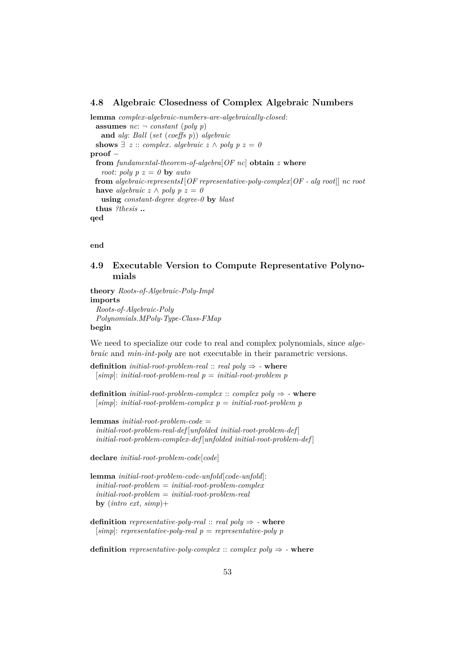#### **4.8 Algebraic Closedness of Complex Algebraic Numbers**

**lemma** *complex-algebraic-numbers-are-algebraically-closed*: **assumes**  $nc: \neg constant (poly p)$ **and** *alg*: *Ball* (*set* (*coeffs p*)) *algebraic* **shows**  $\exists z :: complex$ . *algebraic*  $z \wedge poly p z = 0$ **proof** − **from** *fundamental-theorem-of-algebra*[*OF nc*] **obtain** *z* **where** *root*: *poly*  $p z = 0$  **by** *auto* **from** *algebraic-representsI*[*OF representative-poly-complex*[*OF - alg root*]] *nc root* **have** *algebraic*  $z \wedge poly p z = 0$ **using** *constant-degree degree-0* **by** *blast* **thus** *?thesis* **.. qed**

**end**

### **4.9 Executable Version to Compute Representative Polynomials**

**theory** *Roots-of-Algebraic-Poly-Impl* **imports** *Roots-of-Algebraic-Poly Polynomials*.*MPoly-Type-Class-FMap* **begin**

We need to specialize our code to real and complex polynomials, since *algebraic* and *min-int-poly* are not executable in their parametric versions.

**definition** *initial-root-problem-real* :: *real poly*  $\Rightarrow$  **-** where [*simp*]: *initial-root-problem-real p* = *initial-root-problem p*

```
definition initial-root-problem-complex :: complex poly \Rightarrow - where
  [simp]: initial-root-problem-complex p = initial-root-problem p
```
**lemmas** *initial-root-problem-code* = *initial-root-problem-real-def* [*unfolded initial-root-problem-def* ] *initial-root-problem-complex-def* [*unfolded initial-root-problem-def* ]

**declare** *initial-root-problem-code*[*code*]

**lemma** *initial-root-problem-code-unfold*[*code-unfold*]: *initial-root-problem* = *initial-root-problem-complex initial-root-problem* = *initial-root-problem-real* **by** (*intro ext*, *simp*)+

**definition** *representative-poly-real*  $::$  *real poly*  $\Rightarrow$  **-** where [*simp*]: *representative-poly-real p* = *representative-poly p*

**definition** *representative-poly-complex* :: *complex poly*  $\Rightarrow$  **- where**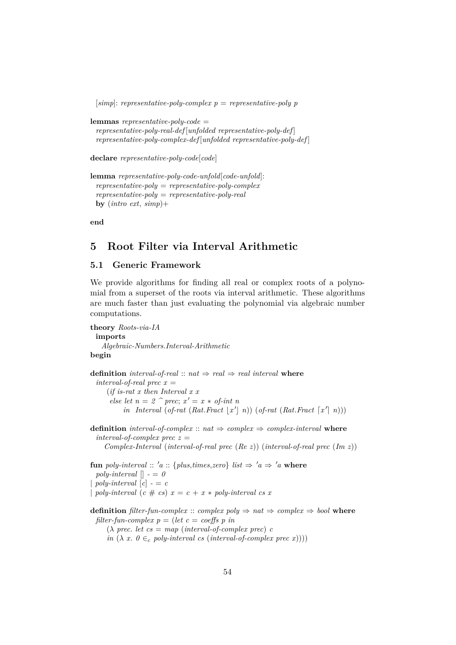```
[simp]: representative-poly-complex p = representative-poly p
```
**lemmas** *representative-poly-code* = *representative-poly-real-def* [*unfolded representative-poly-def* ] *representative-poly-complex-def* [*unfolded representative-poly-def* ]

**declare** *representative-poly-code*[*code*]

```
lemma representative-poly-code-unfold[code-unfold]:
 representative-poly = representative-poly-complex
 representative-poly = representative-poly-real
 by (intro ext, simp)+
```
**end**

## **5 Root Filter via Interval Arithmetic**

## **5.1 Generic Framework**

We provide algorithms for finding all real or complex roots of a polynomial from a superset of the roots via interval arithmetic. These algorithms are much faster than just evaluating the polynomial via algebraic number computations.

```
theory Roots-via-IA
 imports
    Algebraic-Numbers.Interval-Arithmetic
begin
definition interval-of-real :: nat \Rightarrow real \Rightarrow real interval where
  interval-of-real prec x =(if is-rat x then Interval x x
       else let n = 2 \hat{p} prec; x' = x * of-int n
            in Interval (of-rat (Rat.Fract |x'| n)) (of-rat (Rat.Fract [x' | n)))
definition interval-of-complex :: nat \Rightarrow complex \Rightarrow complex-interval where
  interval-of-complex prec z =Complex-Interval (interval-of-real prec (Re z)) (interval-of-real prec (Im z))
fun poly-interval :: 'a :: {plus,times,zero} list \Rightarrow 'a \Rightarrow 'a where
  poly-interval \vert \cdot \vert = 0poly-interval [c] - c| poly-interval (c \# cs) x = c + x * poly-interval cs xdefinition filter-fun-complex :: complex poly \Rightarrow nat \Rightarrow complex \Rightarrow bool where
 filter-fun-complex p = (let \ c = coeffs \ p \ in(\lambda \text{ prec.} \text{ let } \text{cs} = \text{map} \text{ (interval-of-complex prec)} \text{ c}in (\lambda x. 0 \in_c poly-interval cs (interval-of-complex prec x))))
```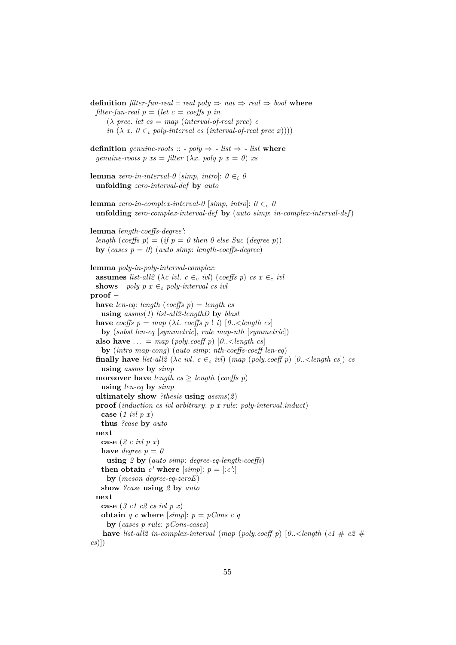**definition** *filter-fun-real* :: *real poly*  $\Rightarrow$  *nat*  $\Rightarrow$  *real*  $\Rightarrow$  *bool* **where** *filter-fun-real*  $p = (let \ c = coeffs \ p \ in$  $(\lambda \text{ prec.} \text{ let } \text{cs} = \text{map} \text{ (interval-of-real} \text{ prec}) \text{ c}$ *in*  $(\lambda x. 0 \in_i poly-interval cs (interval-of-real prec x))))$ **definition** *genuine-roots* :: *- poly*  $\Rightarrow$  *- list*  $\Rightarrow$  *- list* **where** *genuine-roots*  $p$   $xs = filter (\lambda x, poly p x = 0)$  *xs* **lemma** *zero-in-interval-0* [*simp*, *intro*]:  $0 \in \mathcal{O}$ **unfolding** *zero-interval-def* **by** *auto* **lemma** *zero-in-complex-interval-0* [*simp*, *intro*]:  $0 \in_c 0$ **unfolding** *zero-complex-interval-def* **by** (*auto simp*: *in-complex-interval-def*) lemma *length-coeffs-degree'*: *length* (*coeffs*  $p$ ) = (*if*  $p = 0$  *then* 0 *else Suc* (*degree p*)) **by** (*cases*  $p = 0$ ) (*auto simp*: *length-coeffs-degree*) **lemma** *poly-in-poly-interval-complex*: **assumes** *list-all2* ( $\lambda c$  *ivl.*  $c \in_c ivl$ ) (*coeffs p*)  $cs \in_c ivl$ **shows** *poly p x*  $\in_c$  *poly-interval cs ivl* **proof** − **have** *len-eq*: *length* (*coeffs p*) = *length cs* **using** *assms*(*1*) *list-all2-lengthD* **by** *blast* **have** *coeffs*  $p = map (\lambda i \text{. coeffs } p \text{! } i) [0 \text{..} < length cs]$ **by** (*subst len-eq* [*symmetric*], *rule map-nth* [*symmetric*]) **also have**  $\ldots = \text{map}(\text{poly}.\text{coeff }p)[0..\leq \text{length }cs]$ **by** (*intro map-cong*) (*auto simp*: *nth-coeffs-coeff len-eq*) **finally have** *list-all2* ( $\lambda c$  *ivl.*  $c \in_c ivl$ ) ( $map$  ( $poly.coeff$   $p$ ) [ $0..\leq length cs$ ])  $cs$ **using** *assms* **by** *simp* **moreover have** *length*  $cs \geq length (coeffs p)$ **using** *len-eq* **by** *simp* **ultimately show** *?thesis* **using** *assms*(*2*) **proof** (*induction cs ivl arbitrary*: *p x rule*: *poly-interval*.*induct*) **case** (*1 ivl p x*) **thus** *?case* **by** *auto* **next case** (*2 c ivl p x*) **have** *degree*  $p = 0$ **using** *2* **by** (*auto simp*: *degree-eq-length-coeffs*) **then obtain**  $c'$  where  $[simp]$ :  $p = [c'$ : **by** (*meson degree-eq-zeroE*) **show** *?case* **using** *2* **by** *auto* **next case** (*3 c1 c2 cs ivl p x*) **obtain** *q c* **where** [simp]:  $p = pCons c q$ **by** (*cases p rule*: *pCons-cases*) **have** *list-all2 in-complex-interval* (*map* (*poly.coeff p*) [0.. < *length* (*c1*  $\#$  *c2*  $\#$ *cs*)])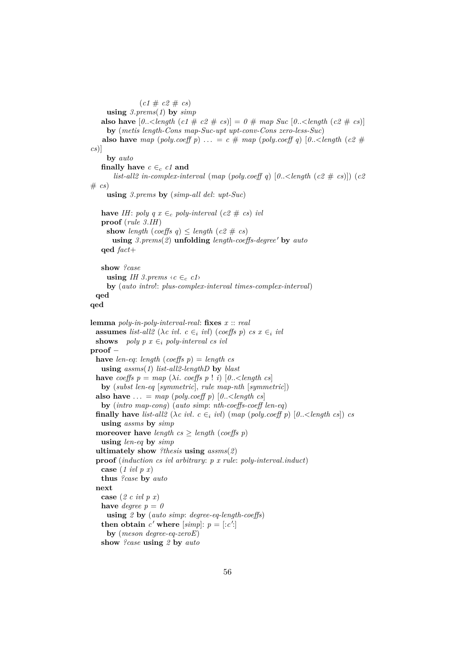```
(c1 \# c2 \# cs)using 3.prems(1) by simp
   also have [0..\langle \text{length}(c1 \# c2 \# cs) \rangle] = 0 \# map \text{Suc } [0..\langle \text{length}(c2 \# cs) \rangle]by (metis length-Cons map-Suc-upt upt-conv-Cons zero-less-Suc)
   also have map (poly.coeff p) ... = c \neq m map (poly.coeff q) [0..\text{<} length \text{ (}c2 \neqcs)]
     by auto
   finally have c \in_c ct and
       list-all2 in-complex-interval (map (poly.coeff q) [0..<length (c2 # cs)]) (c2
\# cs)using 3.prems by (simp-all del: upt-Suc)
   have IH: poly q x \in_c poly-interval (c2 # cs) ivl
   proof (rule 3.IH)
     show length (coeffs q) \leq length (c2 # cs)
       using 3. \text{prems}(2) unfolding length-coeffs-degree' by autoqed fact+
   show ?case
     using IH 3.prems \langle c \in_c c1 \rangleby (auto intro!: plus-complex-interval times-complex-interval)
 qed
qed
lemma poly-in-poly-interval-real: fixes x :: real
 assumes list-all2 (\lambda c ivl. c \in \infty ivl) (coeffs p) cs \in \infty ivl
 shows poly p x \ini poly-interval cs ivl
proof −
 have len-eq: length (coeffs p) = length cs
   using assms(1) list-all2-lengthD by blast
 have coeffs p = map (\lambda i. coeffs p \, | \, i) [0.. \leq length \, cs]by (subst len-eq [symmetric], rule map-nth [symmetric])
 also have ... = map (poly.coeff p) [0.-\text{length } cs]by (intro map-cong) (auto simp: nth-coeffs-coeff len-eq)
 finally have list-all2 (\lambda c ivl. c \in_i ivl) (map (poly.coeff p) [0.. < length cs]) cs
   using assms by simp
 moreover have length cs \geq length (coeffs p)
   using len-eq by simp
  ultimately show ?thesis using assms(2)
  proof (induction cs ivl arbitrary: p x rule: poly-interval.induct)
   case (1 ivl p x)
   thus ?case by auto
 next
   case (2 c ivl p x)
   have degree p = 0using 2 by (auto simp: degree-eq-length-coeffs)
   then obtain c' where [simp]: p = [c':
     by (meson degree-eq-zeroE)
   show ?case using 2 by auto
```

```
56
```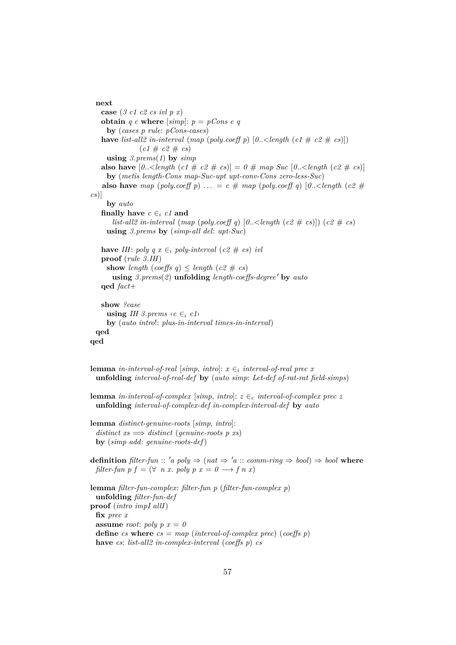```
next
   case (3 c1 c2 cs ivl p x)
   obtain q c where [simp]: p = pCons c qby (cases p rule: pCons-cases)
   have list-all2 in-interval (map (poly.coeff p) [0..\langle \text{length}(c1 \# c2 \# cs)](c1 \# c2 \# cs)using 3.prems(1) by simp
   also have [0..\leq \text{length} \ (c1 \# c2 \# cs)] = 0 \# \text{ map } \text{Suc } [0..\leq \text{length} \ (c2 \# cs)]by (metis length-Cons map-Suc-upt upt-conv-Cons zero-less-Suc)
   also have map (poly.coeff p) ... = c \neq map (poly.coeff q) [0.. < length (c2 \neqcs)]
     by auto
   finally have c \in_i c1 and
       list-all2 in-interval (map (poly.coeff q) [0.. < length (c2 \# cs)]) (c2 \# cs)
     using 3.prems by (simp-all del: upt-Suc)
   have IH: poly q x ∈<sub>i</sub> poly-interval (c2 \# cs) ivl
   proof (rule 3.IH)
     show length (coeffs q) \leq length (c2 # cs)
       using 3. \text{prems}(2) unfolding length-coeffs-degree' by autoqed fact+
   show ?case
     using IH 3.prems \langle c \in i \ c1 \rangleby (auto intro!: plus-in-interval times-in-interval)
 qed
qed
```

```
lemma in-interval-of-real [simp, intro]: x \in<sub>i</sub> interval-of-real prec x
 unfolding interval-of-real-def by (auto simp: Let-def of-rat-rat field-simps)
lemma in-interval-of-complex [simp, intro]: z \in_c interval-of-complex prec z
 unfolding interval-of-complex-def in-complex-interval-def by auto
lemma distinct-genuine-roots [simp, intro]:
  distinct\; xs \implies distinct\; (genuine-roots\; p\; xs)by (simp add: genuine-roots-def)
definition filter\text{-}fun :: 'a poly \Rightarrow (nat \Rightarrow 'a :: comm\text{-}ring \Rightarrow bool) \Rightarrow bool where
 filter-fun p f = (\forall n \ x. \ poly p \ x = 0 \rightarrow f n \ x)lemma filter-fun-complex: filter-fun p (filter-fun-complex p)
 unfolding filter-fun-def
proof (intro impI allI)
 fix prec x
 assume root: poly p x = 0define cs where cs = \text{map} (interval-of-complex prec) (coeffs p)
 have cs: list-all2 in-complex-interval (coeffs p) cs
```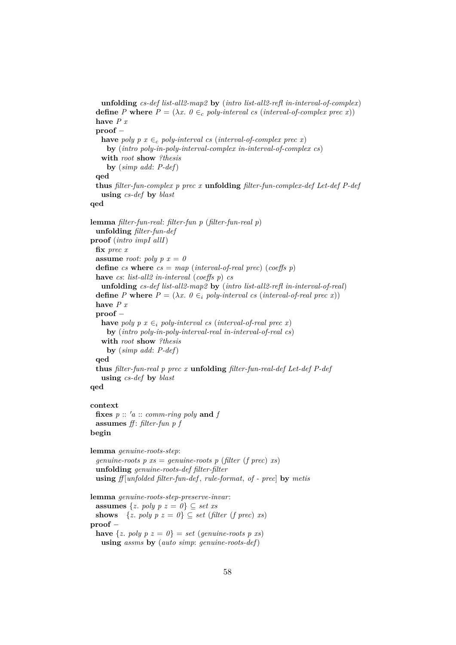```
unfolding cs-def list-all2-map2 by (intro list-all2-refl in-interval-of-complex)
  define P where P = (\lambda x. 0 \in_c poly-interval cs (interval-of-complex prec x))have P x
 proof −
   have poly p \ x \in_c \ poly\text{-}interval \ cs \ (interval\text{-}of\text{-}complex \ prec \ x)by (intro poly-in-poly-interval-complex in-interval-of-complex cs)
   with root show ?thesis
     by (simp add: P-def)
 qed
  thus filter-fun-complex p prec x unfolding filter-fun-complex-def Let-def P-def
   using cs-def by blast
qed
lemma filter-fun-real: filter-fun p (filter-fun-real p)
 unfolding filter-fun-def
proof (intro impI allI)
 fix prec x
 assume root: poly p x = 0define cs where cs = map (interval-of-real prec) (coeffs p)
 have cs: list-all2 in-interval (coeffs p) cs
   unfolding cs-def list-all2-map2 by (intro list-all2-refl in-interval-of-real)
  define P where P = (\lambda x. 0 \in_i \text{poly-interval cs} \text{ (interval-of-real prec x)})have P x
 proof −
   have poly p \ x \in_i poly-interval cs (interval-of-real prec x)
     by (intro poly-in-poly-interval-real in-interval-of-real cs)
   with root show ?thesis
     by (simp add: P-def)
 qed
 thus filter-fun-real p prec x unfolding filter-fun-real-def Let-def P-def
   using cs-def by blast
qed
context
 fixes p :: 'a :: comm-ring poly and fassumes ff : filter-fun p f
begin
lemma genuine-roots-step:
  genuine-roots p xs = genuine-roots p (filter (f prec) xs)
 unfolding genuine-roots-def filter-filter
 using ff [unfolded filter-fun-def , rule-format, of - prec] by metis
lemma genuine-roots-step-preserve-invar:
 assumes \{z. \text{poly } p \text{ } z = 0\} \subseteq \text{set xs}shows \{z. \text{poly } p \text{ } z = 0\} \subseteq \text{set} (filter (f prec) xs)
proof −
 have \{z, poly p z = 0\} = set (qenuine-roots p xs)
   using assms by (auto simp: genuine-roots-def)
```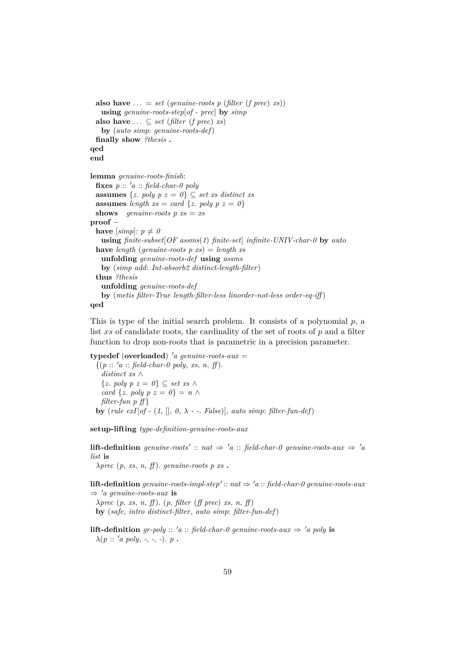```
also have \ldots = set (genuine-roots p (filter (f prec) xs))
   using genuine-roots-step[of - prec] by simp
 also have ... ⊆ set (filter (f prec) xs)
   by (auto simp: genuine-roots-def)
 finally show ?thesis .
qed
end
lemma genuine-roots-finish:
 fixes p :: 'a :: field-char-0 polyassumes \{z. \text{poly } p \ z = 0\} \subseteq \text{set xs} \text{ distinct xs}assumes length xs = card \{z, poly p z = 0\}shows genuine-roots p xs = xsproof −
 have [simp]: p \neq 0using finite-subset[OF assms(1) finite-set] infinite-UNIV-char-0 by auto
 have length (genuine-roots p xs) = length xs
   unfolding genuine-roots-def using assms
   by (simp add: Int-absorb2 distinct-length-filter)
 thus ?thesis
   unfolding genuine-roots-def
   by (metis filter-True length-filter-less linorder-not-less order-eq-iff )
qed
```
This is type of the initial search problem. It consists of a polynomial  $p$ , a list xs of candidate roots, the cardinality of the set of roots of  $p$  and a filter function to drop non-roots that is parametric in a precision parameter.

**typedef** (**overloaded**) <sup>0</sup>*a genuine-roots-aux* =  $\{(p:: 'a:: \text{ field-}char-0 \text{ poly}, xs, n, ff)\}.$ *distinct xs* ∧ {*z*. *poly p z* = *0*} ⊆ *set xs* ∧ *card* { $z$ *. poly p z = 0*} =  $n \wedge$ *filter-fun p ff* } **by** (*rule exI*[*of* - (1, [], 0,  $\lambda$  - -. *False*]], *auto simp*: *filter-fun-def*)

**setup-lifting** *type-definition-genuine-roots-aux*

**lift-definition** genuine-roots' :: nat  $\Rightarrow$  'a :: field-char-0 genuine-roots-aux  $\Rightarrow$  'a *list* **is**  $\lambda$ *prec*  $(p, xs, n, ff)$ . *genuine-roots*  $p$  *xs*.

**lift-definition** genuine-roots-impl-step':: nat  $\Rightarrow$  'a :: field-char-0 genuine-roots-aux  $\Rightarrow 'a$  genuine-roots-aux is λ*prec* (*p*, *xs*, *n*, *ff* ). (*p*, *filter* (*ff prec*) *xs*, *n*, *ff* )

**by** (*safe*, *intro distinct-filter*, *auto simp*: *filter-fun-def*)

**lift-definition** *gr-poly* ::  $'a$  :: *field-char-0 genuine-roots-aux*  $\Rightarrow 'a$  *poly* **is**  $\lambda(p:: 'a poly, -,-,-). p$ .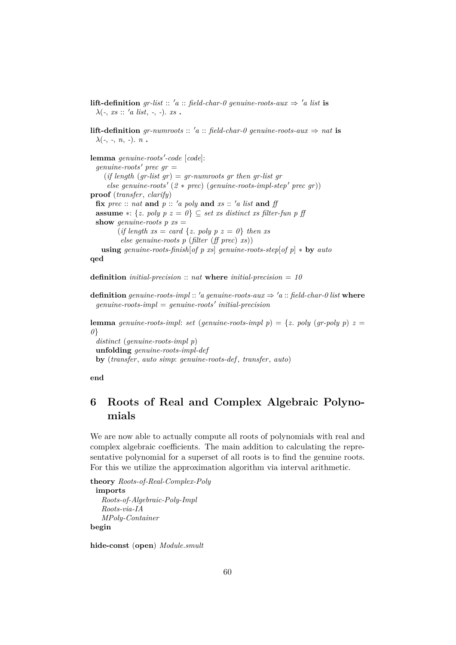**lift-definition** *gr-list* :: '*a* :: *field-char-0 genuine-roots-aux*  $\Rightarrow$  '*a list* **is**  $\lambda(\text{-}, \text{xs} :: 'a \text{ list}, \text{-}, \text{-}). \text{ xs}$ 

**lift-definition** *gr-numroots* :: 'a :: *field-char-0 genuine-roots-aux*  $\Rightarrow$  *nat* **is**  $\lambda$ (-, -, *n*, -). *n* .

 ${\bf lemma}$  *genuine-roots'-code* [*code*]:  $q$ *enuine-roots'* prec  $qr =$  $(if length (gr-list gr) = gr-numroots gr then gr-list gr$  $else~genuine-roots' (2 * prec) (genuine-roots-impl-step' prec gr)$ **proof** (*transfer*, *clarify*) **fix**  $prec$  :: *nat* **and**  $p$  :: '*a poly* **and** *xs* :: '*a list* **and** *ff* **assume** ∗: {*z*. *poly*  $p$  *z* =  $0$ } ⊆ *set xs distinct xs filter-fun p ff* **show** *genuine-roots*  $p$   $xs =$  $(if length xs = card \{z, poly p z = 0\} then xs$ *else genuine-roots p* (*filter* (*ff prec*) *xs*)) **using** *genuine-roots-finish*[*of p xs*] *genuine-roots-step*[*of p*] ∗ **by** *auto* **qed**

**definition** *initial-precision* :: *nat* **where** *initial-precision* = *10*

**definition** genuine-roots-impl :: 'a genuine-roots-aux  $\Rightarrow$  'a :: field-char-0 list where  $genuine-roots-impl = genuine-roots' initial-precision$ 

**lemma** *genuine-roots-impl: set* (*genuine-roots-impl p*) = {*z*. *poly* (*gr-poly p*) *z* = *0*} *distinct* (*genuine-roots-impl p*) **unfolding** *genuine-roots-impl-def*

**by** (*transfer*, *auto simp*: *genuine-roots-def* , *transfer*, *auto*)

**end**

## **6 Roots of Real and Complex Algebraic Polynomials**

We are now able to actually compute all roots of polynomials with real and complex algebraic coefficients. The main addition to calculating the representative polynomial for a superset of all roots is to find the genuine roots. For this we utilize the approximation algorithm via interval arithmetic.

**theory** *Roots-of-Real-Complex-Poly* **imports** *Roots-of-Algebraic-Poly-Impl Roots-via-IA MPoly-Container* **begin**

**hide-const** (**open**) *Module*.*smult*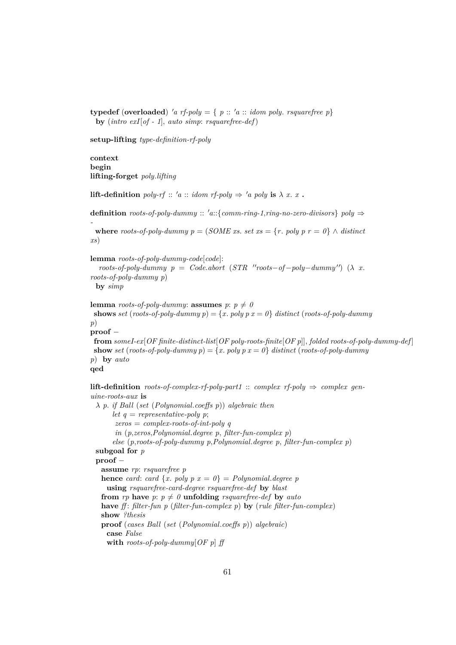**typedef** (**overloaded**) 'a rf-poly = {  $p$  :: 'a :: *idom poly. rsquarefree p*} **by** (*intro exI*[*of - 1*], *auto simp*: *rsquarefree-def*)

**setup-lifting** *type-definition-rf-poly*

**context begin lifting-forget** *poly*.*lifting*

*-*

**lift-definition** *poly-rf* :: '*a* :: *idom rf-poly*  $\Rightarrow$  '*a poly* **is**  $\lambda$  *x*. *x* **.** 

**definition** *roots-of-poly-dummy* :: '*a*::{*comm-ring-1,ring-no-zero-divisors*} *poly*  $\Rightarrow$ 

**where** *roots-of-poly-dummy*  $p = (SOME \, xs. \, set \, xs = \{r. \, poly \, p \, r = 0\} \land distinct$ *xs*)

**lemma** *roots-of-poly-dummy-code*[*code*]:

```
roots-of-poly-dummy p = Code. abort (STR "roots-of-poly-dummy") (\lambda x.
roots-of-poly-dummy p)
 by simp
```

```
lemma roots-of-poly-dummy: assumes p: p \neq 0shows set (roots-of-poly-dummy p) = {x. poly p x = 0} distinct (roots-of-poly-dummy)
p)
proof −
 from someI-ex[OF finite-distinct-list[OF poly-roots-finite[OF p]], folded roots-of-poly-dummy-def ]
show set (roots-of-poly-dummy p) = {x. poly p x = 0} distinct (roots-of-poly-dummy
p) by auto
qed
```
**lift-definition** *roots-of-complex-rf-poly-part1* :: *complex rf-poly*  $\Rightarrow$  *complex genuine-roots-aux* **is** λ *p*. *if Ball* (*set* (*Polynomial*.*coeffs p*)) *algebraic then let*  $q$  = *representative-poly p*; *zeros* = *complex-roots-of-int-poly q in* (*p*,*zeros*,*Polynomial*.*degree p*, *filter-fun-complex p*) *else* (*p*,*roots-of-poly-dummy p*,*Polynomial*.*degree p*, *filter-fun-complex p*) **subgoal for** *p* **proof** − **assume** *rp*: *rsquarefree p* **hence** *card*: *card*  $\{x. \text{poly } p \ x = 0\} = \text{Polynomial}$ . *degree p* **using** *rsquarefree-card-degree rsquarefree-def* **by** *blast* **from** *rp* **have**  $p: p \neq 0$  **unfolding** *rsquarefree-def* by *auto* **have** *ff* : *filter-fun p* (*filter-fun-complex p*) **by** (*rule filter-fun-complex*) **show** *?thesis* **proof** (*cases Ball* (*set* (*Polynomial*.*coeffs p*)) *algebraic*) **case** *False* **with** *roots-of-poly-dummy*[*OF p*] *ff*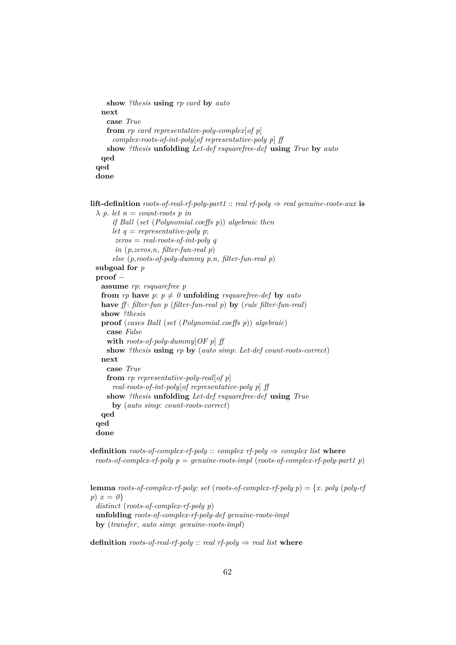```
show ?thesis using rp card by auto
 next
   case True
   from rp card representative-poly-complex[of p]
    complex-roots-of-int-poly[of representative-poly p] ff
   show ?thesis unfolding Let-def rsquarefree-def using True by auto
 qed
qed
done
```
**lift-definition** *roots-of-real-rf-poly-part1* :: *real rf-poly*  $\Rightarrow$  *real genuine-roots-aux* **is**  $\lambda$  *p. let*  $n =$  *count-roots p in if Ball* (*set* (*Polynomial*.*coeffs p*)) *algebraic then let*  $q$  = *representative-poly p*; *zeros* = *real-roots-of-int-poly q in* (*p*,*zeros*,*n*, *filter-fun-real p*) *else* (*p*,*roots-of-poly-dummy p*,*n*, *filter-fun-real p*) **subgoal for** *p* **proof** − **assume** *rp*: *rsquarefree p* **from** *rp* **have**  $p: p \neq 0$  **unfolding** *rsquarefree-def* **by** *auto* **have** *ff* : *filter-fun p* (*filter-fun-real p*) **by** (*rule filter-fun-real*) **show** *?thesis* **proof** (*cases Ball* (*set* (*Polynomial*.*coeffs p*)) *algebraic*) **case** *False* **with** *roots-of-poly-dummy*[*OF p*] *ff* **show** *?thesis* **using** *rp* **by** (*auto simp*: *Let-def count-roots-correct*) **next case** *True* **from** *rp representative-poly-real*[*of p*] *real-roots-of-int-poly*[*of representative-poly p*] *ff* **show** *?thesis* **unfolding** *Let-def rsquarefree-def* **using** *True* **by** (*auto simp*: *count-roots-correct*) **qed qed done**

**definition** *roots-of-complex-rf-poly* :: *complex rf-poly*  $\Rightarrow$  *complex list* **where** *roots-of-complex-rf-poly p* = *genuine-roots-impl* (*roots-of-complex-rf-poly-part1 p*)

**lemma** *roots-of-complex-rf-poly: set* (*roots-of-complex-rf-poly*  $p$ ) = {*x*. *poly* (*poly-rf p*) *x* = *0*} *distinct* (*roots-of-complex-rf-poly p*) **unfolding** *roots-of-complex-rf-poly-def genuine-roots-impl*

**by** (*transfer*, *auto simp*: *genuine-roots-impl*)

**definition** *roots-of-real-rf-poly* :: *real rf-poly*  $\Rightarrow$  *real list* **where**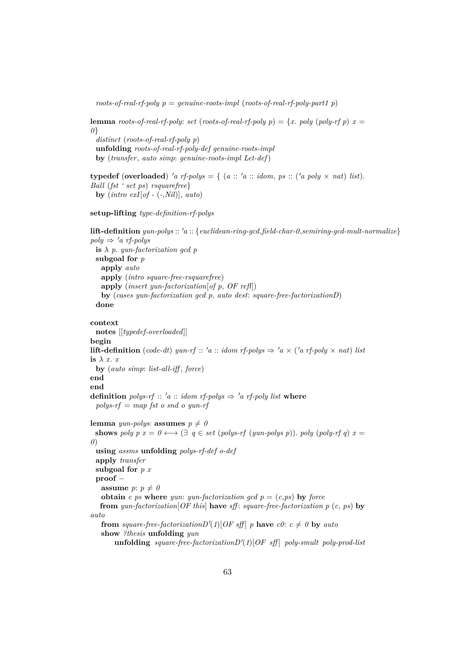*roots-of-real-rf-poly p* = *genuine-roots-impl* (*roots-of-real-rf-poly-part1 p*)

**lemma** *roots-of-real-rf-poly: set* (*roots-of-real-rf-poly*  $p$ ) = {*x*. *poly* (*poly-rf*  $p$ )  $x =$ *0*} *distinct* (*roots-of-real-rf-poly p*) **unfolding** *roots-of-real-rf-poly-def genuine-roots-impl* **by** (*transfer*, *auto simp*: *genuine-roots-impl Let-def*)

**typedef** (**overloaded**) 'a rf-polys = { (a :: 'a :: *idom, ps* :: ('a poly  $\times$  *nat*) *list*). *Ball* (*fst ' set ps*) *rsquarefree*} **by** (*intro exI*[*of -* (*-*,*Nil*)], *auto*)

**setup-lifting** *type-definition-rf-polys*

```
lift-definition yun-polys :: 0a :: {euclidean-ring-gcd,field-char-0,semiring-gcd-mult-normalize}
poly \Rightarrow 'a rf-polys
 is \lambda p. yun-factorization gcd p
 subgoal for p
   apply auto
   apply (intro square-free-rsquarefree)
   apply (insert yun-factorization[of p, OF refl])
   by (cases yun-factorization gcd p, auto dest: square-free-factorizationD)
  done
context
 notes [[typedef-overloaded]]
begin
lift-definition (code-dt) yun-rf :: 'a :: idom rf-polys \Rightarrow 'a \times ('a rf-poly \times nat) list
is λ x. x
 by (auto simp: list-all-iff , force)
end
end
definition polys-rf :: 'a :: idom rf-polys \Rightarrow 'a rf-poly list where
 polys-rf = map fst o snd o yun-rf
lemma yun-polys: assumes p \neq 0shows poly p x = 0 \leftrightarrow (\exists q \in set (polys-rf (yun-polys p)). poly (poly-rf q) x =0)
  using assms unfolding polys-rf-def o-def
 apply transfer
 subgoal for p x
 proof −
   assume p: p \neq 0obtain c ps where yun: yun-factorization qcd p = (c, ps) by force
   from yun-factorization[OF this] have sff : square-free-factorization p (c, ps) by
auto
   from square-free-factorization D'(1)[OF \text{ sff}] p have c0: c \neq 0 by auto
   show ?thesis unfolding yun
        \textbf{uniform} square-free-factorization D'(1)[OF \text{ aff}] poly-smult poly-prod-list
```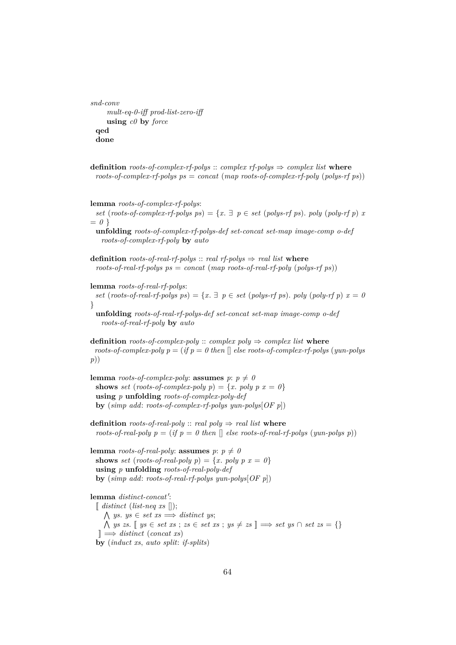```
snd-conv
    mult-eq-0-iff prod-list-zero-iff
    using c0 by force
 qed
 done
```
**definition** *roots-of-complex-rf-polys* :: *complex rf-polys*  $\Rightarrow$  *complex list* **where** *roots-of-complex-rf-polys ps* = *concat* (*map roots-of-complex-rf-poly* (*polys-rf ps*))

**lemma** *roots-of-complex-rf-polys*: *set* (*roots-of-complex-rf-polys ps*) = { $x \in \mathbb{R}$  *p*  $\in$  *set* (*polys-rf ps*). *poly* (*poly-rf p*) *x*  $= 0$ } **unfolding** *roots-of-complex-rf-polys-def set-concat set-map image-comp o-def roots-of-complex-rf-poly* **by** *auto* **definition** *roots-of-real-rf-polys*  $::$  *real rf-polys*  $\Rightarrow$  *real list* **where**  $roots-of-real-rf-polys$   $ps = concat (map roots-of-real-rf-poly (polys-rf ps))$ **lemma** *roots-of-real-rf-polys*: *set* (*roots-of-real-rf-polys ps*) = { $x \in \mathbb{R}$  *p*  $\in$  *set* (*polys-rf ps*). *poly* (*poly-rf p*)  $x = 0$ 

} **unfolding** *roots-of-real-rf-polys-def set-concat set-map image-comp o-def roots-of-real-rf-poly* **by** *auto*

**definition** *roots-of-complex-poly* :: *complex poly*  $\Rightarrow$  *complex list* **where**  $roots-of-complex-poly p = (if p = 0 then$  | else roots-of-complex-rf-polys (*yun-polys*) *p*))

```
lemma roots-of-complex-poly: assumes p: p \neq 0shows set (roots-of-complex-poly p) = {x. poly p x = 0}
 using p unfolding roots-of-complex-poly-def
 by (simp add: roots-of-complex-rf-polys yun-polys[OF p])
```
**definition** *roots-of-real-poly* :: *real poly*  $\Rightarrow$  *real list* **where** *roots-of-real-poly p* = (*if p* = 0 then  $\lceil \cdot \rceil$  *else roots-of-real-rf-polys* (*yun-polys p*))

**lemma** *roots-of-real-poly*: **assumes**  $p: p \neq 0$ **shows** *set* (*roots-of-real-poly p*) = {*x*. *poly p*  $x = 0$ } **using** *p* **unfolding** *roots-of-real-poly-def* **by** (*simp add*: *roots-of-real-rf-polys yun-polys*[*OF p*])

### lemma *distinct-concat'*:

 $\left[$  *distinct* (*list-neq xs*  $\left[ \right)$ );  $\bigwedge$  *ys. ys*  $\in$  *set xs*  $\Longrightarrow$  *distinct ys*;  $\bigwedge$  *ys zs*. [[ *ys* ∈ *set xs* ; *zs* ∈ *set xs* ; *ys*  $\neq$  *zs* ]]  $\Rightarrow$  *set ys* ∩ *set zs* = {} ]] =⇒ *distinct* (*concat xs*) **by** (*induct xs*, *auto split*: *if-splits*)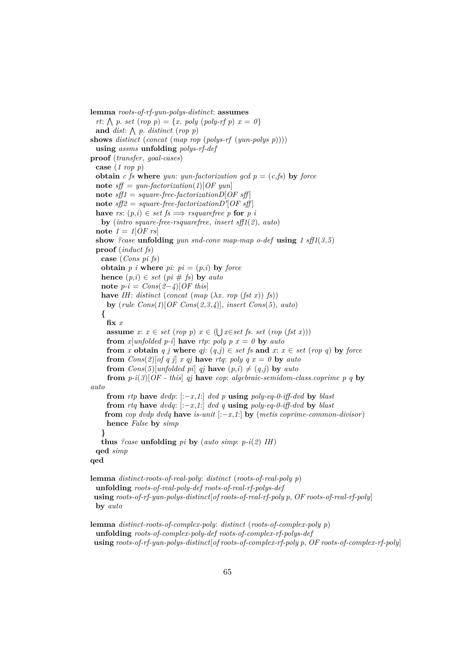**lemma** *roots-of-rf-yun-polys-distinct*: **assumes** *rt*:  $\bigwedge p$ . *set* (*rop p*) = {*x*. *poly* (*poly-rf p*) *x* = *0*} and *dist*:  $\bigwedge p$ . *distinct* (*rop p*) **shows** *distinct* (*concat* (*map rop* (*polys-rf* (*yun-polys p*)))) **using** *assms* **unfolding** *polys-rf-def* **proof** (*transfer*, *goal-cases*) **case** (*1 rop p*) **obtain** *c fs* **where** *yun*: *yun-factorization gcd*  $p = (c, fs)$  *by <i>force* **note**  $sff = yun-factorization(1)[OF yun]$ **note** *sff1* = *square-free-factorizationD*[*OF sff* ]  $\textbf{note}$   $\textit{sff2} = \textit{square-free-factorization} \textit{D'}[ \textit{OF sff} ]$ **have** *rs*:  $(p,i) \in set$  *fs*  $\implies$  *rsquarefree p* **for** *p i* **by** (*intro square-free-rsquarefree*, *insert sff1*(*2*), *auto*) **note**  $1 = 1[OF \; rs]$ **show** *?case* **unfolding** *yun snd-conv map-map o-def* **using** *1 sff1*(*3*,*5*) **proof** (*induct fs*) **case** (*Cons pi fs*) **obtain**  $p$  *i* **where**  $pi$ **:**  $pi = (p,i)$  **by force hence**  $(p,i) \in set$  ( $pi \neq fs$ ) **by**  $auto$ **note**  $p-i = Cons(2-4)[OF$  this **have** *IH*: *distinct* (*concat* (*map*  $(\lambda x.$  *rop* (*fst x*)) *fs*)) **by** (*rule Cons*(*1*)[*OF Cons*(*2*,*3*,*4*)], *insert Cons*(*5*), *auto*) **{ fix** *x* **assume**  $x: x \in set (rop p)$   $x \in (\bigcup x \in set fs. set (rop (fst x)))$ **from** *x*[*unfolded p-i*] **have** *rtp*: *poly*  $p x = 0$  **by** *auto* **from** *x* **obtain** *q j* **where** *qj*:  $(q, j) \in set$  *fs* **and**  $x: x \in set$  (*rop q*) **by** *force* **from**  $Cons(2)[of q j]$  *x qj* **have** *rtq*: *poly*  $q x = 0$  **by** *auto* **from**  $Cons(5)[unfolded\ pi]\ qi\ \textbf{have}\ (p,i)\neq (q,j)\ \textbf{by}\ auto$ **from** *p-i*(*3*)[*OF - this*] *qj* **have** *cop*: *algebraic-semidom-class*.*coprime p q* **by** *auto* **from**  $rtp$  **have**  $dvdp$ :  $[-x,1]$   $dvdp$  **using**  $poly\text{-}eq\text{-}0\text{-}iff\text{-}dvd$  **by**  $blast$ **from** *rtq* **have** *dvdq*: [:−*x*,*1*:] *dvd q* **using** *poly-eq-0-iff-dvd* **by** *blast* **from** *cop dvdp dvdq* **have** *is-unit* [:−*x*,*1*:] **by** (*metis coprime-common-divisor*) **hence** *False* **by** *simp* **} thus** *?case* **unfolding** *pi* **by** (*auto simp*:  $p-i(2)$  *IH*) **qed** *simp* **qed lemma** *distinct-roots-of-real-poly*: *distinct* (*roots-of-real-poly p*) **unfolding** *roots-of-real-poly-def roots-of-real-rf-polys-def* **using** *roots-of-rf-yun-polys-distinct*[*of roots-of-real-rf-poly p*, *OF roots-of-real-rf-poly*] **by** *auto*

**lemma** *distinct-roots-of-complex-poly*: *distinct* (*roots-of-complex-poly p*) **unfolding** *roots-of-complex-poly-def roots-of-complex-rf-polys-def* **using** *roots-of-rf-yun-polys-distinct*[*of roots-of-complex-rf-poly p*, *OF roots-of-complex-rf-poly*]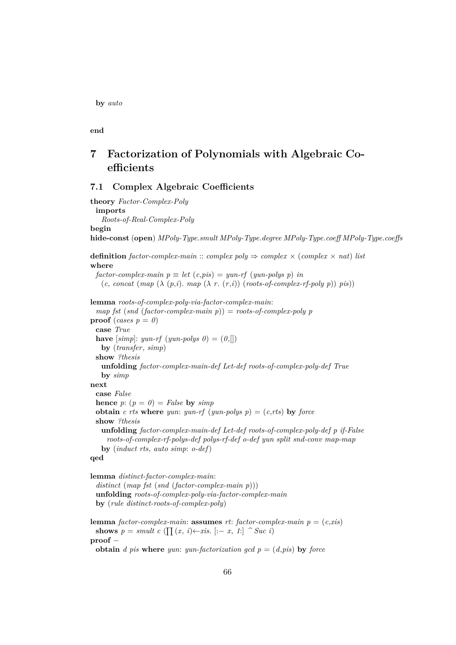**by** *auto*

**end**

# **7 Factorization of Polynomials with Algebraic Coefficients**

### **7.1 Complex Algebraic Coefficients**

**theory** *Factor-Complex-Poly* **imports** *Roots-of-Real-Complex-Poly* **begin hide-const** (**open**) *MPoly-Type*.*smult MPoly-Type*.*degree MPoly-Type*.*coeff MPoly-Type*.*coeffs* **definition** *factor-complex-main* :: *complex poly*  $\Rightarrow$  *complex*  $\times$  *(complex*  $\times$  *nat) list* **where**  $factor-complex-manin p \equiv let (c,pis) = yun-rf (yun-polys p) in$ (*c*, *concat* (*map* (λ (*p*,*i*). *map* (λ *r*. (*r*,*i*)) (*roots-of-complex-rf-poly p*)) *pis*)) **lemma** *roots-of-complex-poly-via-factor-complex-main*: *map fst* (*snd* (*factor-complex-main p*)) = *roots-of-complex-poly p* **proof** (*cases*  $p = 0$ ) **case** *True* **have**  $[simp]: yun-rf(yun-polys 0) = (0,[])$ **by** (*transfer*, *simp*) **show** *?thesis* **unfolding** *factor-complex-main-def Let-def roots-of-complex-poly-def True* **by** *simp* **next case** *False* **hence**  $p: (p = 0) = False$  **by**  $simp$ **obtain** *c rts* **where** *yun: yun-rf* (*yun-polys p*) =  $(c, rts)$  **by** *force* **show** *?thesis* **unfolding** *factor-complex-main-def Let-def roots-of-complex-poly-def p if-False roots-of-complex-rf-polys-def polys-rf-def o-def yun split snd-conv map-map* **by** (*induct rts*, *auto simp*: *o-def*) **qed**

**lemma** *distinct-factor-complex-main*: *distinct* (*map fst* (*snd* (*factor-complex-main p*))) **unfolding** *roots-of-complex-poly-via-factor-complex-main* **by** (*rule distinct-roots-of-complex-poly*)

**lemma** *factor-complex-main*: **assumes** *rt*: *factor-complex-main*  $p = (c, xis)$ **shows**  $p = smult \ c \ (\prod(x, i) \leftarrow x \ s. \ [-x, 1] \ \ \textdegree \ \textcirclearrowright \textcirclearrowright \textcirclearrowright \textcirclearrowleft$ **proof** −

**obtain** *d pis* **where** *yun: yun-factorization gcd*  $p = (d, \text{pis})$  *by <i>force*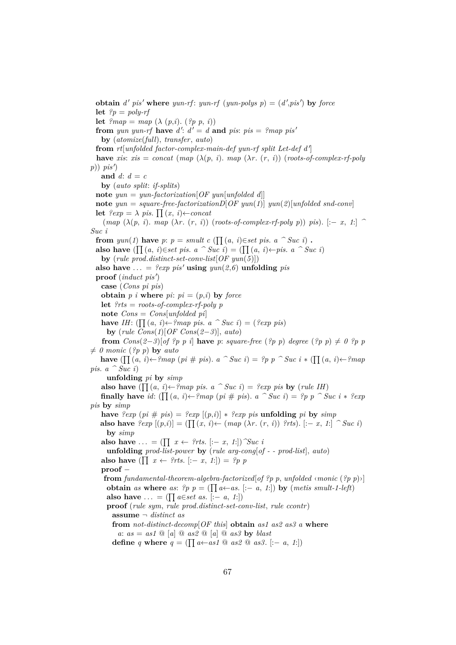**obtain** *d' pis'* where *yun-rf*: *yun-rf* (*yun-polys p*) =  $(d', pis')$  by *force* **let**  $?p = poly-rf$ **let**  $\ell$ *map* = *map* ( $\lambda$  (*p*,*i*). ( $\ell$ *p p*, *i*)) **from** yun yun-rf **have**  $d'$ :  $d' = d$  **and** pis: pis = ?map pis' **by** (*atomize*(*full*), *transfer*, *auto*) from rt[unfolded factor-complex-main-def yun-rf split Let-def d' **have** *xis*:  $x$ *is* = *concat* (*map* ( $\lambda(p, i)$ ). *map* ( $\lambda r$ , (*r*, *i*)) (*roots-of-complex-rf-poly*  $p)$ )  $pis'$ and  $d: d = c$ **by** (*auto split*: *if-splits*) **note** *yun* = *yun-factorization*[*OF yun*[*unfolded d*]] **note** *yun* = *square-free-factorizationD*[*OF yun*(*1*)] *yun*(*2*)[*unfolded snd-conv*] **let**  $?exp = \lambda$  *pis*.  $\prod(x, i) \leftarrow concat$  $(map \; (\lambda(p, i), map \; (\lambda r, (r, i)) \; (roots-of-complex-rf-poly \; p)) \; \text{pis}).$  [: $-x$ , *1*:]  $\sim$ *Suc i* **from**  $yun(1)$  **have**  $p: p = smult \ c \ (\prod(a, i) \in set \ p is. \ a \ \cap \ Suc \ i)$ . **also have** ( $\prod (a, i) \in set \; \text{pis.} \; a \; \hat{\ }$ Suc *i*) = ( $\prod (a, i) \leftarrow \text{pis.} \; a \; \hat{\ }$  Suc *i*) **by** (*rule prod*.*distinct-set-conv-list*[*OF yun*(*5*)]) also have  $\ldots = ?exp~pis'$  **using**  $yun(2,6)$  **unfolding** *pis* proof (*induct pis'*) **case** (*Cons pi pis*) **obtain**  $p$  *i* **where**  $pi$ **:**  $pi = (p,i)$  **by force let** *?rts* = *roots-of-complex-rf-poly p* **note** *Cons* = *Cons*[*unfolded pi*] **have** *IH*: (Q (*a*, *i*)←*?map pis*. *a ^ Suc i*) = (*?exp pis*) **by** (*rule Cons*(*1*)[*OF Cons*(*2*−*3*)], *auto*) **from**  $Cons(2-3)[of?p p i]$  **have** p: *square-free*  $(\frac{2p}{p}p)$  *degree*  $(\frac{2p}{p}p) \neq 0?p p$  $\neq$  0 monic (?p p) **by** *auto* **have**  $(\prod(a, i) \leftarrow ?map (pi \# pis). a \cap Suc i) = ?pp \cap Suc i * (\prod(a, i) \leftarrow ?map)$ *pis.*  $a \cap \overrightarrow{Suc}$  *i*) **unfolding** *pi* **by** *simp* **also have** ( Q (*a*, *i*)←*?map pis*. *a ^ Suc i*) = *?exp pis* **by** (*rule IH*) **finally have** *id*:  $(\prod (a, i) \leftarrow ?map (pi \# \text{ } pis). a \cap \text{ }Suc \text{ } i) = ?p \text{ } p \cap \text{ }Suc \text{ } i * ?exp$ *pis* **by** *simp* **have**  $\text{P}exp\left(p i \neq p i s\right) = \text{P}exp\left[(p,i)\right] * \text{P}exp\ p i s$  **unfolding** *pi* **by** *simp* **also have**  $?exp$  [(p,*i*)] = ( $\prod(x, i)$ ← (map ( $\lambda r$ . (r, *i*))  $?rts$ ). [:− *x*, *1*:]  $\hat{ }$  *Suc i*) **by** *simp* **also have**  $\dots = (\prod x \leftarrow \text{?rts. } [-x, 1])$   $\hat{\mathcal{S}}uc \hat{\mathcal{i}}$ **unfolding** *prod-list-power* **by** (*rule arg-cong*[*of - - prod-list*], *auto*) **also have** ( $\prod x \leftarrow ?rts$ . [:− *x*, *1*:]) = *?p p* **proof** − **from** fundamental-theorem-algebra-factorized of ?p p, unfolded  $\langle$ *monic* (?p p) $\rangle$ ] **obtain** *as* where *as*:  $?p$   $p = (\prod a \leftarrow as. [-a, 1])$  by  $(metis smallt-1-left)$ **also have**  $\dots = (\prod a \in set \text{ as. } != a, 1)$ **proof** (*rule sym*, *rule prod*.*distinct-set-conv-list*, *rule ccontr*) **assume** ¬ *distinct as* **from** *not-distinct-decomp*[*OF this*] **obtain** *as1 as2 as3 a* **where**  $a: as = as1 \circledcirc$  [*a*]  $\circledcirc$  *as2*  $\circledcirc$  [*a*]  $\circledcirc$  *as3* by *blast* **define** *q* **where**  $q = (\prod a \leftarrow as1 \text{ @ } as2 \text{ @ } as3.$  [:- *a*, *1*:])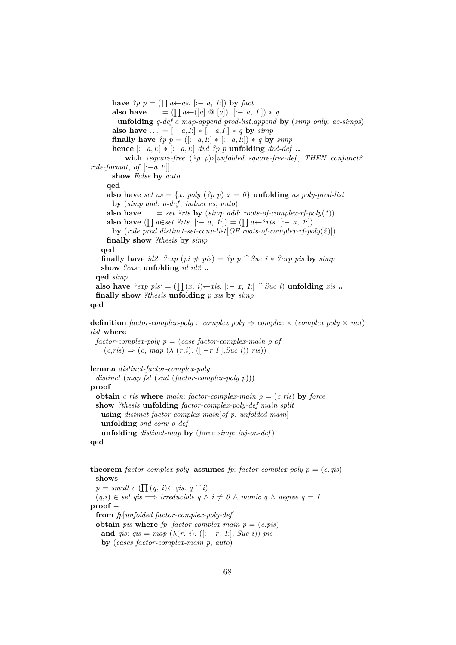**have**  $?p$   $p$  = ( $\prod a \leftarrow as$ . [:− *a*, *1*:]) **by** *fact* **also have** ... =  $(\prod a \leftarrow ([a] \ @ [a]) \ [:= a, 1] \) * q$ **unfolding** *q-def a map-append prod-list*.*append* **by** (*simp only*: *ac-simps*) **also have**  $\dots = [-a, 1] * [-a, 1] * q$  by  $simp$ **finally have**  $?p$   $p = ([-a,1] * [-a,1]) * q$  by  $simp$ **hence**  $[-a,1] * [-a,1]$  *dvd ?p p* **unfolding** *dvd-def* .. **with** ‹*square-free* (*?p p*)›[*unfolded square-free-def* , *THEN conjunct2*,  $rule-format, of [-a,1]$ **show** *False* **by** *auto* **qed also have** *set as* = {*x*. *poly* (?*p p*) *x* = *0*} **unfolding** *as poly-prod-list* **by** (*simp add*: *o-def* , *induct as*, *auto*) also have  $\ldots = set$  *?rts* by (*simp add: roots-of-complex-rf-poly*(1)) **also have** ( $\prod a \in set$  *?rts*. [:− *a*, *1*:]) = ( $\prod a \leftarrow ?rts$ . [:− *a*, *1*:]) **by** (*rule prod*.*distinct-set-conv-list*[*OF roots-of-complex-rf-poly*(*2*)]) **finally show** *?thesis* **by** *simp* **qed finally have** *id2*: *?exp* (*pi*  $\#$  *pis*) = *?p p*  $\hat{ }$  *Suc i*  $*$  *?exp pis* **by** *simp* **show** *?case* **unfolding** *id id2* **.. qed** *simp* **also have**  $?exp$   $pis' = (\prod(x, i) \leftarrow x \in [:-x, 1:]$   $\cap$  *Suc i*) **unfolding** *xis* **.. finally show** *?thesis* **unfolding** *p xis* **by** *simp* **qed definition** *factor-complex-poly* :: *complex poly*  $\Rightarrow$  *complex*  $\times$  (*complex poly*  $\times$  *nat*) *list* **where**

*factor-complex-poly p* = (*case factor-complex-main p of* (*c*,*ris*) ⇒ (*c*, *map* (λ (*r*,*i*). ([:−*r*,*1*:],*Suc i*)) *ris*))

**lemma** *distinct-factor-complex-poly*:

```
distinct (map fst (snd (factor-complex-poly p)))
proof −
 obtain c ris where main: factor-complex-main p = (c, ris) by force
 show ?thesis unfolding factor-complex-poly-def main split
   using distinct-factor-complex-main[of p, unfolded main]
   unfolding snd-conv o-def
   unfolding distinct-map by (force simp: inj-on-def)
qed
```
**theorem** *factor-complex-poly*: **assumes** *fp*: *factor-complex-poly*  $p = (c,qis)$ **shows**  $p = smult \ c \ (\prod (q, i) \leftarrow qis. \ q \ \hat{\ } i)$  $(q,i) \in set \text{ qis} \implies irreducible \text{ } q \wedge i \neq 0 \wedge monic \text{ } q \wedge degree \text{ } q = 1$ **proof** − **from** *fp*[*unfolded factor-complex-poly-def* ] **obtain** *pis* **where** *fp*: *factor-complex-main*  $p = (c, \text{pis})$ **and** *qis*:  $q$ *is* =  $map$  ( $\lambda$ ( $r$ , *i*). ([:–  $r$ , *1*:], *Suc i*)) *pis* **by** (*cases factor-complex-main p*, *auto*)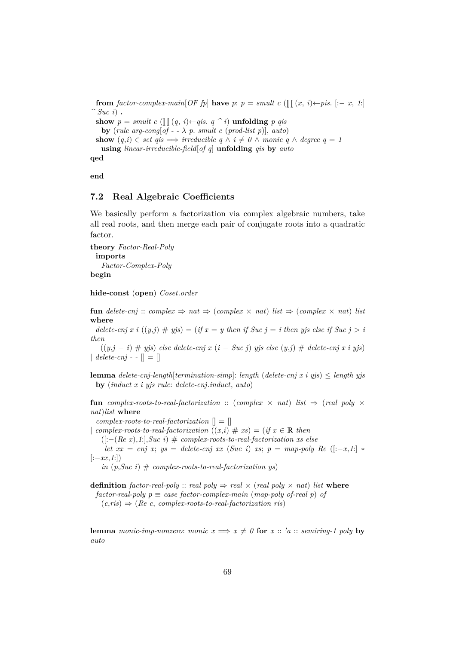**from** factor-complex-main [OF fp] **have**  $p: p = smult \ c$  ( $\prod(x, i) \leftarrow p$ is. [:- *x*, *1*:]  $\hat{ }$  *Suc i*) **. show**  $p = smult \ c \ (\prod (q, i) \leftarrow qis \ q \ \hat{ } \ i)$  **unfolding**  $p \ qis$ **by** (*rule arg-cong*[ $of - \lambda$  *p. smult c* (*prod-list p*)], *auto*) **show**  $(q,i) \in set \text{ qis } \implies irreducible \text{ } q \wedge i \neq 0 \wedge monic \text{ } q \wedge degree \text{ } q = 1$ **using** *linear-irreducible-field*[*of q*] **unfolding** *qis* **by** *auto*

**qed**

**end**

### **7.2 Real Algebraic Coefficients**

We basically perform a factorization via complex algebraic numbers, take all real roots, and then merge each pair of conjugate roots into a quadratic factor.

**theory** *Factor-Real-Poly* **imports** *Factor-Complex-Poly* **begin**

**hide-const** (**open**) *Coset*.*order*

**fun** delete-cnj ::  $complex \Rightarrow nat \Rightarrow (complex \times nat)$  *list*  $\Rightarrow (complex \times nat)$  *list* **where**

*delete-cnj x i*  $((y, j) \# yjs) = (if x = y$  then if Suc  $j = i$  then yjs else if Suc  $j > i$ *then*

((*y*,*j* − *i*) # *yjs*) *else delete-cnj x* (*i* − *Suc j*) *yjs else* (*y*,*j*) # *delete-cnj x i yjs*)  $\vert$  *delete-cnj* - -  $\vert \vert$  =  $\vert \vert$ 

**lemma** *delete-cnj-length*[*termination-simp*]: *length* (*delete-cnj x i yjs*) ≤ *length yjs* **by** (*induct x i yjs rule*: *delete-cnj*.*induct*, *auto*)

**fun** *complex-roots-to-real-factorization* :: (*complex*  $\times$  *nat*) *list*  $\Rightarrow$  (*real poly*  $\times$ *nat*)*list* **where**

*complex-roots-to-real-factorization* [] = []

| *complex-roots-to-real-factorization*  $((x,i) \# xs) = (if x \in \mathbb{R}$  then

([:−(*Re x*),*1*:],*Suc i*) # *complex-roots-to-real-factorization xs else*

*let*  $xx = cnj$  *x*;  $ys = delete-cnj$  *xx* (*Suc i*) *xs*;  $p = map-poly$  *Re* ([:-*x*,*1*:] \*  $[-xx, 1]$ )

 $in$   $(p, \textit{Suc } i)$   $#$  *complex-roots-to-real-factorization ys*)

**definition** *factor-real-poly* :: *real poly*  $\Rightarrow$  *real*  $\times$  (*real poly*  $\times$  *nat*) *list* **where**  $factor-real-poly \np \equiv case \ factor-complex-man \ (map-poly \ of\ real \ p) \ of$  $(c, ris) \Rightarrow (Re \ c, complex-roots-to-real-factorization ris)$ 

**lemma** *monic-imp-nonzero: monic*  $x \implies x \neq 0$  *for*  $x :: 'a :: semiring-1$  *poly* by *auto*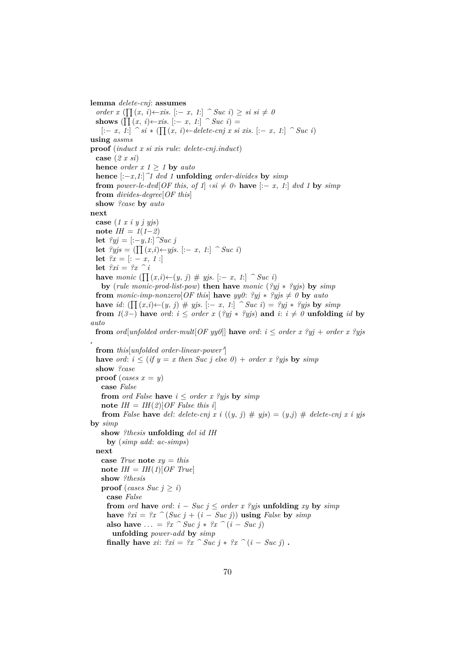**lemma** *delete-cnj*: **assumes** *order x* ( $\prod (x, i)$ ← *xis*. [:− *x*, *1*:]  $\cap$  *Suc i*) ≥ *si si*  $\neq$  *0* **shows** ( $\prod (x, i) \leftarrow x$ *is*. [:− *x*, *1*:]  $\cap$  *Suc i*) = [:− *x*, *1*:] *^ si* ∗ ( Q (*x*, *i*)←*delete-cnj x si xis*. [:− *x*, *1*:] *^ Suc i*) **using** *assms* **proof** (*induct x si xis rule*: *delete-cnj*.*induct*) **case** (*2 x si*) **hence** *order*  $x 1 \ge 1$  **by** *auto* **hence** [:−*x*,*1*:]*^1 dvd 1* **unfolding** *order-divides* **by** *simp* **from** *power-le-dvd*[*OF this, of 1*]  $\langle si \neq 0 \rangle$  **have**  $[-x, 1]$  *dvd 1* by  $\langle simp \rangle$ **from** *divides-degree*[*OF this*] **show** *?case* **by** *auto* **next case** (*1 x i y j yjs*)  $\textbf{note} \ \textit{IH} = 1(1-2)$ **let**  $?yi =$  [:−*y*,*1*:]  $^{\sim}Suc$  *j* **let**  $\ell$ *yjs* = ( $\prod (x,i) \leftarrow y$ *js*. [:− *x*, *1*:]  $\cap$  *Suc i*) **let**  $\mathscr{L}x = [:-x, 1:]$ **let** *?xi* = *?x ^ i* **have** *monic* ( $\prod (x,i) \leftarrow (y, j)$  # *yjs.* [:− *x*, *1*:]  $\cap$  *Suc i*) **by** (*rule monic-prod-list-pow*) **then have** *monic* (*?yj* ∗ *?yjs*) **by** *simp* **from** monic-imp-nonzero[OF this] **have**  $yy0$ :  $\mathscr{Y}yj * \mathscr{Y}yjs \neq 0$  **by** auto **have** *id*:  $(\prod (x,i) \leftarrow (y, j) \# yjs. [-x, 1] \cap Suc i) = ?yj * ?yjs$  by  $simp$ **from**  $1(3-)$  have *ord*:  $i \leq$  *order*  $x$  ( $?yi$  \*  $?yi$ s) and  $i: i \neq 0$  **unfolding** *id* by *auto* **from** *ord*[*unfolded order-mult*[*OF yy0*]] **have** *ord*:  $i <$  *order x* ?*yj* + *order x* ?*yjs* **.** from this unfolded order-linear-power' **have** *ord*:  $i \leq (if \ y = x \ then \ Suc \space loc \space j \space else \space 0) + order \ x \space ?y \space js \ by \ simp$ **show** *?case* **proof** (*cases*  $x = y$ ) **case** *False* **from** *ord False* **have**  $i \leq$  *order x ?yjs* **by**  $simp$ note  $IH = IH(2)[OF$  *False this i* **from** *False* **have** *del: delete-cnj* x i  $((y, j) \# yjs) = (y, j) \#$  *delete-cnj* x i yjs **by** *simp* **show** *?thesis* **unfolding** *del id IH* **by** (*simp add*: *ac-simps*) **next case** *True* **note** *xy* = *this*  $\textbf{note}$  *IH* = *IH*(*1*)[*OF True*] **show** *?thesis* **proof** (*cases Suc*  $j \geq i$ ) **case** *False* **from** *ord* **have** *ord*:  $i - Suc$   $j \leq$  *order*  $x$  *?yjs* **unfolding**  $xy$  **by**  $simp$ **have**  $?xi = ?x$   $\hat{i}$  (*Suc j* + (*i* − *Suc j*)) **using** *False* **by** *simp* **also have**  $\ldots = ?x$  ^ *Suc j* \*  $?x$  ^ (*i* – *Suc j*) **unfolding** *power-add* **by** *simp* **finally have** *xi*:  $?xi = ?x \text{ } ^\frown \textit{Suc } j * ?x \text{ } ^\frown (i - \textit{Suc } j)$ .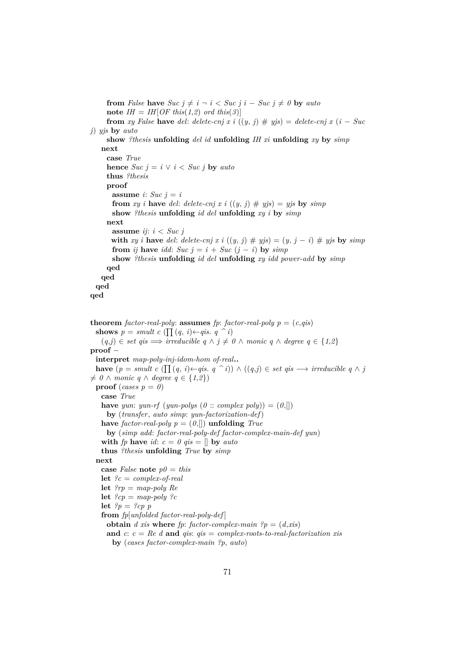**from** *False* **have**  $Suc \, j \neq i \, \neg i < Suc \, j \, i - Suc \, j \neq 0$  **by**  $auto$ **note**  $IH = IH[OF this(1,2) ord this(3)]$ **from** *xy* False **have** *del: delete-cnj x i*  $((y, j) \# yjs) =$  *delete-cnj x*  $(i - Suc)$ *j*) *yjs* **by** *auto* **show** *?thesis* **unfolding** *del id* **unfolding** *IH xi* **unfolding** *xy* **by** *simp* **next case** *True* **hence**  $Suc$   $j = i \vee i < Suc$   $j$  **by**  $auto$ **thus** *?thesis* **proof assume** *i*: *Suc*  $j = i$ **from** *xy i* **have** *del: delete-cnj x i*  $((y, j) \# yjs) = yjs$  **by**  $simp$ **show** *?thesis* **unfolding** *id del* **unfolding** *xy i* **by** *simp* **next assume** *ij*: *i* < *Suc j* **with** *xy i* **have** *del*: *delete-cnj x i* ((*y*, *j*)  $\#$  *yjs*) = (*y*, *j* − *i*)  $\#$  *yjs* **by** *simp* **from** *ij* **have** *idd*: *Suc*  $j = i + Suc$  ( $j - i$ ) **by** *simp* **show** *?thesis* **unfolding** *id del* **unfolding** *xy idd power-add* **by** *simp* **qed qed qed qed theorem** *factor-real-poly*: **assumes** *fp*: *factor-real-poly*  $p = (c, qis)$ **shows**  $p = smult \ c \ (\prod (q, i) \leftarrow qis \ q \ \hat{\ } i)$  $(q, j) \in set \text{ qis} \implies irreducible \text{ } q \land j \neq 0 \land \text{ monic } q \land \text{ degree } q \in \{1, 2\}$ **proof** − **interpret** *map-poly-inj-idom-hom of-real***.. have**  $(p = smult \ c \ (\prod (q, i) \leftarrow qis \ q \ \ \hat{ } \ i) ) \land ((q, j) \in set \ qis \ \rightarrow irreducible \ q \land j$  $\neq$  0 ∧ *monic q* ∧ *degree q* ∈ {1,2}) **proof** (*cases p* =  $\theta$ ) **case** *True* **have** *yun*: *yun-rf* (*yun-polys* ( $\theta$  :: *complex poly*)) =  $(0,[])$ **by** (*transfer*, *auto simp*: *yun-factorization-def*) **have** *factor-real-poly*  $p = (0, \mathbb{I})$  **unfolding** *True* **by** (*simp add*: *factor-real-poly-def factor-complex-main-def yun*) **with** *fp* **have** *id*:  $c = 0$  *qis* = [] **by** *auto* **thus** *?thesis* **unfolding** *True* **by** *simp* **next case** *False* **note**  $p\theta = \text{this}$ **let** *?c* = *complex-of-real* **let** *?rp* = *map-poly Re* **let**  $?cp = map-poly ?c$ **let**  $?p = ?cp$  p **from** *fp*[*unfolded factor-real-poly-def* ] **obtain** *d xis* **where** *fp*: *factor-complex-main*  $?p = (d, xis)$ **and** *c*: *c* = *Re d* **and** *qis*: *qis* = *complex-roots-to-real-factorization xis* **by** (*cases factor-complex-main ?p*, *auto*)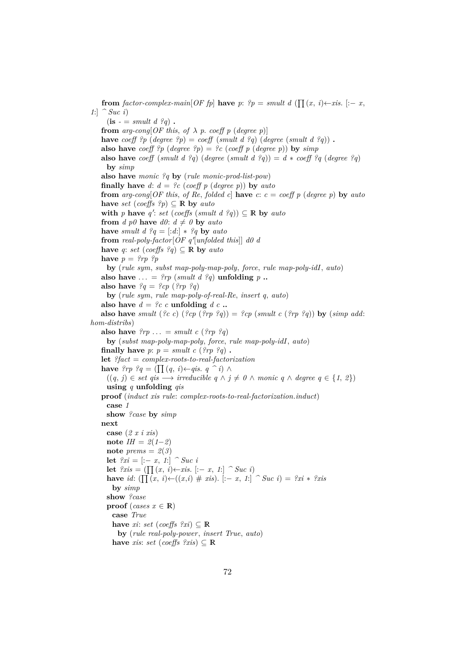**from** *factor-complex-main*[*OF fp*] **have** *p*:  $?p = smult d$  ( $\prod(x, i) \leftarrow x$ is. [:- *x*, *1*:] *^ Suc i*)  $(\mathbf{is} - \mathbf{is} \cdot \mathbf{is})$  **. from**  $arg\text{-}conq[OF this, of \lambda p, coeff p (degree p)]$ **have**  $\text{coeff}$   $\mathcal{P}p$  (*degree*  $\mathcal{P}p$ ) =  $\text{coeff}$  (*smult d*  $\mathcal{P}q$ ) (*degree* (*smult d*  $\mathcal{P}q$ )). **also have** *coeff*  ${}^{2}p$  (*degree*  ${}^{2}p$ ) =  ${}^{2}c$  (*coeff* p (*degree* p)) **by** *simp* **also have** *coeff* (*smult d ?q*) (*degree* (*smult d ?q*)) =  $d * \text{coeff}$  *?q* (*degree ?q*) **by** *simp* **also have** *monic ?q* **by** (*rule monic-prod-list-pow*) **finally have**  $d: d = ?c$  (*coeff p* (*degree p*)) **by**  $auto$ **from**  $arg\text{-}cong[OF this, of Re, folded c]$  **have**  $c: c = coeff p$  (*degree p*) **by**  $auto$ **have** *set* (*coeffs*  $?p$ )  $\subseteq$  **R** by *auto* with *p* have *q*': *set* (*coeffs* (*smult d ?q*))  $\subseteq$  **R** by *auto* **from** *d*  $p\theta$  **have**  $d\theta$ :  $d \neq \theta$  **by** *auto* **have** *smult d*  $?q = [.d!] * ?q$  **by** *auto* from *real-poly-factor*  $\overline{OF} q'$  *unfolded this*  $\overline{d}$  *d0 d* **have** *q*: *set* (*coeffs*  $?q$ )  $\subseteq$  **R by** *auto* **have**  $p = \{rp \}$ ? **by** (*rule sym*, *subst map-poly-map-poly*, *force*, *rule map-poly-idI*, *auto*) also have  $\ldots = \text{Im}(\text{small } d \text{ } \text{?} q)$  unfolding  $p \ldots$ **also have**  $?q = ?cp$  ( $?rp$   $?q$ ) **by** (*rule sym*, *rule map-poly-of-real-Re*, *insert q*, *auto*) also have  $d = ?c$  *c* **unfolding**  $d$  *c* **.. also have** *smult* (*?c c*) (*?cp* (*?rp ?q*)) = *?cp* (*smult c* (*?rp ?q*)) **by** (*simp add: hom-distribs*) **also have**  $\mathcal{P}rp \dots = smult \ c \ (\mathcal{P}rp \ \mathcal{P}q)$ **by** (*subst map-poly-map-poly*, *force*, *rule map-poly-idI*, *auto*) **finally have**  $p: p = smult \ c \ (?rp \ ?q)$ . **let** *?fact* = *complex-roots-to-real-factorization* **have**  $?rp$   $?q = (\prod (q, i) \leftarrow q$ *is*.  $q \cap i) \wedge$  $((q, j) \in set \text{ qis } → \text{ irreducible } q \land j \neq 0 \land \text{ monic } q \land \text{ degree } q \in \{1, 2\})$ **using** *q* **unfolding** *qis* **proof** (*induct xis rule*: *complex-roots-to-real-factorization*.*induct*) **case** *1* **show** *?case* **by** *simp* **next case** (*2 x i xis*) **note** *IH* =  $2(1-2)$ **note**  $prems = 2(3)$ **let**  $?xi =$  [:− *x*, *1*:]  $\hat{ }$  *Suc i* **let**  $?xis = (\prod(x, i) \leftarrow x \text{ is.} [-x, 1] \cap Suc \text{ i})$ **have** *id*:  $(\prod (x, i) \leftarrow ((x, i) \# xis)$ . [:− *x*, *1*:]  $\cap$  *Suc i*) = *?xi* ∗ *?xis* **by** *simp* **show** *?case* **proof** (*cases*  $x \in \mathbb{R}$ ) **case** *True* **have** *xi*: *set* (*coeffs*  $?xi \ge \mathbb{R}$ **by** (*rule real-poly-power*, *insert True*, *auto*) **have** *xis*: *set* (*coeffs*  $?xis$ )  $\subseteq$  **R**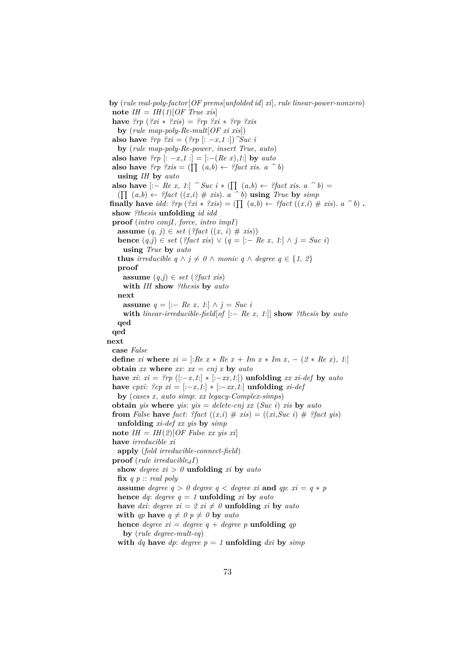**by** (*rule real-poly-factor*[*OF prems*[*unfolded id*] *xi*], *rule linear-power-nonzero*)  $\text{note } IH = IH(1)[OF \text{ True } x is]$ **have** *?rp* (*?xi* ∗ *?xis*) = *?rp ?xi* ∗ *?rp ?xis* **by** (*rule map-poly-Re-mult*[*OF xi xis*]) **also have**  $?rp$   $?xi = (?rp$   $[: -x, 1!]$ ) $^{\sim}Suc$  *i* **by** (*rule map-poly-Re-power*, *insert True*, *auto*) **also have**  $?rp$  [: -*x*,*1* :] = [:-(*Re x*),*1*:] **by** *auto* **also have**  $?rp$   $?xis = (\prod(a,b) \leftarrow ?fact$  *xis*.  $a \cap b)$ **using** *IH* **by** *auto* **also have**  $[- \text{Re } x, 1]$   $\hat{\ }$  *Suc i*  $*$  ( $\prod (a,b) \leftarrow \text{?}$  *fact xis.*  $a \hat{\ }$  *b*) =  $(\prod_{i} (a, b) \leftarrow ? \text{fact } ((x, i) \# \text{ x is}).$  *a*  $\hat{b}$  **using** *True* by *simp* **finally have** *idd*:  $2rp$  ( $2xi * 2xis$ ) = ( $\prod (a,b) \leftarrow 2fact$  ( $(x,i) \neq xis$ ).  $a \cap b$ ) **. show** *?thesis* **unfolding** *id idd* **proof** (*intro conjI*, *force*, *intro impI*) **assume**  $(q, j) \in set$  (*?fact*  $((x, i) \# xis)$ ) **hence**  $(q, j)$  ∈ *set* (*?fact xis*) ∨  $(q = [-Re x, 1] \land j = Suc i)$ **using** *True* **by** *auto* **thus** *irreducible*  $q \wedge j \neq 0 \wedge$  *monic*  $q \wedge$  *degree*  $q \in \{1, 2\}$ **proof assume**  $(q, j) \in set$  (*?fact xis*) **with** *IH* **show** *?thesis* **by** *auto* **next assume** *q* = [:− *Re x*, *1*:] ∧ *j* = *Suc i* **with** *linear-irreducible-field*[*of* [:− *Re x*, *1*:]] **show** *?thesis* **by** *auto* **qed qed next case** *False* **define** *xi* **where**  $xi =$  [:*Re x* \* *Re x* + *Im x* \* *Im x*, - (2 \* *Re x*), *1*:] **obtain**  $xx$  where  $xx$ :  $xx = cnj$  x by  $auto$ **have** *xi*:  $xi = \{rp \mid (-x, 1) \}$  \*  $[-xx, 1]$  **unfolding**  $xx \; xi \cdot def$  **by**  $auto$ **have** *cpxi*:  $?cp$  *xi* =  $[-x,1]$   $*$   $[-xx,1]$  **unfolding** *xi-def* **by** (*cases x*, *auto simp*: *xx legacy-Complex-simps*) **obtain** *yis* **where** *yis*: *yis* = *delete-cnj xx* (*Suc i*) *xis* **by** *auto* **from** False **have** *fact*: *?fact* ((*x*,*i*) # *xis*) = ((*xi*,*Suc i*) # *?fact yis*) **unfolding** *xi-def xx yis* **by** *simp* note  $IH = IH(2)[OF$  *False xx yis xi*] **have** *irreducible xi* **apply** (*fold irreducible-connect-field*) **proof** (*rule irreducible<sub>d</sub>I*) show *degree*  $xi > 0$  **unfolding**  $xi$  **by**  $auto$ **fix** *q p* :: *real poly* **assume** *degree*  $q > 0$  *degree*  $q <$  *degree xi* **and**  $qp: x_i = q * p$ **hence**  $dq$ :  $degree q = 1$  **<b>unfolding** *xi* **by**  $auto$ **have** *dxi*: *degree*  $xi = 2xi \neq 0$  **<b>unfolding**  $xi$  **by**  $auto$ **with** *qp* **have**  $q \neq 0$  *p*  $\neq 0$  **by** *auto* **hence** *degree*  $xi = degree q + degree p$  **unfolding** *qp* **by** (*rule degree-mult-eq*) **with** *dq* **have** *dp*: *degree*  $p = 1$  **unfolding** *dxi* **by** *simp*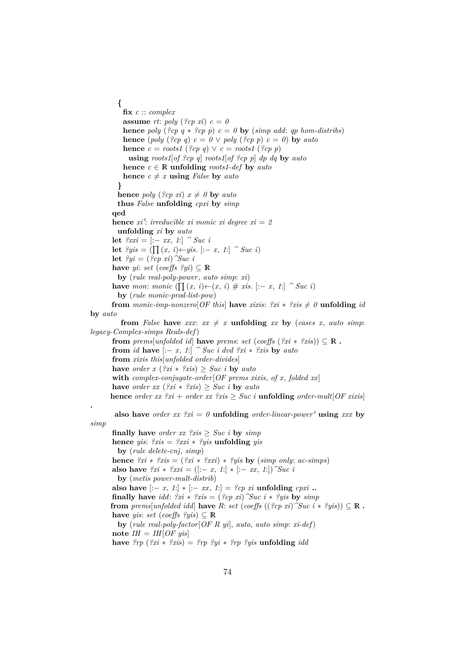**{ fix** *c* :: *complex* **assume** *rt*:  $poly$  (*?cp xi*)  $c = 0$ **hence** *poly* ( $\{c_p q * \{c_p p\} \} c = 0$  **by** ( $\text{simp}$  add: *qp* hom-distribs) **hence** (*poly* (*?cp q*)  $c = 0 \lor poly$  (*?cp p*)  $c = 0$ ) **by** *auto* **hence**  $c = \text{roots1}$  (?cp q)  $\lor$   $c = \text{roots1}$  (?cp p) **using** *roots1*[*of ?cp q*] *roots1*[*of ?cp p*] *dp dq* **by** *auto* **hence**  $c \in \mathbb{R}$  **unfolding** *roots1-def* **by** *auto* **hence**  $c \neq x$  **using** *False* **by** *auto* **} hence** *poly* (*?cp xi*)  $x \neq 0$  **by** *auto* **thus** *False* **unfolding** *cpxi* **by** *simp* **qed hence**  $xi'$ : *irreducible xi monic xi degree*  $xi = 2$ **unfolding** *xi* **by** *auto* **let**  $?xxi = [:- xx, 1:]$   $\hat{\ }$  *Suc i* **let**  $?ys = (\prod (x, i) \leftarrow yis$ . [:− *x*, *1*:]  $\cap$  *Suc i*) **let**  $?yi = (?cp \xi i)^{\gamma}Suc \xi i$ **have** *yi*: *set* (*coeffs*  $?yi$ )  $\subseteq$  **R by** (*rule real-poly-power*, *auto simp*: *xi*) **have** *mon*: *monic* ( $\prod(x, i) \leftarrow (x, i)$  # *xis*. [:− *x*, *1*:]  $\cap$  *Suc i*) **by** (*rule monic-prod-list-pow*) **from** monic-imp-nonzero [OF this ] **have** *xixis*:  $?xi * ?xis \neq 0$  **unfolding** *id* **by** *auto* **from** *False* **have** *xxx*:  $xx \neq x$  **unfolding** *xx* **by** (*cases x, auto simp*: *legacy-Complex-simps Reals-def*) **from** *prems*[*unfolded id*] **have** *prems*: *set* (*coeffs* ( $?xi * ?xis$ ))  $\subset \mathbb{R}$ . **from** *id* **have**  $[-x, 1]$   $\hat{ }$  *Suc i dvd ?xi*  $*$  *?xis* **by** *auto* **from** *xixis this*[*unfolded order-divides*] **have** *order*  $x$  ( $\mathscr{X}x$ *i*  $\mathscr{X}x$ *is*)  $\geq$  *Suc i* **by** *auto* **with** *complex-conjugate-order*[*OF prems xixis*, *of x*, *folded xx*] **have** *order xx* ( $?xi * ?xis$ )  $\geq Suc$  *i* **by** *auto* **hence** *order xx*  $?xi + order x x 2 x is \geq Suc$  *i* **unfolding** *order-mult*[*OF xixis*] **also have** *order xx*  $?xi = 0$  **unfolding** *order-linear-power*  $'$  **using** *xxx* **by** *simp* **finally have** *order xx*  $2x$  *sing*  $\geq$  *Suc i* **by**  $\text{simp}$ **hence** *yis*: *?xis* = *?xxi* ∗ *?yis* **unfolding** *yis* **by** (*rule delete-cnj*, *simp*) **hence**  $?xi * ?xis = (?xi * ?xxi) * ?yis$  **by**  $(simp only: ac-simps)$ **also have**  $?xi * ?xxi = ([-x, 1] * [-xx, 1])$   $"Suc i"$ **by** (*metis power-mult-distrib*) **also have**  $[-x, 1] * [-xx, 1] = ?cp$  *xi* **unfolding** *cpxi* **.. finally have** *idd*:  $\partial x_i * \partial x_i = (\partial c p \, x_i) \, \partial x \, \partial x_i * \partial y \, \partial y \, \partial y \, \partial y$ **from** *prems*[*unfolded idd*] **have** *R*: *set* (*coeffs* ((?*cp xi*)  $\hat{S}uc$  *i* \* ?*yis*))  $\subseteq$  **R**. **have** *yis*: *set* (*coeffs*  $?y$ *is*)  $\subset \mathbb{R}$ **by** (*rule real-poly-factor*[*OF R yi*], *auto*, *auto simp*: *xi-def*)  $\textbf{note}$  *IH* = *IH*[*OF yis*]

**have**  $2rp$  ( $2xi * 2xis$ ) =  $2rp$   $2yi * 2rp$   $2yis$  **unfolding** *idd* 

**.**